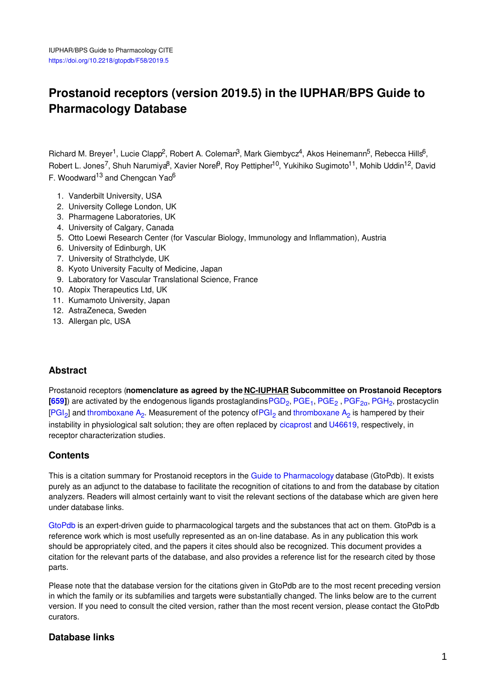# **Prostanoid receptors (version 2019.5) in the IUPHAR/BPS Guide to Pharmacology Database**

Richard M. Breyer<sup>1</sup>, Lucie Clapp<sup>2</sup>, Robert A. Coleman<sup>3</sup>, Mark Giembycz<sup>4</sup>, Akos Heinemann<sup>5</sup>, Rebecca Hills<sup>6</sup>, Robert L. Jones<sup>7</sup>, Shuh Narumiya<sup>8</sup>, Xavier Norel<sup>9</sup>, Roy Pettipher<sup>10</sup>, Yukihiko Sugimoto<sup>11</sup>, Mohib Uddin<sup>12</sup>, David F. Woodward<sup>13</sup> and Chengcan Yao<sup>6</sup>

- 1. Vanderbilt University, USA
- 2. University College London, UK
- 3. Pharmagene Laboratories, UK
- 4. University of Calgary, Canada
- 5. Otto Loewi Research Center (for Vascular Biology, Immunology and Inflammation), Austria
- 6. University of Edinburgh, UK
- 7. University of Strathclyde, UK
- 8. Kyoto University Faculty of Medicine, Japan
- 9. Laboratory for Vascular Translational Science, France
- 10. Atopix Therapeutics Ltd, UK
- 11. Kumamoto University, Japan
- 12. AstraZeneca, Sweden
- 13. Allergan plc, USA

### **Abstract**

Prostanoid receptors (**nomenclature as agreed by the NC-IUPHAR Subcommittee on Prostanoid Receptors**  $[659]$  $[659]$  $[659]$ ) are activated by the endogenous ligands prostaglandins $PGD_2$ ,  $PGE_1$  $PGE_1$ ,  $PGE_2$ ,  $PGF_{2\alpha}$  $PGF_{2\alpha}$ ,  $PGH_2$  $PGH_2$ , prostacyclin [\[PGI](http://www.guidetopharmacology.org/GRAC/LigandDisplayForward?ligandId=1915)<sub>2</sub>] and [thromboxane](http://www.guidetopharmacology.org/GRAC/LigandDisplayForward?ligandId=4482) A<sub>2</sub>. Measurement of the potency of PGI<sub>2</sub> and thromboxane A<sub>2</sub> is hampered by their instability in physiological salt solution; they are often replaced by [cicaprost](http://www.guidetopharmacology.org/GRAC/LigandDisplayForward?ligandId=1917) and [U46619](http://www.guidetopharmacology.org/GRAC/LigandDisplayForward?ligandId=1888), respectively, in receptor characterization studies.

### **Contents**

This is a citation summary for Prostanoid receptors in the Guide to [Pharmacology](http://www.guidetopharmacology.org/) database (GtoPdb). It exists purely as an adjunct to the database to facilitate the recognition of citations to and from the database by citation analyzers. Readers will almost certainly want to visit the relevant sections of the database which are given here under database links.

[GtoPdb](http://www.guidetopharmacology.org/) is an expert-driven guide to pharmacological targets and the substances that act on them. GtoPdb is a reference work which is most usefully represented as an on-line database. As in any publication this work should be appropriately cited, and the papers it cites should also be recognized. This document provides a citation for the relevant parts of the database, and also provides a reference list for the research cited by those parts.

Please note that the database version for the citations given in GtoPdb are to the most recent preceding version in which the family or its subfamilies and targets were substantially changed. The links below are to the current version. If you need to consult the cited version, rather than the most recent version, please contact the GtoPdb curators.

### **Database links**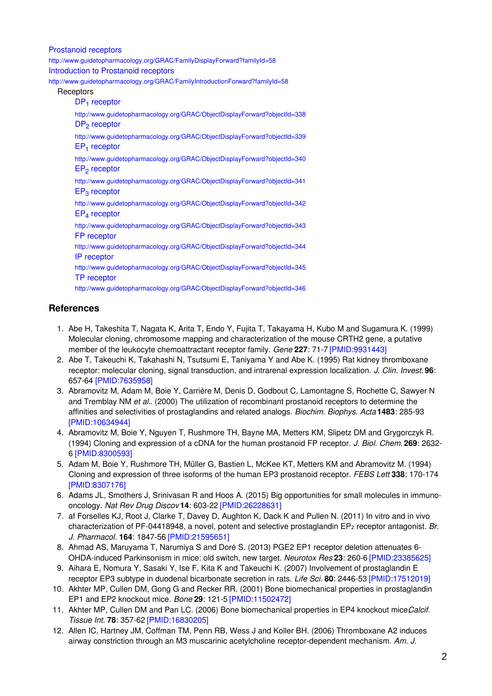[Prostanoid](http://www.guidetopharmacology.org/GRAC/FamilyDisplayForward?familyId=58) receptors <http://www.guidetopharmacology.org/GRAC/FamilyDisplayForward?familyId=58> [Introduction](http://www.guidetopharmacology.org/GRAC/FamilyIntroductionForward?familyId=58) to Prostanoid receptors <http://www.guidetopharmacology.org/GRAC/FamilyIntroductionForward?familyId=58> **Receptors** DP<sub>1</sub> [receptor](http://www.guidetopharmacology.org/GRAC/ObjectDisplayForward?objectId=338) <http://www.guidetopharmacology.org/GRAC/ObjectDisplayForward?objectId=338> DP<sub>2</sub> [receptor](http://www.guidetopharmacology.org/GRAC/ObjectDisplayForward?objectId=339) <http://www.guidetopharmacology.org/GRAC/ObjectDisplayForward?objectId=339> EP<sub>1</sub> [receptor](http://www.guidetopharmacology.org/GRAC/ObjectDisplayForward?objectId=340) <http://www.guidetopharmacology.org/GRAC/ObjectDisplayForward?objectId=340> EP<sub>2</sub> [receptor](http://www.guidetopharmacology.org/GRAC/ObjectDisplayForward?objectId=341) <http://www.guidetopharmacology.org/GRAC/ObjectDisplayForward?objectId=341> EP<sub>3</sub> [receptor](http://www.guidetopharmacology.org/GRAC/ObjectDisplayForward?objectId=342) <http://www.guidetopharmacology.org/GRAC/ObjectDisplayForward?objectId=342> EP<sup>4</sup> [receptor](http://www.guidetopharmacology.org/GRAC/ObjectDisplayForward?objectId=343) <http://www.guidetopharmacology.org/GRAC/ObjectDisplayForward?objectId=343> FP [receptor](http://www.guidetopharmacology.org/GRAC/ObjectDisplayForward?objectId=344) <http://www.guidetopharmacology.org/GRAC/ObjectDisplayForward?objectId=344> IP [receptor](http://www.guidetopharmacology.org/GRAC/ObjectDisplayForward?objectId=345) <http://www.guidetopharmacology.org/GRAC/ObjectDisplayForward?objectId=345> TP [receptor](http://www.guidetopharmacology.org/GRAC/ObjectDisplayForward?objectId=346) <http://www.guidetopharmacology.org/GRAC/ObjectDisplayForward?objectId=346>

## **References**

- 1. Abe H, Takeshita T, Nagata K, Arita T, Endo Y, Fujita T, Takayama H, Kubo M and Sugamura K. (1999) Molecular cloning, chromosome mapping and characterization of the mouse CRTH2 gene, a putative member of the leukocyte chemoattractant receptor family. *Gene* **227**: 71-7 [\[PMID:9931443\]](http://www.ncbi.nlm.nih.gov/pubmed/9931443?dopt=AbstractPlus)
- 2. Abe T, Takeuchi K, Takahashi N, Tsutsumi E, Taniyama Y and Abe K. (1995) Rat kidney thromboxane receptor: molecular cloning, signal transduction, and intrarenal expression localization. *J. Clin. Invest.* **96**: 657-64 [\[PMID:7635958\]](http://www.ncbi.nlm.nih.gov/pubmed/7635958?dopt=AbstractPlus)
- 3. Abramovitz M, Adam M, Boie Y, Carrière M, Denis D, Godbout C, Lamontagne S, Rochette C, Sawyer N and Tremblay NM *et al.*. (2000) The utilization of recombinant prostanoid receptors to determine the affinities and selectivities of prostaglandins and related analogs. *Biochim. Biophys. Acta* **1483**: 285-93 [\[PMID:10634944\]](http://www.ncbi.nlm.nih.gov/pubmed/10634944?dopt=AbstractPlus)
- 4. Abramovitz M, Boie Y, Nguyen T, Rushmore TH, Bayne MA, Metters KM, Slipetz DM and Grygorczyk R. (1994) Cloning and expression of a cDNA for the human prostanoid FP receptor. *J. Biol. Chem.* **269**: 2632- 6 [\[PMID:8300593\]](http://www.ncbi.nlm.nih.gov/pubmed/8300593?dopt=AbstractPlus)
- 5. Adam M, Boie Y, Rushmore TH, Müller G, Bastien L, McKee KT, Metters KM and Abramovitz M. (1994) Cloning and expression of three isoforms of the human EP3 prostanoid receptor. *FEBS Lett* **338**: 170-174 [\[PMID:8307176\]](http://www.ncbi.nlm.nih.gov/pubmed/8307176?dopt=AbstractPlus)
- 6. Adams JL, Smothers J, Srinivasan R and Hoos A. (2015) Big opportunities for small molecules in immunooncology. *Nat Rev Drug Discov* **14**: 603-22 [\[PMID:26228631\]](http://www.ncbi.nlm.nih.gov/pubmed/26228631?dopt=AbstractPlus)
- 7. af Forselles KJ, Root J, Clarke T, Davey D, Aughton K, Dack K and Pullen N. (2011) In vitro and in vivo characterization of PF-04418948, a novel, potent and selective prostaglandin EP<sub>2</sub> receptor antagonist. *Br. J. Pharmacol.* **164**: 1847-56 [\[PMID:21595651\]](http://www.ncbi.nlm.nih.gov/pubmed/21595651?dopt=AbstractPlus)
- 8. Ahmad AS, Maruyama T, Narumiya S and Doré S. (2013) PGE2 EP1 receptor deletion attenuates 6- OHDA-induced Parkinsonism in mice: old switch, new target. *Neurotox Res* **23**: 260-6 [\[PMID:23385625\]](http://www.ncbi.nlm.nih.gov/pubmed/23385625?dopt=AbstractPlus)
- 9. Aihara E, Nomura Y, Sasaki Y, Ise F, Kita K and Takeuchi K. (2007) Involvement of prostaglandin E receptor EP3 subtype in duodenal bicarbonate secretion in rats. *Life Sci.* **80**: 2446-53 [\[PMID:17512019\]](http://www.ncbi.nlm.nih.gov/pubmed/17512019?dopt=AbstractPlus)
- 10. Akhter MP, Cullen DM, Gong G and Recker RR. (2001) Bone biomechanical properties in prostaglandin EP1 and EP2 knockout mice. *Bone* **29**: 121-5 [\[PMID:11502472\]](http://www.ncbi.nlm.nih.gov/pubmed/11502472?dopt=AbstractPlus)
- 11. Akhter MP, Cullen DM and Pan LC. (2006) Bone biomechanical properties in EP4 knockout mice Calcif. *Tissue Int.* **78**: 357-62 [\[PMID:16830205\]](http://www.ncbi.nlm.nih.gov/pubmed/16830205?dopt=AbstractPlus)
- 12. Allen IC, Hartney JM, Coffman TM, Penn RB, Wess J and Koller BH. (2006) Thromboxane A2 induces airway constriction through an M3 muscarinic acetylcholine receptor-dependent mechanism. *Am. J.*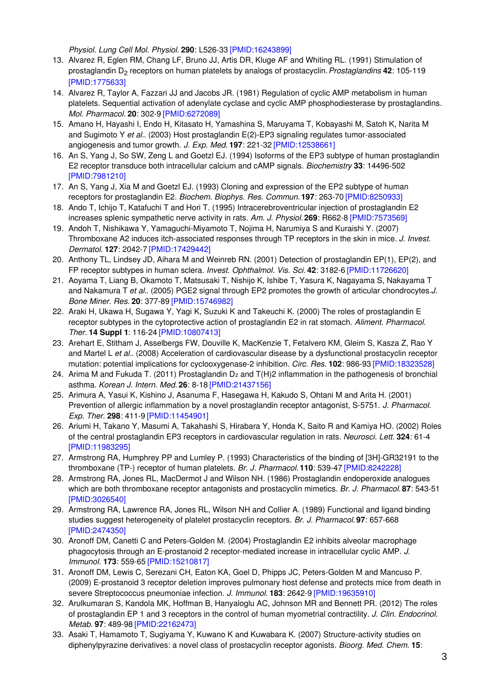*Physiol. Lung Cell Mol. Physiol.* **290**: L526-33 [\[PMID:16243899\]](http://www.ncbi.nlm.nih.gov/pubmed/16243899?dopt=AbstractPlus)

- 13. Alvarez R, Eglen RM, Chang LF, Bruno JJ, Artis DR, Kluge AF and Whiting RL. (1991) Stimulation of prostaglandin D<sub>2</sub> receptors on human platelets by analogs of prostacyclin. Prostaglandins 42: 105-119 [\[PMID:1775633\]](http://www.ncbi.nlm.nih.gov/pubmed/1775633?dopt=AbstractPlus)
- 14. Alvarez R, Taylor A, Fazzari JJ and Jacobs JR. (1981) Regulation of cyclic AMP metabolism in human platelets. Sequential activation of adenylate cyclase and cyclic AMP phosphodiesterase by prostaglandins. *Mol. Pharmacol.* **20**: 302-9 [\[PMID:6272089\]](http://www.ncbi.nlm.nih.gov/pubmed/6272089?dopt=AbstractPlus)
- 15. Amano H, Hayashi I, Endo H, Kitasato H, Yamashina S, Maruyama T, Kobayashi M, Satoh K, Narita M and Sugimoto Y *et al.*. (2003) Host prostaglandin E(2)-EP3 signaling regulates tumor-associated angiogenesis and tumor growth. *J. Exp. Med.* **197**: 221-32 [\[PMID:12538661\]](http://www.ncbi.nlm.nih.gov/pubmed/12538661?dopt=AbstractPlus)
- 16. An S, Yang J, So SW, Zeng L and Goetzl EJ. (1994) Isoforms of the EP3 subtype of human prostaglandin E2 receptor transduce both intracellular calcium and cAMP signals. *Biochemistry* **33**: 14496-502 [\[PMID:7981210\]](http://www.ncbi.nlm.nih.gov/pubmed/7981210?dopt=AbstractPlus)
- 17. An S, Yang J, Xia M and Goetzl EJ. (1993) Cloning and expression of the EP2 subtype of human receptors for prostaglandin E2. *Biochem. Biophys. Res. Commun.* **197**: 263-70 [\[PMID:8250933\]](http://www.ncbi.nlm.nih.gov/pubmed/8250933?dopt=AbstractPlus)
- 18. Ando T, Ichijo T, Katafuchi T and Hori T. (1995) Intracerebroventricular injection of prostaglandin E2 increases splenic sympathetic nerve activity in rats. *Am. J. Physiol.* **269**: R662-8 [\[PMID:7573569\]](http://www.ncbi.nlm.nih.gov/pubmed/7573569?dopt=AbstractPlus)
- 19. Andoh T, Nishikawa Y, Yamaguchi-Miyamoto T, Nojima H, Narumiya S and Kuraishi Y. (2007) Thromboxane A2 induces itch-associated responses through TP receptors in the skin in mice. *J. Invest. Dermatol.* **127**: 2042-7 [\[PMID:17429442\]](http://www.ncbi.nlm.nih.gov/pubmed/17429442?dopt=AbstractPlus)
- 20. Anthony TL, Lindsey JD, Aihara M and Weinreb RN. (2001) Detection of prostaglandin EP(1), EP(2), and FP receptor subtypes in human sclera. *Invest. Ophthalmol. Vis. Sci.* **42**: 3182-6 [\[PMID:11726620\]](http://www.ncbi.nlm.nih.gov/pubmed/11726620?dopt=AbstractPlus)
- 21. Aoyama T, Liang B, Okamoto T, Matsusaki T, Nishijo K, Ishibe T, Yasura K, Nagayama S, Nakayama T and Nakamura T *et al.*. (2005) PGE2 signal through EP2 promotes the growth of articular chondrocytes.*J. Bone Miner. Res.* **20**: 377-89 [\[PMID:15746982\]](http://www.ncbi.nlm.nih.gov/pubmed/15746982?dopt=AbstractPlus)
- 22. Araki H, Ukawa H, Sugawa Y, Yagi K, Suzuki K and Takeuchi K. (2000) The roles of prostaglandin E receptor subtypes in the cytoprotective action of prostaglandin E2 in rat stomach. *Aliment. Pharmacol. Ther.* **14 Suppl 1**: 116-24 [\[PMID:10807413\]](http://www.ncbi.nlm.nih.gov/pubmed/10807413?dopt=AbstractPlus)
- 23. Arehart E, Stitham J, Asselbergs FW, Douville K, MacKenzie T, Fetalvero KM, Gleim S, Kasza Z, Rao Y and Martel L *et al.*. (2008) Acceleration of cardiovascular disease by a dysfunctional prostacyclin receptor mutation: potential implications for cyclooxygenase-2 inhibition. *Circ. Res.* **102**: 986-93 [\[PMID:18323528\]](http://www.ncbi.nlm.nih.gov/pubmed/18323528?dopt=AbstractPlus)
- 24. Arima M and Fukuda T. (2011) Prostaglandin D<sub>2</sub> and T(H)2 inflammation in the pathogenesis of bronchial asthma. *Korean J. Intern. Med.* **26**: 8-18 [\[PMID:21437156\]](http://www.ncbi.nlm.nih.gov/pubmed/21437156?dopt=AbstractPlus)
- 25. Arimura A, Yasui K, Kishino J, Asanuma F, Hasegawa H, Kakudo S, Ohtani M and Arita H. (2001) Prevention of allergic inflammation by a novel prostaglandin receptor antagonist, S-5751. *J. Pharmacol. Exp. Ther.* **298**: 411-9 [\[PMID:11454901\]](http://www.ncbi.nlm.nih.gov/pubmed/11454901?dopt=AbstractPlus)
- 26. Ariumi H, Takano Y, Masumi A, Takahashi S, Hirabara Y, Honda K, Saito R and Kamiya HO. (2002) Roles of the central prostaglandin EP3 receptors in cardiovascular regulation in rats. *Neurosci. Lett.* **324**: 61-4 [\[PMID:11983295\]](http://www.ncbi.nlm.nih.gov/pubmed/11983295?dopt=AbstractPlus)
- 27. Armstrong RA, Humphrey PP and Lumley P. (1993) Characteristics of the binding of [3H]-GR32191 to the thromboxane (TP-) receptor of human platelets. *Br. J. Pharmacol.* **110**: 539-47 [\[PMID:8242228\]](http://www.ncbi.nlm.nih.gov/pubmed/8242228?dopt=AbstractPlus)
- 28. Armstrong RA, Jones RL, MacDermot J and Wilson NH. (1986) Prostaglandin endoperoxide analogues which are both thromboxane receptor antagonists and prostacyclin mimetics. *Br. J. Pharmacol.* **87**: 543-51 [\[PMID:3026540\]](http://www.ncbi.nlm.nih.gov/pubmed/3026540?dopt=AbstractPlus)
- 29. Armstrong RA, Lawrence RA, Jones RL, Wilson NH and Collier A. (1989) Functional and ligand binding studies suggest heterogeneity of platelet prostacyclin receptors. *Br. J. Pharmacol.* **97**: 657-668 [\[PMID:2474350\]](http://www.ncbi.nlm.nih.gov/pubmed/2474350?dopt=AbstractPlus)
- 30. Aronoff DM, Canetti C and Peters-Golden M. (2004) Prostaglandin E2 inhibits alveolar macrophage phagocytosis through an E-prostanoid 2 receptor-mediated increase in intracellular cyclic AMP. *J. Immunol.* **173**: 559-65 [\[PMID:15210817\]](http://www.ncbi.nlm.nih.gov/pubmed/15210817?dopt=AbstractPlus)
- 31. Aronoff DM, Lewis C, Serezani CH, Eaton KA, Goel D, Phipps JC, Peters-Golden M and Mancuso P. (2009) E-prostanoid 3 receptor deletion improves pulmonary host defense and protects mice from death in severe Streptococcus pneumoniae infection. *J. Immunol.* **183**: 2642-9 [\[PMID:19635910\]](http://www.ncbi.nlm.nih.gov/pubmed/19635910?dopt=AbstractPlus)
- 32. Arulkumaran S, Kandola MK, Hoffman B, Hanyaloglu AC, Johnson MR and Bennett PR. (2012) The roles of prostaglandin EP 1 and 3 receptors in the control of human myometrial contractility. *J. Clin. Endocrinol. Metab.* **97**: 489-98 [\[PMID:22162473\]](http://www.ncbi.nlm.nih.gov/pubmed/22162473?dopt=AbstractPlus)
- 33. Asaki T, Hamamoto T, Sugiyama Y, Kuwano K and Kuwabara K. (2007) Structure-activity studies on diphenylpyrazine derivatives: a novel class of prostacyclin receptor agonists. *Bioorg. Med. Chem.* **15**: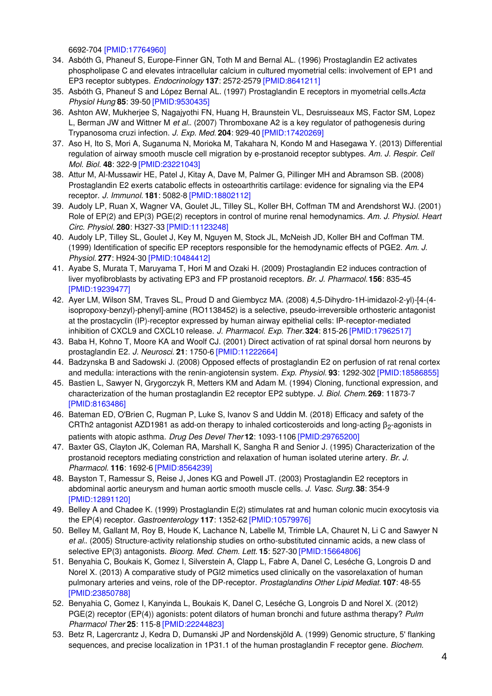6692-704 [\[PMID:17764960\]](http://www.ncbi.nlm.nih.gov/pubmed/17764960?dopt=AbstractPlus)

- 34. Asbóth G, Phaneuf S, Europe-Finner GN, Toth M and Bernal AL. (1996) Prostaglandin E2 activates phospholipase C and elevates intracellular calcium in cultured myometrial cells: involvement of EP1 and EP3 receptor subtypes. *Endocrinology* **137**: 2572-2579 [\[PMID:8641211\]](http://www.ncbi.nlm.nih.gov/pubmed/8641211?dopt=AbstractPlus)
- 35. Asbóth G, Phaneuf S and López Bernal AL. (1997) Prostaglandin E receptors in myometrial cells.*Acta Physiol Hung* **85**: 39-50 [\[PMID:9530435\]](http://www.ncbi.nlm.nih.gov/pubmed/9530435?dopt=AbstractPlus)
- 36. Ashton AW, Mukherjee S, Nagajyothi FN, Huang H, Braunstein VL, Desruisseaux MS, Factor SM, Lopez L, Berman JW and Wittner M *et al.*. (2007) Thromboxane A2 is a key regulator of pathogenesis during Trypanosoma cruzi infection. *J. Exp. Med.* **204**: 929-40 [\[PMID:17420269\]](http://www.ncbi.nlm.nih.gov/pubmed/17420269?dopt=AbstractPlus)
- 37. Aso H, Ito S, Mori A, Suganuma N, Morioka M, Takahara N, Kondo M and Hasegawa Y. (2013) Differential regulation of airway smooth muscle cell migration by e-prostanoid receptor subtypes. *Am. J. Respir. Cell Mol. Biol.* **48**: 322-9 [\[PMID:23221043\]](http://www.ncbi.nlm.nih.gov/pubmed/23221043?dopt=AbstractPlus)
- 38. Attur M, Al-Mussawir HE, Patel J, Kitay A, Dave M, Palmer G, Pillinger MH and Abramson SB. (2008) Prostaglandin E2 exerts catabolic effects in osteoarthritis cartilage: evidence for signaling via the EP4 receptor. *J. Immunol.* **181**: 5082-8 [\[PMID:18802112\]](http://www.ncbi.nlm.nih.gov/pubmed/18802112?dopt=AbstractPlus)
- 39. Audoly LP, Ruan X, Wagner VA, Goulet JL, Tilley SL, Koller BH, Coffman TM and Arendshorst WJ. (2001) Role of EP(2) and EP(3) PGE(2) receptors in control of murine renal hemodynamics. *Am. J. Physiol. Heart Circ. Physiol.* **280**: H327-33 [\[PMID:11123248\]](http://www.ncbi.nlm.nih.gov/pubmed/11123248?dopt=AbstractPlus)
- 40. Audoly LP, Tilley SL, Goulet J, Key M, Nguyen M, Stock JL, McNeish JD, Koller BH and Coffman TM. (1999) Identification of specific EP receptors responsible for the hemodynamic effects of PGE2. *Am. J. Physiol.* **277**: H924-30 [\[PMID:10484412\]](http://www.ncbi.nlm.nih.gov/pubmed/10484412?dopt=AbstractPlus)
- 41. Ayabe S, Murata T, Maruyama T, Hori M and Ozaki H. (2009) Prostaglandin E2 induces contraction of liver myofibroblasts by activating EP3 and FP prostanoid receptors. *Br. J. Pharmacol.* **156**: 835-45 [\[PMID:19239477\]](http://www.ncbi.nlm.nih.gov/pubmed/19239477?dopt=AbstractPlus)
- 42. Ayer LM, Wilson SM, Traves SL, Proud D and Giembycz MA. (2008) 4,5-Dihydro-1H-imidazol-2-yl)-[4-(4 isopropoxy-benzyl)-phenyl]-amine (RO1138452) is a selective, pseudo-irreversible orthosteric antagonist at the prostacyclin (IP)-receptor expressed by human airway epithelial cells: IP-receptor-mediated inhibition of CXCL9 and CXCL10 release. *J. Pharmacol. Exp. Ther.***324**: 815-26 [\[PMID:17962517\]](http://www.ncbi.nlm.nih.gov/pubmed/17962517?dopt=AbstractPlus)
- 43. Baba H, Kohno T, Moore KA and Woolf CJ. (2001) Direct activation of rat spinal dorsal horn neurons by prostaglandin E2. *J. Neurosci.* **21**: 1750-6 [\[PMID:11222664\]](http://www.ncbi.nlm.nih.gov/pubmed/11222664?dopt=AbstractPlus)
- 44. Badzynska B and Sadowski J. (2008) Opposed effects of prostaglandin E2 on perfusion of rat renal cortex and medulla: interactions with the renin-angiotensin system. *Exp. Physiol.* **93**: 1292-302 [\[PMID:18586855\]](http://www.ncbi.nlm.nih.gov/pubmed/18586855?dopt=AbstractPlus)
- 45. Bastien L, Sawyer N, Grygorczyk R, Metters KM and Adam M. (1994) Cloning, functional expression, and characterization of the human prostaglandin E2 receptor EP2 subtype. *J. Biol. Chem.* **269**: 11873-7 [\[PMID:8163486\]](http://www.ncbi.nlm.nih.gov/pubmed/8163486?dopt=AbstractPlus)
- 46. Bateman ED, O'Brien C, Rugman P, Luke S, Ivanov S and Uddin M. (2018) Efficacy and safety of the CRTh2 antagonist AZD1981 as add-on therapy to inhaled corticosteroids and long-acting  $\beta_2$ -agonists in patients with atopic asthma. *Drug Des Devel Ther* **12**: 1093-1106 [\[PMID:29765200\]](http://www.ncbi.nlm.nih.gov/pubmed/29765200?dopt=AbstractPlus)
- 47. Baxter GS, Clayton JK, Coleman RA, Marshall K, Sangha R and Senior J. (1995) Characterization of the prostanoid receptors mediating constriction and relaxation of human isolated uterine artery. *Br. J. Pharmacol.* **116**: 1692-6 [\[PMID:8564239\]](http://www.ncbi.nlm.nih.gov/pubmed/8564239?dopt=AbstractPlus)
- 48. Bayston T, Ramessur S, Reise J, Jones KG and Powell JT. (2003) Prostaglandin E2 receptors in abdominal aortic aneurysm and human aortic smooth muscle cells. *J. Vasc. Surg.* **38**: 354-9 [\[PMID:12891120\]](http://www.ncbi.nlm.nih.gov/pubmed/12891120?dopt=AbstractPlus)
- 49. Belley A and Chadee K. (1999) Prostaglandin E(2) stimulates rat and human colonic mucin exocytosis via the EP(4) receptor. *Gastroenterology* **117**: 1352-62 [\[PMID:10579976\]](http://www.ncbi.nlm.nih.gov/pubmed/10579976?dopt=AbstractPlus)
- 50. Belley M, Gallant M, Roy B, Houde K, Lachance N, Labelle M, Trimble LA, Chauret N, Li C and Sawyer N *et al.*. (2005) Structure-activity relationship studies on ortho-substituted cinnamic acids, a new class of selective EP(3) antagonists. *Bioorg. Med. Chem. Lett.* **15**: 527-30 [\[PMID:15664806\]](http://www.ncbi.nlm.nih.gov/pubmed/15664806?dopt=AbstractPlus)
- 51. Benyahia C, Boukais K, Gomez I, Silverstein A, Clapp L, Fabre A, Danel C, Leséche G, Longrois D and Norel X. (2013) A comparative study of PGI2 mimetics used clinically on the vasorelaxation of human pulmonary arteries and veins, role of the DP-receptor. *Prostaglandins Other Lipid Mediat.* **107**: 48-55 [\[PMID:23850788\]](http://www.ncbi.nlm.nih.gov/pubmed/23850788?dopt=AbstractPlus)
- 52. Benyahia C, Gomez I, Kanyinda L, Boukais K, Danel C, Leséche G, Longrois D and Norel X. (2012) PGE(2) receptor (EP(4)) agonists: potent dilators of human bronchi and future asthma therapy? *Pulm Pharmacol Ther* **25**: 115-8 [\[PMID:22244823\]](http://www.ncbi.nlm.nih.gov/pubmed/22244823?dopt=AbstractPlus)
- 53. Betz R, Lagercrantz J, Kedra D, Dumanski JP and Nordenskjöld A. (1999) Genomic structure, 5' flanking sequences, and precise localization in 1P31.1 of the human prostaglandin F receptor gene. *Biochem.*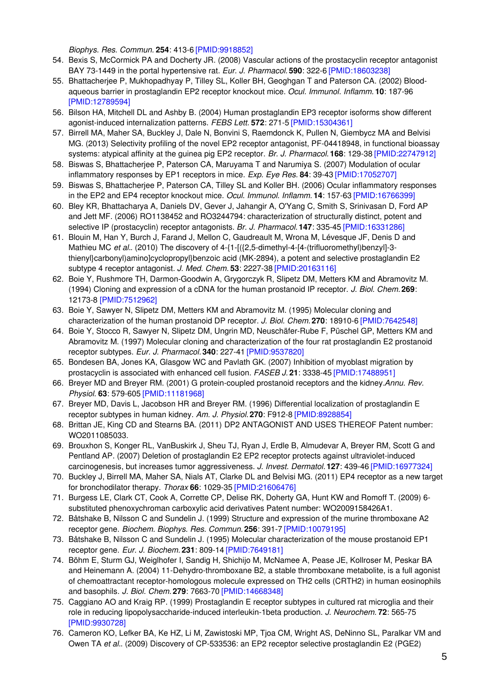*Biophys. Res. Commun.* **254**: 413-6 [\[PMID:9918852\]](http://www.ncbi.nlm.nih.gov/pubmed/9918852?dopt=AbstractPlus)

- 54. Bexis S, McCormick PA and Docherty JR. (2008) Vascular actions of the prostacyclin receptor antagonist BAY 73-1449 in the portal hypertensive rat. *Eur. J. Pharmacol.* **590**: 322-6 [\[PMID:18603238\]](http://www.ncbi.nlm.nih.gov/pubmed/18603238?dopt=AbstractPlus)
- 55. Bhattacherjee P, Mukhopadhyay P, Tilley SL, Koller BH, Geoghgan T and Paterson CA. (2002) Bloodaqueous barrier in prostaglandin EP2 receptor knockout mice. *Ocul. Immunol. Inflamm.* **10**: 187-96 [\[PMID:12789594\]](http://www.ncbi.nlm.nih.gov/pubmed/12789594?dopt=AbstractPlus)
- 56. Bilson HA, Mitchell DL and Ashby B. (2004) Human prostaglandin EP3 receptor isoforms show different agonist-induced internalization patterns. *FEBS Lett.* **572**: 271-5 [\[PMID:15304361\]](http://www.ncbi.nlm.nih.gov/pubmed/15304361?dopt=AbstractPlus)
- 57. Birrell MA, Maher SA, Buckley J, Dale N, Bonvini S, Raemdonck K, Pullen N, Giembycz MA and Belvisi MG. (2013) Selectivity profiling of the novel EP2 receptor antagonist, PF-04418948, in functional bioassay systems: atypical affinity at the guinea pig EP2 receptor. *Br. J. Pharmacol.* **168**: 129-38 [\[PMID:22747912\]](http://www.ncbi.nlm.nih.gov/pubmed/22747912?dopt=AbstractPlus)
- 58. Biswas S, Bhattacherjee P, Paterson CA, Maruyama T and Narumiya S. (2007) Modulation of ocular inflammatory responses by EP1 receptors in mice. *Exp. Eye Res.* **84**: 39-43 [\[PMID:17052707\]](http://www.ncbi.nlm.nih.gov/pubmed/17052707?dopt=AbstractPlus)
- 59. Biswas S, Bhattacherjee P, Paterson CA, Tilley SL and Koller BH. (2006) Ocular inflammatory responses in the EP2 and EP4 receptor knockout mice. *Ocul. Immunol. Inflamm.* **14**: 157-63 [\[PMID:16766399\]](http://www.ncbi.nlm.nih.gov/pubmed/16766399?dopt=AbstractPlus)
- 60. Bley KR, Bhattacharya A, Daniels DV, Gever J, Jahangir A, O'Yang C, Smith S, Srinivasan D, Ford AP and Jett MF. (2006) RO1138452 and RO3244794: characterization of structurally distinct, potent and selective IP (prostacyclin) receptor antagonists. *Br. J. Pharmacol.* **147**: 335-45 [\[PMID:16331286\]](http://www.ncbi.nlm.nih.gov/pubmed/16331286?dopt=AbstractPlus)
- 61. Blouin M, Han Y, Burch J, Farand J, Mellon C, Gaudreault M, Wrona M, Lévesque JF, Denis D and Mathieu MC *et al.*. (2010) The discovery of 4-{1-[({2,5-dimethyl-4-[4-(trifluoromethyl)benzyl]-3thienyl}carbonyl)amino]cyclopropyl}benzoic acid (MK-2894), a potent and selective prostaglandin E2 subtype 4 receptor antagonist. *J. Med. Chem.* **53**: 2227-38 [\[PMID:20163116\]](http://www.ncbi.nlm.nih.gov/pubmed/20163116?dopt=AbstractPlus)
- 62. Boie Y, Rushmore TH, Darmon-Goodwin A, Grygorczyk R, Slipetz DM, Metters KM and Abramovitz M. (1994) Cloning and expression of a cDNA for the human prostanoid IP receptor. *J. Biol. Chem.* **269**: 12173-8 [\[PMID:7512962\]](http://www.ncbi.nlm.nih.gov/pubmed/7512962?dopt=AbstractPlus)
- 63. Boie Y, Sawyer N, Slipetz DM, Metters KM and Abramovitz M. (1995) Molecular cloning and characterization of the human prostanoid DP receptor. *J. Biol. Chem.* **270**: 18910-6 [\[PMID:7642548\]](http://www.ncbi.nlm.nih.gov/pubmed/7642548?dopt=AbstractPlus)
- 64. Boie Y, Stocco R, Sawyer N, Slipetz DM, Ungrin MD, Neuschäfer-Rube F, Püschel GP, Metters KM and Abramovitz M. (1997) Molecular cloning and characterization of the four rat prostaglandin E2 prostanoid receptor subtypes. *Eur. J. Pharmacol.* **340**: 227-41 [\[PMID:9537820\]](http://www.ncbi.nlm.nih.gov/pubmed/9537820?dopt=AbstractPlus)
- 65. Bondesen BA, Jones KA, Glasgow WC and Pavlath GK. (2007) Inhibition of myoblast migration by prostacyclin is associated with enhanced cell fusion. *FASEB J.* **21**: 3338-45 [\[PMID:17488951\]](http://www.ncbi.nlm.nih.gov/pubmed/17488951?dopt=AbstractPlus)
- 66. Breyer MD and Breyer RM. (2001) G protein-coupled prostanoid receptors and the kidney.*Annu. Rev. Physiol.* **63**: 579-605 [\[PMID:11181968\]](http://www.ncbi.nlm.nih.gov/pubmed/11181968?dopt=AbstractPlus)
- 67. Breyer MD, Davis L, Jacobson HR and Breyer RM. (1996) Differential localization of prostaglandin E receptor subtypes in human kidney. *Am. J. Physiol.* **270**: F912-8 [\[PMID:8928854\]](http://www.ncbi.nlm.nih.gov/pubmed/8928854?dopt=AbstractPlus)
- 68. Brittan JE, King CD and Stearns BA. (2011) DP2 ANTAGONIST AND USES THEREOF Patent number: WO2011085033.
- 69. Brouxhon S, Konger RL, VanBuskirk J, Sheu TJ, Ryan J, Erdle B, Almudevar A, Breyer RM, Scott G and Pentland AP. (2007) Deletion of prostaglandin E2 EP2 receptor protects against ultraviolet-induced carcinogenesis, but increases tumor aggressiveness. *J. Invest. Dermatol.* **127**: 439-46 [\[PMID:16977324\]](http://www.ncbi.nlm.nih.gov/pubmed/16977324?dopt=AbstractPlus)
- 70. Buckley J, Birrell MA, Maher SA, Nials AT, Clarke DL and Belvisi MG. (2011) EP4 receptor as a new target for bronchodilator therapy. *Thorax* **66**: 1029-35 [\[PMID:21606476\]](http://www.ncbi.nlm.nih.gov/pubmed/21606476?dopt=AbstractPlus)
- 71. Burgess LE, Clark CT, Cook A, Corrette CP, Delise RK, Doherty GA, Hunt KW and Romoff T. (2009) 6 substituted phenoxychroman carboxylic acid derivatives Patent number: WO2009158426A1.
- 72. Båtshake B, Nilsson C and Sundelin J. (1999) Structure and expression of the murine thromboxane A2 receptor gene. *Biochem. Biophys. Res. Commun.* **256**: 391-7 [\[PMID:10079195\]](http://www.ncbi.nlm.nih.gov/pubmed/10079195?dopt=AbstractPlus)
- 73. Båtshake B, Nilsson C and Sundelin J. (1995) Molecular characterization of the mouse prostanoid EP1 receptor gene. *Eur. J. Biochem.* **231**: 809-14 [\[PMID:7649181\]](http://www.ncbi.nlm.nih.gov/pubmed/7649181?dopt=AbstractPlus)
- 74. Böhm E, Sturm GJ, Weiglhofer I, Sandig H, Shichijo M, McNamee A, Pease JE, Kollroser M, Peskar BA and Heinemann A. (2004) 11-Dehydro-thromboxane B2, a stable thromboxane metabolite, is a full agonist of chemoattractant receptor-homologous molecule expressed on TH2 cells (CRTH2) in human eosinophils and basophils. *J. Biol. Chem.* **279**: 7663-70 [\[PMID:14668348\]](http://www.ncbi.nlm.nih.gov/pubmed/14668348?dopt=AbstractPlus)
- 75. Caggiano AO and Kraig RP. (1999) Prostaglandin E receptor subtypes in cultured rat microglia and their role in reducing lipopolysaccharide-induced interleukin-1beta production. *J. Neurochem.* **72**: 565-75 [\[PMID:9930728\]](http://www.ncbi.nlm.nih.gov/pubmed/9930728?dopt=AbstractPlus)
- 76. Cameron KO, Lefker BA, Ke HZ, Li M, Zawistoski MP, Tjoa CM, Wright AS, DeNinno SL, Paralkar VM and Owen TA *et al.*. (2009) Discovery of CP-533536: an EP2 receptor selective prostaglandin E2 (PGE2)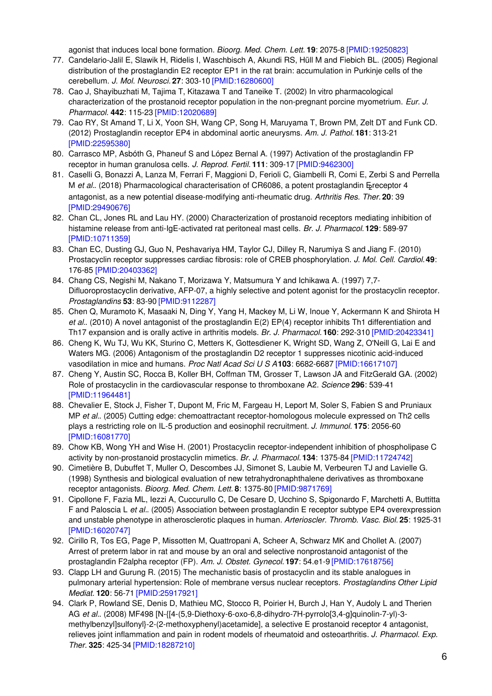agonist that induces local bone formation. *Bioorg. Med. Chem. Lett.* **19**: 2075-8 [\[PMID:19250823\]](http://www.ncbi.nlm.nih.gov/pubmed/19250823?dopt=AbstractPlus)

- 77. Candelario-Jalil E, Slawik H, Ridelis I, Waschbisch A, Akundi RS, Hüll M and Fiebich BL. (2005) Regional distribution of the prostaglandin E2 receptor EP1 in the rat brain: accumulation in Purkinje cells of the cerebellum. *J. Mol. Neurosci.* **27**: 303-10 [\[PMID:16280600\]](http://www.ncbi.nlm.nih.gov/pubmed/16280600?dopt=AbstractPlus)
- 78. Cao J, Shayibuzhati M, Tajima T, Kitazawa T and Taneike T. (2002) In vitro pharmacological characterization of the prostanoid receptor population in the non-pregnant porcine myometrium. *Eur. J. Pharmacol.* **442**: 115-23 [\[PMID:12020689\]](http://www.ncbi.nlm.nih.gov/pubmed/12020689?dopt=AbstractPlus)
- 79. Cao RY, St Amand T, Li X, Yoon SH, Wang CP, Song H, Maruyama T, Brown PM, Zelt DT and Funk CD. (2012) Prostaglandin receptor EP4 in abdominal aortic aneurysms. *Am. J. Pathol.* **181**: 313-21 [\[PMID:22595380\]](http://www.ncbi.nlm.nih.gov/pubmed/22595380?dopt=AbstractPlus)
- 80. Carrasco MP, Asbóth G, Phaneuf S and López Bernal A. (1997) Activation of the prostaglandin FP receptor in human granulosa cells. *J. Reprod. Fertil.* **111**: 309-17 [\[PMID:9462300\]](http://www.ncbi.nlm.nih.gov/pubmed/9462300?dopt=AbstractPlus)
- 81. Caselli G, Bonazzi A, Lanza M, Ferrari F, Maggioni D, Ferioli C, Giambelli R, Comi E, Zerbi S and Perrella M et al.. (2018) Pharmacological characterisation of CR6086, a potent prostaglandin Execeptor 4 antagonist, as a new potential disease-modifying anti-rheumatic drug. *Arthritis Res. Ther.* **20**: 39 [\[PMID:29490676\]](http://www.ncbi.nlm.nih.gov/pubmed/29490676?dopt=AbstractPlus)
- 82. Chan CL, Jones RL and Lau HY. (2000) Characterization of prostanoid receptors mediating inhibition of histamine release from anti-IgE-activated rat peritoneal mast cells. *Br. J. Pharmacol.* **129**: 589-97 [\[PMID:10711359\]](http://www.ncbi.nlm.nih.gov/pubmed/10711359?dopt=AbstractPlus)
- 83. Chan EC, Dusting GJ, Guo N, Peshavariya HM, Taylor CJ, Dilley R, Narumiya S and Jiang F. (2010) Prostacyclin receptor suppresses cardiac fibrosis: role of CREB phosphorylation. *J. Mol. Cell. Cardiol.***49**: 176-85 [\[PMID:20403362\]](http://www.ncbi.nlm.nih.gov/pubmed/20403362?dopt=AbstractPlus)
- 84. Chang CS, Negishi M, Nakano T, Morizawa Y, Matsumura Y and Ichikawa A. (1997) 7,7- Difluoroprostacyclin derivative, AFP-07, a highly selective and potent agonist for the prostacyclin receptor. *Prostaglandins* **53**: 83-90 [\[PMID:9112287\]](http://www.ncbi.nlm.nih.gov/pubmed/9112287?dopt=AbstractPlus)
- 85. Chen Q, Muramoto K, Masaaki N, Ding Y, Yang H, Mackey M, Li W, Inoue Y, Ackermann K and Shirota H *et al.*. (2010) A novel antagonist of the prostaglandin E(2) EP(4) receptor inhibits Th1 differentiation and Th17 expansion and is orally active in arthritis models. *Br. J. Pharmacol.* **160**: 292-310 [\[PMID:20423341\]](http://www.ncbi.nlm.nih.gov/pubmed/20423341?dopt=AbstractPlus)
- 86. Cheng K, Wu TJ, Wu KK, Sturino C, Metters K, Gottesdiener K, Wright SD, Wang Z, O'Neill G, Lai E and Waters MG. (2006) Antagonism of the prostaglandin D2 receptor 1 suppresses nicotinic acid-induced vasodilation in mice and humans. *Proc Natl Acad Sci U S A***103**: 6682-6687 [\[PMID:16617107\]](http://www.ncbi.nlm.nih.gov/pubmed/16617107?dopt=AbstractPlus)
- 87. Cheng Y, Austin SC, Rocca B, Koller BH, Coffman TM, Grosser T, Lawson JA and FitzGerald GA. (2002) Role of prostacyclin in the cardiovascular response to thromboxane A2. *Science* **296**: 539-41 [\[PMID:11964481\]](http://www.ncbi.nlm.nih.gov/pubmed/11964481?dopt=AbstractPlus)
- 88. Chevalier E, Stock J, Fisher T, Dupont M, Fric M, Fargeau H, Leport M, Soler S, Fabien S and Pruniaux MP *et al.*. (2005) Cutting edge: chemoattractant receptor-homologous molecule expressed on Th2 cells plays a restricting role on IL-5 production and eosinophil recruitment. *J. Immunol.* **175**: 2056-60 [\[PMID:16081770\]](http://www.ncbi.nlm.nih.gov/pubmed/16081770?dopt=AbstractPlus)
- 89. Chow KB, Wong YH and Wise H. (2001) Prostacyclin receptor-independent inhibition of phospholipase C activity by non-prostanoid prostacyclin mimetics. *Br. J. Pharmacol.* **134**: 1375-84 [\[PMID:11724742\]](http://www.ncbi.nlm.nih.gov/pubmed/11724742?dopt=AbstractPlus)
- 90. Cimetière B, Dubuffet T, Muller O, Descombes JJ, Simonet S, Laubie M, Verbeuren TJ and Lavielle G. (1998) Synthesis and biological evaluation of new tetrahydronaphthalene derivatives as thromboxane receptor antagonists. *Bioorg. Med. Chem. Lett.* **8**: 1375-80 [\[PMID:9871769\]](http://www.ncbi.nlm.nih.gov/pubmed/9871769?dopt=AbstractPlus)
- 91. Cipollone F, Fazia ML, Iezzi A, Cuccurullo C, De Cesare D, Ucchino S, Spigonardo F, Marchetti A, Buttitta F and Paloscia L *et al.*. (2005) Association between prostaglandin E receptor subtype EP4 overexpression and unstable phenotype in atherosclerotic plaques in human. *Arterioscler. Thromb. Vasc. Biol.* **25**: 1925-31 [\[PMID:16020747\]](http://www.ncbi.nlm.nih.gov/pubmed/16020747?dopt=AbstractPlus)
- 92. Cirillo R, Tos EG, Page P, Missotten M, Quattropani A, Scheer A, Schwarz MK and Chollet A. (2007) Arrest of preterm labor in rat and mouse by an oral and selective nonprostanoid antagonist of the prostaglandin F2alpha receptor (FP). *Am. J. Obstet. Gynecol.* **197**: 54.e1-9 [\[PMID:17618756\]](http://www.ncbi.nlm.nih.gov/pubmed/17618756?dopt=AbstractPlus)
- 93. Clapp LH and Gurung R. (2015) The mechanistic basis of prostacyclin and its stable analogues in pulmonary arterial hypertension: Role of membrane versus nuclear receptors. *Prostaglandins Other Lipid Mediat.* **120**: 56-71 [\[PMID:25917921\]](http://www.ncbi.nlm.nih.gov/pubmed/25917921?dopt=AbstractPlus)
- 94. Clark P, Rowland SE, Denis D, Mathieu MC, Stocco R, Poirier H, Burch J, Han Y, Audoly L and Therien AG *et al.*. (2008) MF498 [N-{[4-(5,9-Diethoxy-6-oxo-6,8-dihydro-7H-pyrrolo[3,4-g]quinolin-7-yl)-3 methylbenzyl]sulfonyl}-2-(2-methoxyphenyl)acetamide], a selective E prostanoid receptor 4 antagonist, relieves joint inflammation and pain in rodent models of rheumatoid and osteoarthritis. *J. Pharmacol. Exp. Ther.* **325**: 425-34 [\[PMID:18287210\]](http://www.ncbi.nlm.nih.gov/pubmed/18287210?dopt=AbstractPlus)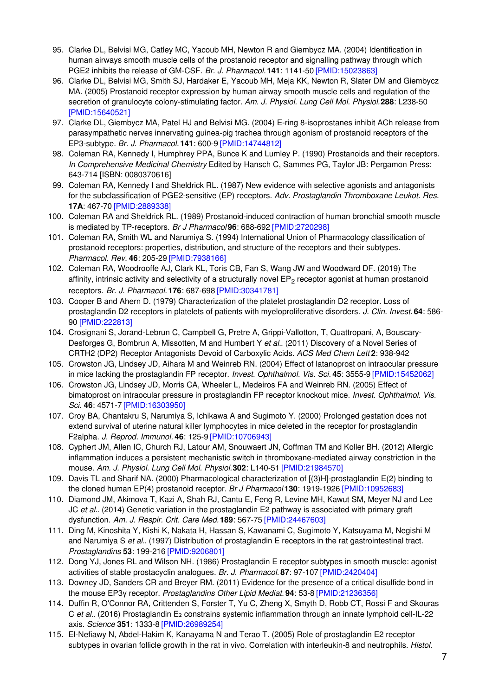- 95. Clarke DL, Belvisi MG, Catley MC, Yacoub MH, Newton R and Giembycz MA. (2004) Identification in human airways smooth muscle cells of the prostanoid receptor and signalling pathway through which PGE2 inhibits the release of GM-CSF. *Br. J. Pharmacol.* **141**: 1141-50 [\[PMID:15023863\]](http://www.ncbi.nlm.nih.gov/pubmed/15023863?dopt=AbstractPlus)
- 96. Clarke DL, Belvisi MG, Smith SJ, Hardaker E, Yacoub MH, Meja KK, Newton R, Slater DM and Giembycz MA. (2005) Prostanoid receptor expression by human airway smooth muscle cells and regulation of the secretion of granulocyte colony-stimulating factor. *Am. J. Physiol. Lung Cell Mol. Physiol.***288**: L238-50 [\[PMID:15640521\]](http://www.ncbi.nlm.nih.gov/pubmed/15640521?dopt=AbstractPlus)
- 97. Clarke DL, Giembycz MA, Patel HJ and Belvisi MG. (2004) E-ring 8-isoprostanes inhibit ACh release from parasympathetic nerves innervating guinea-pig trachea through agonism of prostanoid receptors of the EP3-subtype. *Br. J. Pharmacol.* **141**: 600-9 [\[PMID:14744812\]](http://www.ncbi.nlm.nih.gov/pubmed/14744812?dopt=AbstractPlus)
- 98. Coleman RA, Kennedy I, Humphrey PPA, Bunce K and Lumley P. (1990) Prostanoids and their receptors. *In Comprehensive Medicinal Chemistry* Edited by Hansch C, Sammes PG, Taylor JB: Pergamon Press: 643-714 [ISBN: 0080370616]
- 99. Coleman RA, Kennedy I and Sheldrick RL. (1987) New evidence with selective agonists and antagonists for the subclassification of PGE2-sensitive (EP) receptors. *Adv. Prostaglandin Thromboxane Leukot. Res.* **17A**: 467-70 [\[PMID:2889338\]](http://www.ncbi.nlm.nih.gov/pubmed/2889338?dopt=AbstractPlus)
- 100. Coleman RA and Sheldrick RL. (1989) Prostanoid-induced contraction of human bronchial smooth muscle is mediated by TP-receptors. *Br J Pharmacol* **96**: 688-692 [\[PMID:2720298\]](http://www.ncbi.nlm.nih.gov/pubmed/2720298?dopt=AbstractPlus)
- 101. Coleman RA, Smith WL and Narumiya S. (1994) International Union of Pharmacology classification of prostanoid receptors: properties, distribution, and structure of the receptors and their subtypes. *Pharmacol. Rev.* **46**: 205-29 [\[PMID:7938166\]](http://www.ncbi.nlm.nih.gov/pubmed/7938166?dopt=AbstractPlus)
- 102. Coleman RA, Woodrooffe AJ, Clark KL, Toris CB, Fan S, Wang JW and Woodward DF. (2019) The affinity, intrinsic activity and selectivity of a structurally novel  $\textsf{EP}_2$  receptor agonist at human prostanoid receptors. *Br. J. Pharmacol.* **176**: 687-698 [\[PMID:30341781\]](http://www.ncbi.nlm.nih.gov/pubmed/30341781?dopt=AbstractPlus)
- 103. Cooper B and Ahern D. (1979) Characterization of the platelet prostaglandin D2 receptor. Loss of prostaglandin D2 receptors in platelets of patients with myeloproliferative disorders. *J. Clin. Invest.* **64**: 586- 90 [\[PMID:222813\]](http://www.ncbi.nlm.nih.gov/pubmed/222813?dopt=AbstractPlus)
- 104. Crosignani S, Jorand-Lebrun C, Campbell G, Pretre A, Grippi-Vallotton, T, Quattropani, A, Bouscary-Desforges G, Bombrun A, Missotten, M and Humbert Y *et al.*. (2011) Discovery of a Novel Series of CRTH2 (DP2) Receptor Antagonists Devoid of Carboxylic Acids. *ACS Med Chem Lett* **2**: 938-942
- 105. Crowston JG, Lindsey JD, Aihara M and Weinreb RN. (2004) Effect of latanoprost on intraocular pressure in mice lacking the prostaglandin FP receptor. *Invest. Ophthalmol. Vis. Sci.* **45**: 3555-9 [\[PMID:15452062\]](http://www.ncbi.nlm.nih.gov/pubmed/15452062?dopt=AbstractPlus)
- 106. Crowston JG, Lindsey JD, Morris CA, Wheeler L, Medeiros FA and Weinreb RN. (2005) Effect of bimatoprost on intraocular pressure in prostaglandin FP receptor knockout mice. *Invest. Ophthalmol. Vis. Sci.* **46**: 4571-7 [\[PMID:16303950\]](http://www.ncbi.nlm.nih.gov/pubmed/16303950?dopt=AbstractPlus)
- 107. Croy BA, Chantakru S, Narumiya S, Ichikawa A and Sugimoto Y. (2000) Prolonged gestation does not extend survival of uterine natural killer lymphocytes in mice deleted in the receptor for prostaglandin F2alpha. *J. Reprod. Immunol.* **46**: 125-9 [\[PMID:10706943\]](http://www.ncbi.nlm.nih.gov/pubmed/10706943?dopt=AbstractPlus)
- 108. Cyphert JM, Allen IC, Church RJ, Latour AM, Snouwaert JN, Coffman TM and Koller BH. (2012) Allergic inflammation induces a persistent mechanistic switch in thromboxane-mediated airway constriction in the mouse. *Am. J. Physiol. Lung Cell Mol. Physiol.***302**: L140-51 [\[PMID:21984570\]](http://www.ncbi.nlm.nih.gov/pubmed/21984570?dopt=AbstractPlus)
- 109. Davis TL and Sharif NA. (2000) Pharmacological characterization of [(3)H]-prostaglandin E(2) binding to the cloned human EP(4) prostanoid receptor. *Br J Pharmacol* **130**: 1919-1926 [\[PMID:10952683\]](http://www.ncbi.nlm.nih.gov/pubmed/10952683?dopt=AbstractPlus)
- 110. Diamond JM, Akimova T, Kazi A, Shah RJ, Cantu E, Feng R, Levine MH, Kawut SM, Meyer NJ and Lee JC *et al.*. (2014) Genetic variation in the prostaglandin E2 pathway is associated with primary graft dysfunction. *Am. J. Respir. Crit. Care Med.***189**: 567-75 [\[PMID:24467603\]](http://www.ncbi.nlm.nih.gov/pubmed/24467603?dopt=AbstractPlus)
- 111. Ding M, Kinoshita Y, Kishi K, Nakata H, Hassan S, Kawanami C, Sugimoto Y, Katsuyama M, Negishi M and Narumiya S *et al.*. (1997) Distribution of prostaglandin E receptors in the rat gastrointestinal tract. *Prostaglandins* **53**: 199-216 [\[PMID:9206801\]](http://www.ncbi.nlm.nih.gov/pubmed/9206801?dopt=AbstractPlus)
- 112. Dong YJ, Jones RL and Wilson NH. (1986) Prostaglandin E receptor subtypes in smooth muscle: agonist activities of stable prostacyclin analogues. *Br. J. Pharmacol.* **87**: 97-107 [\[PMID:2420404\]](http://www.ncbi.nlm.nih.gov/pubmed/2420404?dopt=AbstractPlus)
- 113. Downey JD, Sanders CR and Breyer RM. (2011) Evidence for the presence of a critical disulfide bond in the mouse EP3γ receptor. *Prostaglandins Other Lipid Mediat.* **94**: 53-8 [\[PMID:21236356\]](http://www.ncbi.nlm.nih.gov/pubmed/21236356?dopt=AbstractPlus)
- 114. Duffin R, O'Connor RA, Crittenden S, Forster T, Yu C, Zheng X, Smyth D, Robb CT, Rossi F and Skouras C *et al.*. (2016) Prostaglandin E₂ constrains systemic inflammation through an innate lymphoid cell-IL-22 axis. *Science* **351**: 1333-8 [\[PMID:26989254\]](http://www.ncbi.nlm.nih.gov/pubmed/26989254?dopt=AbstractPlus)
- 115. El-Nefiawy N, Abdel-Hakim K, Kanayama N and Terao T. (2005) Role of prostaglandin E2 receptor subtypes in ovarian follicle growth in the rat in vivo. Correlation with interleukin-8 and neutrophils. *Histol.*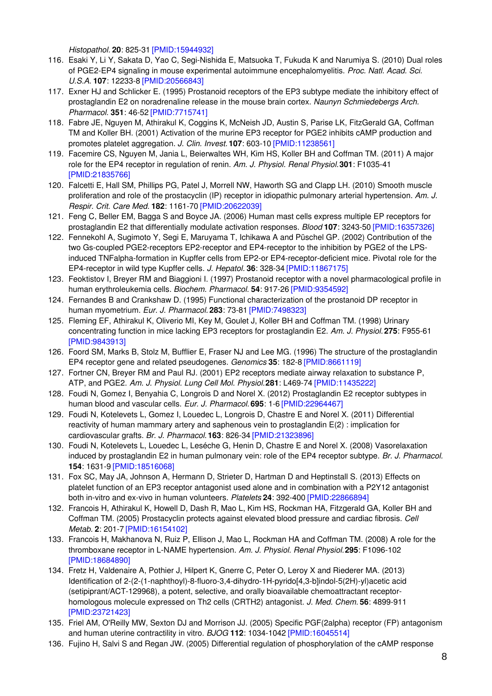*Histopathol.* **20**: 825-31 [\[PMID:15944932\]](http://www.ncbi.nlm.nih.gov/pubmed/15944932?dopt=AbstractPlus)

- 116. Esaki Y, Li Y, Sakata D, Yao C, Segi-Nishida E, Matsuoka T, Fukuda K and Narumiya S. (2010) Dual roles of PGE2-EP4 signaling in mouse experimental autoimmune encephalomyelitis. *Proc. Natl. Acad. Sci. U.S.A.* **107**: 12233-8 [\[PMID:20566843\]](http://www.ncbi.nlm.nih.gov/pubmed/20566843?dopt=AbstractPlus)
- 117. Exner HJ and Schlicker E. (1995) Prostanoid receptors of the EP3 subtype mediate the inhibitory effect of prostaglandin E2 on noradrenaline release in the mouse brain cortex. *Naunyn Schmiedebergs Arch. Pharmacol.* **351**: 46-52 [\[PMID:7715741\]](http://www.ncbi.nlm.nih.gov/pubmed/7715741?dopt=AbstractPlus)
- 118. Fabre JE, Nguyen M, Athirakul K, Coggins K, McNeish JD, Austin S, Parise LK, FitzGerald GA, Coffman TM and Koller BH. (2001) Activation of the murine EP3 receptor for PGE2 inhibits cAMP production and promotes platelet aggregation. *J. Clin. Invest.* **107**: 603-10 [\[PMID:11238561\]](http://www.ncbi.nlm.nih.gov/pubmed/11238561?dopt=AbstractPlus)
- 119. Facemire CS, Nguyen M, Jania L, Beierwaltes WH, Kim HS, Koller BH and Coffman TM. (2011) A major role for the EP4 receptor in regulation of renin. *Am. J. Physiol. Renal Physiol.***301**: F1035-41 [\[PMID:21835766\]](http://www.ncbi.nlm.nih.gov/pubmed/21835766?dopt=AbstractPlus)
- 120. Falcetti E, Hall SM, Phillips PG, Patel J, Morrell NW, Haworth SG and Clapp LH. (2010) Smooth muscle proliferation and role of the prostacyclin (IP) receptor in idiopathic pulmonary arterial hypertension. *Am. J. Respir. Crit. Care Med.* **182**: 1161-70 [\[PMID:20622039\]](http://www.ncbi.nlm.nih.gov/pubmed/20622039?dopt=AbstractPlus)
- 121. Feng C, Beller EM, Bagga S and Boyce JA. (2006) Human mast cells express multiple EP receptors for prostaglandin E2 that differentially modulate activation responses. *Blood* **107**: 3243-50 [\[PMID:16357326\]](http://www.ncbi.nlm.nih.gov/pubmed/16357326?dopt=AbstractPlus)
- 122. Fennekohl A, Sugimoto Y, Segi E, Maruyama T, Ichikawa A and Püschel GP. (2002) Contribution of the two Gs-coupled PGE2-receptors EP2-receptor and EP4-receptor to the inhibition by PGE2 of the LPSinduced TNFalpha-formation in Kupffer cells from EP2-or EP4-receptor-deficient mice. Pivotal role for the EP4-receptor in wild type Kupffer cells. *J. Hepatol.* **36**: 328-34 [\[PMID:11867175\]](http://www.ncbi.nlm.nih.gov/pubmed/11867175?dopt=AbstractPlus)
- 123. Feoktistov I, Breyer RM and Biaggioni I. (1997) Prostanoid receptor with a novel pharmacological profile in human erythroleukemia cells. *Biochem. Pharmacol.* **54**: 917-26 [\[PMID:9354592\]](http://www.ncbi.nlm.nih.gov/pubmed/9354592?dopt=AbstractPlus)
- 124. Fernandes B and Crankshaw D. (1995) Functional characterization of the prostanoid DP receptor in human myometrium. *Eur. J. Pharmacol.* **283**: 73-81 [\[PMID:7498323\]](http://www.ncbi.nlm.nih.gov/pubmed/7498323?dopt=AbstractPlus)
- 125. Fleming EF, Athirakul K, Oliverio MI, Key M, Goulet J, Koller BH and Coffman TM. (1998) Urinary concentrating function in mice lacking EP3 receptors for prostaglandin E2. *Am. J. Physiol.* **275**: F955-61 [\[PMID:9843913\]](http://www.ncbi.nlm.nih.gov/pubmed/9843913?dopt=AbstractPlus)
- 126. Foord SM, Marks B, Stolz M, Bufflier E, Fraser NJ and Lee MG. (1996) The structure of the prostaglandin EP4 receptor gene and related pseudogenes. *Genomics* **35**: 182-8 [\[PMID:8661119\]](http://www.ncbi.nlm.nih.gov/pubmed/8661119?dopt=AbstractPlus)
- 127. Fortner CN, Breyer RM and Paul RJ. (2001) EP2 receptors mediate airway relaxation to substance P, ATP, and PGE2. *Am. J. Physiol. Lung Cell Mol. Physiol.***281**: L469-74 [\[PMID:11435222\]](http://www.ncbi.nlm.nih.gov/pubmed/11435222?dopt=AbstractPlus)
- 128. Foudi N, Gomez I, Benyahia C, Longrois D and Norel X. (2012) Prostaglandin E2 receptor subtypes in human blood and vascular cells. *Eur. J. Pharmacol.* **695**: 1-6 [\[PMID:22964467\]](http://www.ncbi.nlm.nih.gov/pubmed/22964467?dopt=AbstractPlus)
- 129. Foudi N, Kotelevets L, Gomez I, Louedec L, Longrois D, Chastre E and Norel X. (2011) Differential reactivity of human mammary artery and saphenous vein to prostaglandin E(2) : implication for cardiovascular grafts. *Br. J. Pharmacol.* **163**: 826-34 [\[PMID:21323896\]](http://www.ncbi.nlm.nih.gov/pubmed/21323896?dopt=AbstractPlus)
- 130. Foudi N, Kotelevets L, Louedec L, Leséche G, Henin D, Chastre E and Norel X. (2008) Vasorelaxation induced by prostaglandin E2 in human pulmonary vein: role of the EP4 receptor subtype. *Br. J. Pharmacol.* **154**: 1631-9 [\[PMID:18516068\]](http://www.ncbi.nlm.nih.gov/pubmed/18516068?dopt=AbstractPlus)
- 131. Fox SC, May JA, Johnson A, Hermann D, Strieter D, Hartman D and Heptinstall S. (2013) Effects on platelet function of an EP3 receptor antagonist used alone and in combination with a P2Y12 antagonist both in-vitro and ex-vivo in human volunteers. *Platelets* **24**: 392-400 [\[PMID:22866894\]](http://www.ncbi.nlm.nih.gov/pubmed/22866894?dopt=AbstractPlus)
- 132. Francois H, Athirakul K, Howell D, Dash R, Mao L, Kim HS, Rockman HA, Fitzgerald GA, Koller BH and Coffman TM. (2005) Prostacyclin protects against elevated blood pressure and cardiac fibrosis. *Cell Metab.* **2**: 201-7 [\[PMID:16154102\]](http://www.ncbi.nlm.nih.gov/pubmed/16154102?dopt=AbstractPlus)
- 133. Francois H, Makhanova N, Ruiz P, Ellison J, Mao L, Rockman HA and Coffman TM. (2008) A role for the thromboxane receptor in L-NAME hypertension. *Am. J. Physiol. Renal Physiol.***295**: F1096-102 [\[PMID:18684890\]](http://www.ncbi.nlm.nih.gov/pubmed/18684890?dopt=AbstractPlus)
- 134. Fretz H, Valdenaire A, Pothier J, Hilpert K, Gnerre C, Peter O, Leroy X and Riederer MA. (2013) Identification of 2-(2-(1-naphthoyl)-8-fluoro-3,4-dihydro-1H-pyrido[4,3-b]indol-5(2H)-yl)acetic acid (setipiprant/ACT-129968), a potent, selective, and orally bioavailable chemoattractant receptorhomologous molecule expressed on Th2 cells (CRTH2) antagonist. *J. Med. Chem.* **56**: 4899-911 [\[PMID:23721423\]](http://www.ncbi.nlm.nih.gov/pubmed/23721423?dopt=AbstractPlus)
- 135. Friel AM, O'Reilly MW, Sexton DJ and Morrison JJ. (2005) Specific PGF(2alpha) receptor (FP) antagonism and human uterine contractility in vitro. *BJOG* **112**: 1034-1042 [\[PMID:16045514\]](http://www.ncbi.nlm.nih.gov/pubmed/16045514?dopt=AbstractPlus)
- 136. Fujino H, Salvi S and Regan JW. (2005) Differential regulation of phosphorylation of the cAMP response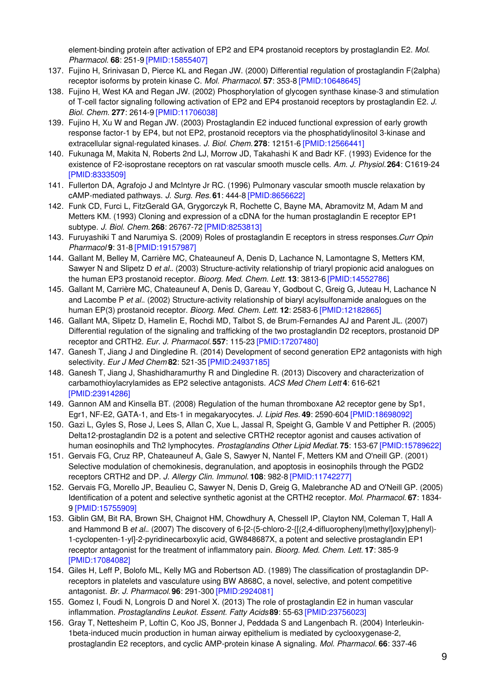element-binding protein after activation of EP2 and EP4 prostanoid receptors by prostaglandin E2. *Mol. Pharmacol.* **68**: 251-9 [\[PMID:15855407\]](http://www.ncbi.nlm.nih.gov/pubmed/15855407?dopt=AbstractPlus)

- 137. Fujino H, Srinivasan D, Pierce KL and Regan JW. (2000) Differential regulation of prostaglandin F(2alpha) receptor isoforms by protein kinase C. *Mol. Pharmacol.* **57**: 353-8 [\[PMID:10648645\]](http://www.ncbi.nlm.nih.gov/pubmed/10648645?dopt=AbstractPlus)
- 138. Fujino H, West KA and Regan JW. (2002) Phosphorylation of glycogen synthase kinase-3 and stimulation of T-cell factor signaling following activation of EP2 and EP4 prostanoid receptors by prostaglandin E2. *J. Biol. Chem.* **277**: 2614-9 [\[PMID:11706038\]](http://www.ncbi.nlm.nih.gov/pubmed/11706038?dopt=AbstractPlus)
- 139. Fujino H, Xu W and Regan JW. (2003) Prostaglandin E2 induced functional expression of early growth response factor-1 by EP4, but not EP2, prostanoid receptors via the phosphatidylinositol 3-kinase and extracellular signal-regulated kinases. *J. Biol. Chem.* **278**: 12151-6 [\[PMID:12566441\]](http://www.ncbi.nlm.nih.gov/pubmed/12566441?dopt=AbstractPlus)
- 140. Fukunaga M, Makita N, Roberts 2nd LJ, Morrow JD, Takahashi K and Badr KF. (1993) Evidence for the existence of F2-isoprostane receptors on rat vascular smooth muscle cells. *Am. J. Physiol.* **264**: C1619-24 [\[PMID:8333509\]](http://www.ncbi.nlm.nih.gov/pubmed/8333509?dopt=AbstractPlus)
- 141. Fullerton DA, Agrafojo J and McIntyre Jr RC. (1996) Pulmonary vascular smooth muscle relaxation by cAMP-mediated pathways. *J. Surg. Res.* **61**: 444-8 [\[PMID:8656622\]](http://www.ncbi.nlm.nih.gov/pubmed/8656622?dopt=AbstractPlus)
- 142. Funk CD, Furci L, FitzGerald GA, Grygorczyk R, Rochette C, Bayne MA, Abramovitz M, Adam M and Metters KM. (1993) Cloning and expression of a cDNA for the human prostaglandin E receptor EP1 subtype. *J. Biol. Chem.* **268**: 26767-72 [\[PMID:8253813\]](http://www.ncbi.nlm.nih.gov/pubmed/8253813?dopt=AbstractPlus)
- 143. Furuyashiki T and Narumiya S. (2009) Roles of prostaglandin E receptors in stress responses.*Curr Opin Pharmacol* **9**: 31-8 [\[PMID:19157987\]](http://www.ncbi.nlm.nih.gov/pubmed/19157987?dopt=AbstractPlus)
- 144. Gallant M, Belley M, Carrière MC, Chateauneuf A, Denis D, Lachance N, Lamontagne S, Metters KM, Sawyer N and Slipetz D *et al.*. (2003) Structure-activity relationship of triaryl propionic acid analogues on the human EP3 prostanoid receptor. *Bioorg. Med. Chem. Lett.* **13**: 3813-6 [\[PMID:14552786\]](http://www.ncbi.nlm.nih.gov/pubmed/14552786?dopt=AbstractPlus)
- 145. Gallant M, Carrière MC, Chateauneuf A, Denis D, Gareau Y, Godbout C, Greig G, Juteau H, Lachance N and Lacombe P *et al.*. (2002) Structure-activity relationship of biaryl acylsulfonamide analogues on the human EP(3) prostanoid receptor. *Bioorg. Med. Chem. Lett.* **12**: 2583-6 [\[PMID:12182865\]](http://www.ncbi.nlm.nih.gov/pubmed/12182865?dopt=AbstractPlus)
- 146. Gallant MA, Slipetz D, Hamelin E, Rochdi MD, Talbot S, de Brum-Fernandes AJ and Parent JL. (2007) Differential regulation of the signaling and trafficking of the two prostaglandin D2 receptors, prostanoid DP receptor and CRTH2. *Eur. J. Pharmacol.* **557**: 115-23 [\[PMID:17207480\]](http://www.ncbi.nlm.nih.gov/pubmed/17207480?dopt=AbstractPlus)
- 147. Ganesh T, Jiang J and Dingledine R. (2014) Development of second generation EP2 antagonists with high selectivity. *Eur J Med Chem* **82**: 521-35 [\[PMID:24937185\]](http://www.ncbi.nlm.nih.gov/pubmed/24937185?dopt=AbstractPlus)
- 148. Ganesh T, Jiang J, Shashidharamurthy R and Dingledine R. (2013) Discovery and characterization of carbamothioylacrylamides as EP2 selective antagonists. *ACS Med Chem Lett* **4**: 616-621 [\[PMID:23914286\]](http://www.ncbi.nlm.nih.gov/pubmed/23914286?dopt=AbstractPlus)
- 149. Gannon AM and Kinsella BT. (2008) Regulation of the human thromboxane A2 receptor gene by Sp1, Egr1, NF-E2, GATA-1, and Ets-1 in megakaryocytes. *J. Lipid Res.* **49**: 2590-604 [\[PMID:18698092\]](http://www.ncbi.nlm.nih.gov/pubmed/18698092?dopt=AbstractPlus)
- 150. Gazi L, Gyles S, Rose J, Lees S, Allan C, Xue L, Jassal R, Speight G, Gamble V and Pettipher R. (2005) Delta12-prostaglandin D2 is a potent and selective CRTH2 receptor agonist and causes activation of human eosinophils and Th2 lymphocytes. *Prostaglandins Other Lipid Mediat.* **75**: 153-67 [\[PMID:15789622\]](http://www.ncbi.nlm.nih.gov/pubmed/15789622?dopt=AbstractPlus)
- 151. Gervais FG, Cruz RP, Chateauneuf A, Gale S, Sawyer N, Nantel F, Metters KM and O'neill GP. (2001) Selective modulation of chemokinesis, degranulation, and apoptosis in eosinophils through the PGD2 receptors CRTH2 and DP. *J. Allergy Clin. Immunol.* **108**: 982-8 [\[PMID:11742277\]](http://www.ncbi.nlm.nih.gov/pubmed/11742277?dopt=AbstractPlus)
- 152. Gervais FG, Morello JP, Beaulieu C, Sawyer N, Denis D, Greig G, Malebranche AD and O'Neill GP. (2005) Identification of a potent and selective synthetic agonist at the CRTH2 receptor. *Mol. Pharmacol.* **67**: 1834- 9 [\[PMID:15755909\]](http://www.ncbi.nlm.nih.gov/pubmed/15755909?dopt=AbstractPlus)
- 153. Giblin GM, Bit RA, Brown SH, Chaignot HM, Chowdhury A, Chessell IP, Clayton NM, Coleman T, Hall A and Hammond B et al.. (2007) The discovery of 6-[2-(5-chloro-2-{ $[(2,4-difluoropheny])$ methyl]oxy}phenyl)-1-cyclopenten-1-yl]-2-pyridinecarboxylic acid, GW848687X, a potent and selective prostaglandin EP1 receptor antagonist for the treatment of inflammatory pain. *Bioorg. Med. Chem. Lett.* **17**: 385-9 [\[PMID:17084082\]](http://www.ncbi.nlm.nih.gov/pubmed/17084082?dopt=AbstractPlus)
- 154. Giles H, Leff P, Bolofo ML, Kelly MG and Robertson AD. (1989) The classification of prostaglandin DPreceptors in platelets and vasculature using BW A868C, a novel, selective, and potent competitive antagonist. *Br. J. Pharmacol.* **96**: 291-300 [\[PMID:2924081\]](http://www.ncbi.nlm.nih.gov/pubmed/2924081?dopt=AbstractPlus)
- 155. Gomez I, Foudi N, Longrois D and Norel X. (2013) The role of prostaglandin E2 in human vascular inflammation. *Prostaglandins Leukot. Essent. Fatty Acids***89**: 55-63 [\[PMID:23756023\]](http://www.ncbi.nlm.nih.gov/pubmed/23756023?dopt=AbstractPlus)
- 156. Gray T, Nettesheim P, Loftin C, Koo JS, Bonner J, Peddada S and Langenbach R. (2004) Interleukin-1beta-induced mucin production in human airway epithelium is mediated by cyclooxygenase-2, prostaglandin E2 receptors, and cyclic AMP-protein kinase A signaling. *Mol. Pharmacol.* **66**: 337-46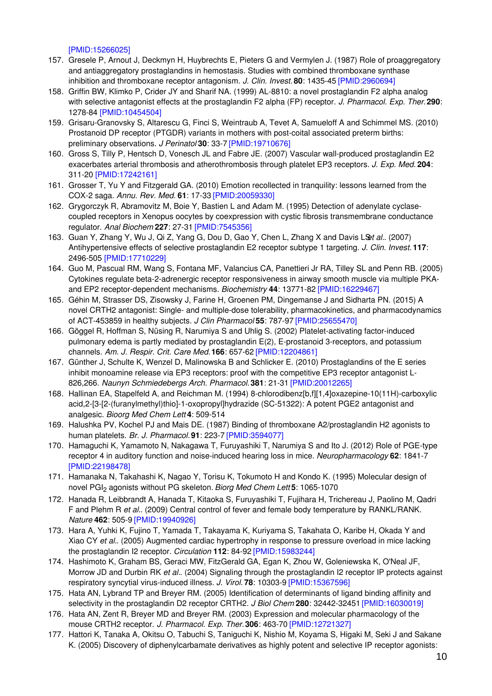[\[PMID:15266025\]](http://www.ncbi.nlm.nih.gov/pubmed/15266025?dopt=AbstractPlus)

- 157. Gresele P, Arnout J, Deckmyn H, Huybrechts E, Pieters G and Vermylen J. (1987) Role of proaggregatory and antiaggregatory prostaglandins in hemostasis. Studies with combined thromboxane synthase inhibition and thromboxane receptor antagonism. *J. Clin. Invest.* **80**: 1435-45 [\[PMID:2960694\]](http://www.ncbi.nlm.nih.gov/pubmed/2960694?dopt=AbstractPlus)
- 158. Griffin BW, Klimko P, Crider JY and Sharif NA. (1999) AL-8810: a novel prostaglandin F2 alpha analog with selective antagonist effects at the prostaglandin F2 alpha (FP) receptor. *J. Pharmacol. Exp. Ther.***290**: 1278-84 [\[PMID:10454504\]](http://www.ncbi.nlm.nih.gov/pubmed/10454504?dopt=AbstractPlus)
- 159. Grisaru-Granovsky S, Altarescu G, Finci S, Weintraub A, Tevet A, Samueloff A and Schimmel MS. (2010) Prostanoid DP receptor (PTGDR) variants in mothers with post-coital associated preterm births: preliminary observations. *J Perinatol* **30**: 33-7 [\[PMID:19710676\]](http://www.ncbi.nlm.nih.gov/pubmed/19710676?dopt=AbstractPlus)
- 160. Gross S, Tilly P, Hentsch D, Vonesch JL and Fabre JE. (2007) Vascular wall-produced prostaglandin E2 exacerbates arterial thrombosis and atherothrombosis through platelet EP3 receptors. *J. Exp. Med.* **204**: 311-20 [\[PMID:17242161\]](http://www.ncbi.nlm.nih.gov/pubmed/17242161?dopt=AbstractPlus)
- 161. Grosser T, Yu Y and Fitzgerald GA. (2010) Emotion recollected in tranquility: lessons learned from the COX-2 saga. *Annu. Rev. Med.* **61**: 17-33 [\[PMID:20059330\]](http://www.ncbi.nlm.nih.gov/pubmed/20059330?dopt=AbstractPlus)
- 162. Grygorczyk R, Abramovitz M, Boie Y, Bastien L and Adam M. (1995) Detection of adenylate cyclasecoupled receptors in Xenopus oocytes by coexpression with cystic fibrosis transmembrane conductance regulator. *Anal Biochem* **227**: 27-31 [\[PMID:7545356\]](http://www.ncbi.nlm.nih.gov/pubmed/7545356?dopt=AbstractPlus)
- 163. Guan Y, Zhang Y, Wu J, Qi Z, Yang G, Dou D, Gao Y, Chen L, Zhang X and Davis L&t al. (2007) Antihypertensive effects of selective prostaglandin E2 receptor subtype 1 targeting. *J. Clin. Invest.* **117**: 2496-505 [\[PMID:17710229\]](http://www.ncbi.nlm.nih.gov/pubmed/17710229?dopt=AbstractPlus)
- 164. Guo M, Pascual RM, Wang S, Fontana MF, Valancius CA, Panettieri Jr RA, Tilley SL and Penn RB. (2005) Cytokines regulate beta-2-adrenergic receptor responsiveness in airway smooth muscle via multiple PKAand EP2 receptor-dependent mechanisms. *Biochemistry* **44**: 13771-82 [\[PMID:16229467\]](http://www.ncbi.nlm.nih.gov/pubmed/16229467?dopt=AbstractPlus)
- 165. Géhin M, Strasser DS, Zisowsky J, Farine H, Groenen PM, Dingemanse J and Sidharta PN. (2015) A novel CRTH2 antagonist: Single- and multiple-dose tolerability, pharmacokinetics, and pharmacodynamics of ACT-453859 in healthy subjects. *J Clin Pharmacol* **55**: 787-97 [\[PMID:25655470\]](http://www.ncbi.nlm.nih.gov/pubmed/25655470?dopt=AbstractPlus)
- 166. Göggel R, Hoffman S, Nüsing R, Narumiya S and Uhlig S. (2002) Platelet-activating factor-induced pulmonary edema is partly mediated by prostaglandin E(2), E-prostanoid 3-receptors, and potassium channels. *Am. J. Respir. Crit. Care Med.***166**: 657-62 [\[PMID:12204861\]](http://www.ncbi.nlm.nih.gov/pubmed/12204861?dopt=AbstractPlus)
- 167. Günther J, Schulte K, Wenzel D, Malinowska B and Schlicker E. (2010) Prostaglandins of the E series inhibit monoamine release via EP3 receptors: proof with the competitive EP3 receptor antagonist L-826,266. *Naunyn Schmiedebergs Arch. Pharmacol.* **381**: 21-31 [\[PMID:20012265\]](http://www.ncbi.nlm.nih.gov/pubmed/20012265?dopt=AbstractPlus)
- 168. Hallinan EA, Stapelfeld A, and Reichman M. (1994) 8-chlorodibenz[b,f][1,4]oxazepine-10(11H)-carboxylic acid,2-[3-[2-(furanylmethyl)thio]-1-oxopropyl]hydrazide (SC-51322): A potent PGE2 antagonist and analgesic. *Bioorg Med Chem Lett* **4**: 509-514
- 169. Halushka PV, Kochel PJ and Mais DE. (1987) Binding of thromboxane A2/prostaglandin H2 agonists to human platelets. *Br. J. Pharmacol.* **91**: 223-7 [\[PMID:3594077\]](http://www.ncbi.nlm.nih.gov/pubmed/3594077?dopt=AbstractPlus)
- 170. Hamaguchi K, Yamamoto N, Nakagawa T, Furuyashiki T, Narumiya S and Ito J. (2012) Role of PGE-type receptor 4 in auditory function and noise-induced hearing loss in mice. *Neuropharmacology* **62**: 1841-7 [\[PMID:22198478\]](http://www.ncbi.nlm.nih.gov/pubmed/22198478?dopt=AbstractPlus)
- 171. Hamanaka N, Takahashi K, Nagao Y, Torisu K, Tokumoto H and Kondo K. (1995) Molecular design of novel PGI<sup>2</sup> agonists without PG skeleton. *Biorg Med Chem Lett* **5**: 1065-1070
- 172. Hanada R, Leibbrandt A, Hanada T, Kitaoka S, Furuyashiki T, Fujihara H, Trichereau J, Paolino M, Qadri F and Plehm R *et al.*. (2009) Central control of fever and female body temperature by RANKL/RANK. *Nature* **462**: 505-9 [\[PMID:19940926\]](http://www.ncbi.nlm.nih.gov/pubmed/19940926?dopt=AbstractPlus)
- 173. Hara A, Yuhki K, Fujino T, Yamada T, Takayama K, Kuriyama S, Takahata O, Karibe H, Okada Y and Xiao CY *et al.*. (2005) Augmented cardiac hypertrophy in response to pressure overload in mice lacking the prostaglandin I2 receptor. *Circulation* **112**: 84-92 [\[PMID:15983244\]](http://www.ncbi.nlm.nih.gov/pubmed/15983244?dopt=AbstractPlus)
- 174. Hashimoto K, Graham BS, Geraci MW, FitzGerald GA, Egan K, Zhou W, Goleniewska K, O'Neal JF, Morrow JD and Durbin RK *et al.*. (2004) Signaling through the prostaglandin I2 receptor IP protects against respiratory syncytial virus-induced illness. *J. Virol.* **78**: 10303-9 [\[PMID:15367596\]](http://www.ncbi.nlm.nih.gov/pubmed/15367596?dopt=AbstractPlus)
- 175. Hata AN, Lybrand TP and Breyer RM. (2005) Identification of determinants of ligand binding affinity and selectivity in the prostaglandin D2 receptor CRTH2. *J Biol Chem* **280**: 32442-32451 [\[PMID:16030019\]](http://www.ncbi.nlm.nih.gov/pubmed/16030019?dopt=AbstractPlus)
- 176. Hata AN, Zent R, Breyer MD and Breyer RM. (2003) Expression and molecular pharmacology of the mouse CRTH2 receptor. *J. Pharmacol. Exp. Ther.***306**: 463-70 [\[PMID:12721327\]](http://www.ncbi.nlm.nih.gov/pubmed/12721327?dopt=AbstractPlus)
- 177. Hattori K, Tanaka A, Okitsu O, Tabuchi S, Taniguchi K, Nishio M, Koyama S, Higaki M, Seki J and Sakane K. (2005) Discovery of diphenylcarbamate derivatives as highly potent and selective IP receptor agonists: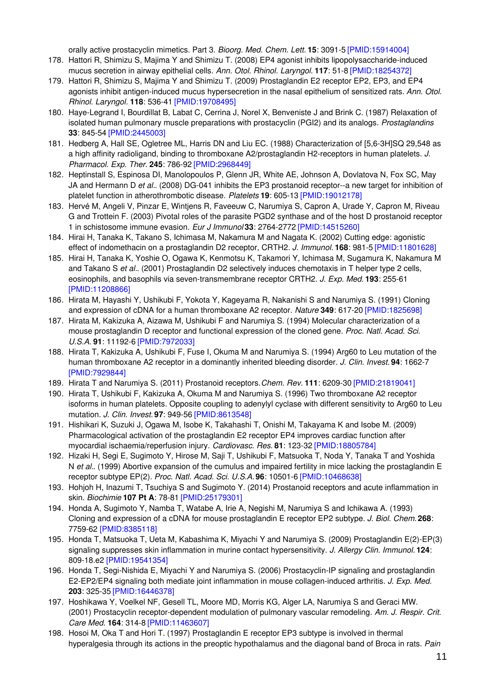orally active prostacyclin mimetics. Part 3. *Bioorg. Med. Chem. Lett.* **15**: 3091-5 [\[PMID:15914004\]](http://www.ncbi.nlm.nih.gov/pubmed/15914004?dopt=AbstractPlus)

- 178. Hattori R, Shimizu S, Majima Y and Shimizu T. (2008) EP4 agonist inhibits lipopolysaccharide-induced mucus secretion in airway epithelial cells. *Ann. Otol. Rhinol. Laryngol.* **117**: 51-8 [\[PMID:18254372\]](http://www.ncbi.nlm.nih.gov/pubmed/18254372?dopt=AbstractPlus)
- 179. Hattori R, Shimizu S, Majima Y and Shimizu T. (2009) Prostaglandin E2 receptor EP2, EP3, and EP4 agonists inhibit antigen-induced mucus hypersecretion in the nasal epithelium of sensitized rats. *Ann. Otol. Rhinol. Laryngol.* **118**: 536-41 [\[PMID:19708495\]](http://www.ncbi.nlm.nih.gov/pubmed/19708495?dopt=AbstractPlus)
- 180. Haye-Legrand I, Bourdillat B, Labat C, Cerrina J, Norel X, Benveniste J and Brink C. (1987) Relaxation of isolated human pulmonary muscle preparations with prostacyclin (PGI2) and its analogs. *Prostaglandins* **33**: 845-54 [\[PMID:2445003\]](http://www.ncbi.nlm.nih.gov/pubmed/2445003?dopt=AbstractPlus)
- 181. Hedberg A, Hall SE, Ogletree ML, Harris DN and Liu EC. (1988) Characterization of [5,6-3H]SQ 29,548 as a high affinity radioligand, binding to thromboxane A2/prostaglandin H2-receptors in human platelets. *J. Pharmacol. Exp. Ther.* **245**: 786-92 [\[PMID:2968449\]](http://www.ncbi.nlm.nih.gov/pubmed/2968449?dopt=AbstractPlus)
- 182. Heptinstall S, Espinosa DI, Manolopoulos P, Glenn JR, White AE, Johnson A, Dovlatova N, Fox SC, May JA and Hermann D *et al.*. (2008) DG-041 inhibits the EP3 prostanoid receptor--a new target for inhibition of platelet function in atherothrombotic disease. *Platelets* **19**: 605-13 [\[PMID:19012178\]](http://www.ncbi.nlm.nih.gov/pubmed/19012178?dopt=AbstractPlus)
- 183. Hervé M, Angeli V, Pinzar E, Wintjens R, Faveeuw C, Narumiya S, Capron A, Urade Y, Capron M, Riveau G and Trottein F. (2003) Pivotal roles of the parasite PGD2 synthase and of the host D prostanoid receptor 1 in schistosome immune evasion. *Eur J Immunol* **33**: 2764-2772 [\[PMID:14515260\]](http://www.ncbi.nlm.nih.gov/pubmed/14515260?dopt=AbstractPlus)
- 184. Hirai H, Tanaka K, Takano S, Ichimasa M, Nakamura M and Nagata K. (2002) Cutting edge: agonistic effect of indomethacin on a prostaglandin D2 receptor, CRTH2. *J. Immunol.* **168**: 981-5 [\[PMID:11801628\]](http://www.ncbi.nlm.nih.gov/pubmed/11801628?dopt=AbstractPlus)
- 185. Hirai H, Tanaka K, Yoshie O, Ogawa K, Kenmotsu K, Takamori Y, Ichimasa M, Sugamura K, Nakamura M and Takano S *et al.*. (2001) Prostaglandin D2 selectively induces chemotaxis in T helper type 2 cells, eosinophils, and basophils via seven-transmembrane receptor CRTH2. *J. Exp. Med.* **193**: 255-61 [\[PMID:11208866\]](http://www.ncbi.nlm.nih.gov/pubmed/11208866?dopt=AbstractPlus)
- 186. Hirata M, Hayashi Y, Ushikubi F, Yokota Y, Kageyama R, Nakanishi S and Narumiya S. (1991) Cloning and expression of cDNA for a human thromboxane A2 receptor. *Nature* **349**: 617-20 [\[PMID:1825698\]](http://www.ncbi.nlm.nih.gov/pubmed/1825698?dopt=AbstractPlus)
- 187. Hirata M, Kakizuka A, Aizawa M, Ushikubi F and Narumiya S. (1994) Molecular characterization of a mouse prostaglandin D receptor and functional expression of the cloned gene. *Proc. Natl. Acad. Sci. U.S.A.* **91**: 11192-6 [\[PMID:7972033\]](http://www.ncbi.nlm.nih.gov/pubmed/7972033?dopt=AbstractPlus)
- 188. Hirata T, Kakizuka A, Ushikubi F, Fuse I, Okuma M and Narumiya S. (1994) Arg60 to Leu mutation of the human thromboxane A2 receptor in a dominantly inherited bleeding disorder. *J. Clin. Invest.* **94**: 1662-7 [\[PMID:7929844\]](http://www.ncbi.nlm.nih.gov/pubmed/7929844?dopt=AbstractPlus)
- 189. Hirata T and Narumiya S. (2011) Prostanoid receptors.*Chem. Rev.* **111**: 6209-30 [\[PMID:21819041\]](http://www.ncbi.nlm.nih.gov/pubmed/21819041?dopt=AbstractPlus)
- 190. Hirata T, Ushikubi F, Kakizuka A, Okuma M and Narumiya S. (1996) Two thromboxane A2 receptor isoforms in human platelets. Opposite coupling to adenylyl cyclase with different sensitivity to Arg60 to Leu mutation. *J. Clin. Invest.* **97**: 949-56 [\[PMID:8613548\]](http://www.ncbi.nlm.nih.gov/pubmed/8613548?dopt=AbstractPlus)
- 191. Hishikari K, Suzuki J, Ogawa M, Isobe K, Takahashi T, Onishi M, Takayama K and Isobe M. (2009) Pharmacological activation of the prostaglandin E2 receptor EP4 improves cardiac function after myocardial ischaemia/reperfusion injury. *Cardiovasc. Res.* **81**: 123-32 [\[PMID:18805784\]](http://www.ncbi.nlm.nih.gov/pubmed/18805784?dopt=AbstractPlus)
- 192. Hizaki H, Segi E, Sugimoto Y, Hirose M, Saji T, Ushikubi F, Matsuoka T, Noda Y, Tanaka T and Yoshida N *et al.*. (1999) Abortive expansion of the cumulus and impaired fertility in mice lacking the prostaglandin E receptor subtype EP(2). *Proc. Natl. Acad. Sci. U.S.A.* **96**: 10501-6 [\[PMID:10468638\]](http://www.ncbi.nlm.nih.gov/pubmed/10468638?dopt=AbstractPlus)
- 193. Hohjoh H, Inazumi T, Tsuchiya S and Sugimoto Y. (2014) Prostanoid receptors and acute inflammation in skin. *Biochimie* **107 Pt A**: 78-81 [\[PMID:25179301\]](http://www.ncbi.nlm.nih.gov/pubmed/25179301?dopt=AbstractPlus)
- 194. Honda A, Sugimoto Y, Namba T, Watabe A, Irie A, Negishi M, Narumiya S and Ichikawa A. (1993) Cloning and expression of a cDNA for mouse prostaglandin E receptor EP2 subtype. *J. Biol. Chem.* **268**: 7759-62 [\[PMID:8385118\]](http://www.ncbi.nlm.nih.gov/pubmed/8385118?dopt=AbstractPlus)
- 195. Honda T, Matsuoka T, Ueta M, Kabashima K, Miyachi Y and Narumiya S. (2009) Prostaglandin E(2)-EP(3) signaling suppresses skin inflammation in murine contact hypersensitivity. *J. Allergy Clin. Immunol.* **124**: 809-18.e2 [\[PMID:19541354\]](http://www.ncbi.nlm.nih.gov/pubmed/19541354?dopt=AbstractPlus)
- 196. Honda T, Segi-Nishida E, Miyachi Y and Narumiya S. (2006) Prostacyclin-IP signaling and prostaglandin E2-EP2/EP4 signaling both mediate joint inflammation in mouse collagen-induced arthritis. *J. Exp. Med.* **203**: 325-35 [\[PMID:16446378\]](http://www.ncbi.nlm.nih.gov/pubmed/16446378?dopt=AbstractPlus)
- 197. Hoshikawa Y, Voelkel NF, Gesell TL, Moore MD, Morris KG, Alger LA, Narumiya S and Geraci MW. (2001) Prostacyclin receptor-dependent modulation of pulmonary vascular remodeling. *Am. J. Respir. Crit. Care Med.* **164**: 314-8 [\[PMID:11463607\]](http://www.ncbi.nlm.nih.gov/pubmed/11463607?dopt=AbstractPlus)
- 198. Hosoi M, Oka T and Hori T. (1997) Prostaglandin E receptor EP3 subtype is involved in thermal hyperalgesia through its actions in the preoptic hypothalamus and the diagonal band of Broca in rats. *Pain*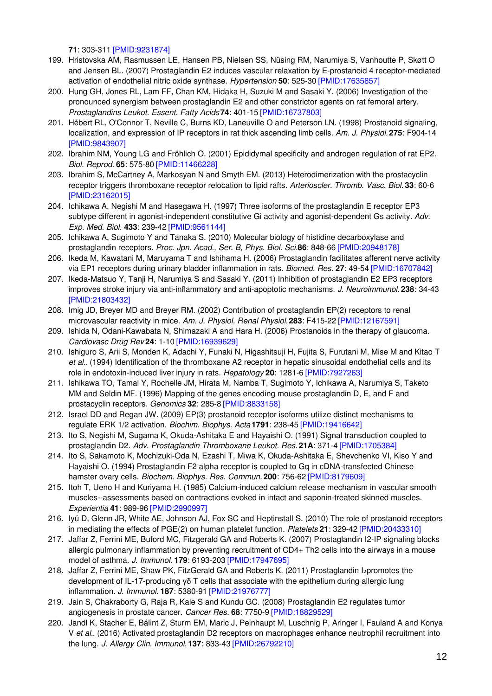**71**: 303-311 [\[PMID:9231874\]](http://www.ncbi.nlm.nih.gov/pubmed/9231874?dopt=AbstractPlus)

- 199. Hristovska AM, Rasmussen LE, Hansen PB, Nielsen SS, Nüsing RM, Narumiya S, Vanhoutte P, Skøtt O and Jensen BL. (2007) Prostaglandin E2 induces vascular relaxation by E-prostanoid 4 receptor-mediated activation of endothelial nitric oxide synthase. *Hypertension* **50**: 525-30 [\[PMID:17635857\]](http://www.ncbi.nlm.nih.gov/pubmed/17635857?dopt=AbstractPlus)
- 200. Hung GH, Jones RL, Lam FF, Chan KM, Hidaka H, Suzuki M and Sasaki Y. (2006) Investigation of the pronounced synergism between prostaglandin E2 and other constrictor agents on rat femoral artery. *Prostaglandins Leukot. Essent. Fatty Acids***74**: 401-15 [\[PMID:16737803\]](http://www.ncbi.nlm.nih.gov/pubmed/16737803?dopt=AbstractPlus)
- 201. Hébert RL, O'Connor T, Neville C, Burns KD, Laneuville O and Peterson LN. (1998) Prostanoid signaling, localization, and expression of IP receptors in rat thick ascending limb cells. *Am. J. Physiol.* **275**: F904-14 [\[PMID:9843907\]](http://www.ncbi.nlm.nih.gov/pubmed/9843907?dopt=AbstractPlus)
- 202. Ibrahim NM, Young LG and Fröhlich O. (2001) Epididymal specificity and androgen regulation of rat EP2. *Biol. Reprod.* **65**: 575-80 [\[PMID:11466228\]](http://www.ncbi.nlm.nih.gov/pubmed/11466228?dopt=AbstractPlus)
- 203. Ibrahim S, McCartney A, Markosyan N and Smyth EM. (2013) Heterodimerization with the prostacyclin receptor triggers thromboxane receptor relocation to lipid rafts. *Arterioscler. Thromb. Vasc. Biol.* **33**: 60-6 [\[PMID:23162015\]](http://www.ncbi.nlm.nih.gov/pubmed/23162015?dopt=AbstractPlus)
- 204. Ichikawa A, Negishi M and Hasegawa H. (1997) Three isoforms of the prostaglandin E receptor EP3 subtype different in agonist-independent constitutive Gi activity and agonist-dependent Gs activity. *Adv. Exp. Med. Biol.* **433**: 239-42 [\[PMID:9561144\]](http://www.ncbi.nlm.nih.gov/pubmed/9561144?dopt=AbstractPlus)
- 205. Ichikawa A, Sugimoto Y and Tanaka S. (2010) Molecular biology of histidine decarboxylase and prostaglandin receptors. *Proc. Jpn. Acad., Ser. B, Phys. Biol. Sci.***86**: 848-66 [\[PMID:20948178\]](http://www.ncbi.nlm.nih.gov/pubmed/20948178?dopt=AbstractPlus)
- 206. Ikeda M, Kawatani M, Maruyama T and Ishihama H. (2006) Prostaglandin facilitates afferent nerve activity via EP1 receptors during urinary bladder inflammation in rats. *Biomed. Res.* **27**: 49-54 [\[PMID:16707842\]](http://www.ncbi.nlm.nih.gov/pubmed/16707842?dopt=AbstractPlus)
- 207. Ikeda-Matsuo Y, Tanji H, Narumiya S and Sasaki Y. (2011) Inhibition of prostaglandin E2 EP3 receptors improves stroke injury via anti-inflammatory and anti-apoptotic mechanisms. *J. Neuroimmunol.* **238**: 34-43 [\[PMID:21803432\]](http://www.ncbi.nlm.nih.gov/pubmed/21803432?dopt=AbstractPlus)
- 208. Imig JD, Breyer MD and Breyer RM. (2002) Contribution of prostaglandin EP(2) receptors to renal microvascular reactivity in mice. *Am. J. Physiol. Renal Physiol.***283**: F415-22 [\[PMID:12167591\]](http://www.ncbi.nlm.nih.gov/pubmed/12167591?dopt=AbstractPlus)
- 209. Ishida N, Odani-Kawabata N, Shimazaki A and Hara H. (2006) Prostanoids in the therapy of glaucoma. *Cardiovasc Drug Rev* **24**: 1-10 [\[PMID:16939629\]](http://www.ncbi.nlm.nih.gov/pubmed/16939629?dopt=AbstractPlus)
- 210. Ishiguro S, Arii S, Monden K, Adachi Y, Funaki N, Higashitsuji H, Fujita S, Furutani M, Mise M and Kitao T *et al.*. (1994) Identification of the thromboxane A2 receptor in hepatic sinusoidal endothelial cells and its role in endotoxin-induced liver injury in rats. *Hepatology* **20**: 1281-6 [\[PMID:7927263\]](http://www.ncbi.nlm.nih.gov/pubmed/7927263?dopt=AbstractPlus)
- 211. Ishikawa TO, Tamai Y, Rochelle JM, Hirata M, Namba T, Sugimoto Y, Ichikawa A, Narumiya S, Taketo MM and Seldin MF. (1996) Mapping of the genes encoding mouse prostaglandin D, E, and F and prostacyclin receptors. *Genomics* **32**: 285-8 [\[PMID:8833158\]](http://www.ncbi.nlm.nih.gov/pubmed/8833158?dopt=AbstractPlus)
- 212. Israel DD and Regan JW. (2009) EP(3) prostanoid receptor isoforms utilize distinct mechanisms to regulate ERK 1/2 activation. *Biochim. Biophys. Acta* **1791**: 238-45 [\[PMID:19416642\]](http://www.ncbi.nlm.nih.gov/pubmed/19416642?dopt=AbstractPlus)
- 213. Ito S, Negishi M, Sugama K, Okuda-Ashitaka E and Hayaishi O. (1991) Signal transduction coupled to prostaglandin D2. *Adv. Prostaglandin Thromboxane Leukot. Res.* **21A**: 371-4 [\[PMID:1705384\]](http://www.ncbi.nlm.nih.gov/pubmed/1705384?dopt=AbstractPlus)
- 214. Ito S, Sakamoto K, Mochizuki-Oda N, Ezashi T, Miwa K, Okuda-Ashitaka E, Shevchenko VI, Kiso Y and Hayaishi O. (1994) Prostaglandin F2 alpha receptor is coupled to Gq in cDNA-transfected Chinese hamster ovary cells. *Biochem. Biophys. Res. Commun.* **200**: 756-62 [\[PMID:8179609\]](http://www.ncbi.nlm.nih.gov/pubmed/8179609?dopt=AbstractPlus)
- 215. Itoh T, Ueno H and Kuriyama H. (1985) Calcium-induced calcium release mechanism in vascular smooth muscles--assessments based on contractions evoked in intact and saponin-treated skinned muscles. *Experientia* **41**: 989-96 [\[PMID:2990997\]](http://www.ncbi.nlm.nih.gov/pubmed/2990997?dopt=AbstractPlus)
- 216. Iyú D, Glenn JR, White AE, Johnson AJ, Fox SC and Heptinstall S. (2010) The role of prostanoid receptors in mediating the effects of PGE(2) on human platelet function. *Platelets* **21**: 329-42 [\[PMID:20433310\]](http://www.ncbi.nlm.nih.gov/pubmed/20433310?dopt=AbstractPlus)
- 217. Jaffar Z, Ferrini ME, Buford MC, Fitzgerald GA and Roberts K. (2007) Prostaglandin I2-IP signaling blocks allergic pulmonary inflammation by preventing recruitment of CD4+ Th2 cells into the airways in a mouse model of asthma. *J. Immunol.* **179**: 6193-203 [\[PMID:17947695\]](http://www.ncbi.nlm.nih.gov/pubmed/17947695?dopt=AbstractPlus)
- 218. Jaffar Z, Ferrini ME, Shaw PK, FitzGerald GA and Roberts K. (2011) Prostaglandin I2promotes the development of IL-17-producing γδ T cells that associate with the epithelium during allergic lung inflammation. *J. Immunol.* **187**: 5380-91 [\[PMID:21976777\]](http://www.ncbi.nlm.nih.gov/pubmed/21976777?dopt=AbstractPlus)
- 219. Jain S, Chakraborty G, Raja R, Kale S and Kundu GC. (2008) Prostaglandin E2 regulates tumor angiogenesis in prostate cancer. *Cancer Res.* **68**: 7750-9 [\[PMID:18829529\]](http://www.ncbi.nlm.nih.gov/pubmed/18829529?dopt=AbstractPlus)
- 220. Jandl K, Stacher E, Bálint Z, Sturm EM, Maric J, Peinhaupt M, Luschnig P, Aringer I, Fauland A and Konya V *et al.*. (2016) Activated prostaglandin D2 receptors on macrophages enhance neutrophil recruitment into the lung. *J. Allergy Clin. Immunol.* **137**: 833-43 [\[PMID:26792210\]](http://www.ncbi.nlm.nih.gov/pubmed/26792210?dopt=AbstractPlus)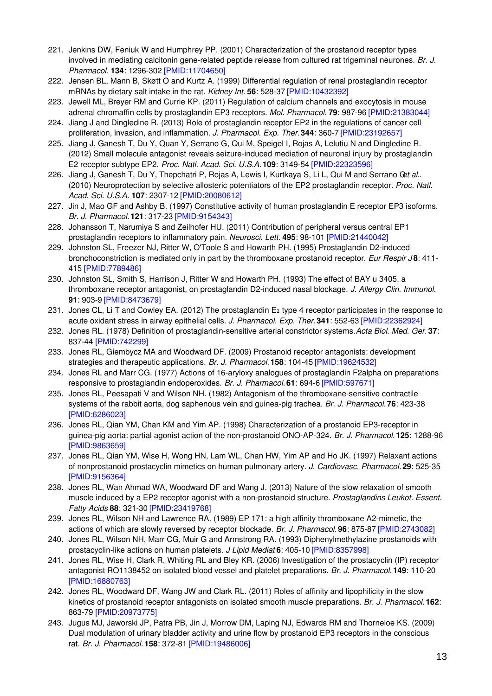- 221. Jenkins DW, Feniuk W and Humphrey PP. (2001) Characterization of the prostanoid receptor types involved in mediating calcitonin gene-related peptide release from cultured rat trigeminal neurones. *Br. J. Pharmacol.* **134**: 1296-302 [\[PMID:11704650\]](http://www.ncbi.nlm.nih.gov/pubmed/11704650?dopt=AbstractPlus)
- 222. Jensen BL, Mann B, Skøtt O and Kurtz A. (1999) Differential regulation of renal prostaglandin receptor mRNAs by dietary salt intake in the rat. *Kidney Int.* **56**: 528-37 [\[PMID:10432392\]](http://www.ncbi.nlm.nih.gov/pubmed/10432392?dopt=AbstractPlus)
- 223. Jewell ML, Breyer RM and Currie KP. (2011) Regulation of calcium channels and exocytosis in mouse adrenal chromaffin cells by prostaglandin EP3 receptors. *Mol. Pharmacol.* **79**: 987-96 [\[PMID:21383044\]](http://www.ncbi.nlm.nih.gov/pubmed/21383044?dopt=AbstractPlus)
- 224. Jiang J and Dingledine R. (2013) Role of prostaglandin receptor EP2 in the regulations of cancer cell proliferation, invasion, and inflammation. *J. Pharmacol. Exp. Ther.***344**: 360-7 [\[PMID:23192657\]](http://www.ncbi.nlm.nih.gov/pubmed/23192657?dopt=AbstractPlus)
- 225. Jiang J, Ganesh T, Du Y, Quan Y, Serrano G, Qui M, Speigel I, Rojas A, Lelutiu N and Dingledine R. (2012) Small molecule antagonist reveals seizure-induced mediation of neuronal injury by prostaglandin E2 receptor subtype EP2. *Proc. Natl. Acad. Sci. U.S.A.* **109**: 3149-54 [\[PMID:22323596\]](http://www.ncbi.nlm.nih.gov/pubmed/22323596?dopt=AbstractPlus)
- 226. Jiang J, Ganesh T, Du Y, Thepchatri P, Rojas A, Lewis I, Kurtkaya S, Li L, Qui M and Serrano G*et al.*. (2010) Neuroprotection by selective allosteric potentiators of the EP2 prostaglandin receptor. *Proc. Natl. Acad. Sci. U.S.A.* **107**: 2307-12 [\[PMID:20080612\]](http://www.ncbi.nlm.nih.gov/pubmed/20080612?dopt=AbstractPlus)
- 227. Jin J, Mao GF and Ashby B. (1997) Constitutive activity of human prostaglandin E receptor EP3 isoforms. *Br. J. Pharmacol.* **121**: 317-23 [\[PMID:9154343\]](http://www.ncbi.nlm.nih.gov/pubmed/9154343?dopt=AbstractPlus)
- 228. Johansson T, Narumiya S and Zeilhofer HU. (2011) Contribution of peripheral versus central EP1 prostaglandin receptors to inflammatory pain. *Neurosci. Lett.* **495**: 98-101 [\[PMID:21440042\]](http://www.ncbi.nlm.nih.gov/pubmed/21440042?dopt=AbstractPlus)
- 229. Johnston SL, Freezer NJ, Ritter W, O'Toole S and Howarth PH. (1995) Prostaglandin D2-induced bronchoconstriction is mediated only in part by the thromboxane prostanoid receptor. *Eur Respir J* **8**: 411- 415 [\[PMID:7789486\]](http://www.ncbi.nlm.nih.gov/pubmed/7789486?dopt=AbstractPlus)
- 230. Johnston SL, Smith S, Harrison J, Ritter W and Howarth PH. (1993) The effect of BAY u 3405, a thromboxane receptor antagonist, on prostaglandin D2-induced nasal blockage. *J. Allergy Clin. Immunol.* **91**: 903-9 [\[PMID:8473679\]](http://www.ncbi.nlm.nih.gov/pubmed/8473679?dopt=AbstractPlus)
- 231. Jones CL, Li T and Cowley EA. (2012) The prostaglandin E<sub>2</sub> type 4 receptor participates in the response to acute oxidant stress in airway epithelial cells. *J. Pharmacol. Exp. Ther.***341**: 552-63 [\[PMID:22362924\]](http://www.ncbi.nlm.nih.gov/pubmed/22362924?dopt=AbstractPlus)
- 232. Jones RL. (1978) Definition of prostaglandin-sensitive arterial constrictor systems.*Acta Biol. Med. Ger.* **37**: 837-44 [\[PMID:742299\]](http://www.ncbi.nlm.nih.gov/pubmed/742299?dopt=AbstractPlus)
- 233. Jones RL, Giembycz MA and Woodward DF. (2009) Prostanoid receptor antagonists: development strategies and therapeutic applications. *Br. J. Pharmacol.* **158**: 104-45 [\[PMID:19624532\]](http://www.ncbi.nlm.nih.gov/pubmed/19624532?dopt=AbstractPlus)
- 234. Jones RL and Marr CG. (1977) Actions of 16-aryloxy analogues of prostaglandin F2alpha on preparations responsive to prostaglandin endoperoxides. *Br. J. Pharmacol.* **61**: 694-6 [\[PMID:597671\]](http://www.ncbi.nlm.nih.gov/pubmed/597671?dopt=AbstractPlus)
- 235. Jones RL, Peesapati V and Wilson NH. (1982) Antagonism of the thromboxane-sensitive contractile systems of the rabbit aorta, dog saphenous vein and guinea-pig trachea. *Br. J. Pharmacol.* **76**: 423-38 [\[PMID:6286023\]](http://www.ncbi.nlm.nih.gov/pubmed/6286023?dopt=AbstractPlus)
- 236. Jones RL, Qian YM, Chan KM and Yim AP. (1998) Characterization of a prostanoid EP3-receptor in guinea-pig aorta: partial agonist action of the non-prostanoid ONO-AP-324. *Br. J. Pharmacol.* **125**: 1288-96 [\[PMID:9863659\]](http://www.ncbi.nlm.nih.gov/pubmed/9863659?dopt=AbstractPlus)
- 237. Jones RL, Qian YM, Wise H, Wong HN, Lam WL, Chan HW, Yim AP and Ho JK. (1997) Relaxant actions of nonprostanoid prostacyclin mimetics on human pulmonary artery. *J. Cardiovasc. Pharmacol.* **29**: 525-35 [\[PMID:9156364\]](http://www.ncbi.nlm.nih.gov/pubmed/9156364?dopt=AbstractPlus)
- 238. Jones RL, Wan Ahmad WA, Woodward DF and Wang J. (2013) Nature of the slow relaxation of smooth muscle induced by a EP2 receptor agonist with a non-prostanoid structure. *Prostaglandins Leukot. Essent. Fatty Acids* **88**: 321-30 [\[PMID:23419768\]](http://www.ncbi.nlm.nih.gov/pubmed/23419768?dopt=AbstractPlus)
- 239. Jones RL, Wilson NH and Lawrence RA. (1989) EP 171: a high affinity thromboxane A2-mimetic, the actions of which are slowly reversed by receptor blockade. *Br. J. Pharmacol.* **96**: 875-87 [\[PMID:2743082\]](http://www.ncbi.nlm.nih.gov/pubmed/2743082?dopt=AbstractPlus)
- 240. Jones RL, Wilson NH, Marr CG, Muir G and Armstrong RA. (1993) Diphenylmethylazine prostanoids with prostacyclin-like actions on human platelets. *J Lipid Mediat* **6**: 405-10 [\[PMID:8357998\]](http://www.ncbi.nlm.nih.gov/pubmed/8357998?dopt=AbstractPlus)
- 241. Jones RL, Wise H, Clark R, Whiting RL and Bley KR. (2006) Investigation of the prostacyclin (IP) receptor antagonist RO1138452 on isolated blood vessel and platelet preparations. *Br. J. Pharmacol.* **149**: 110-20 [\[PMID:16880763\]](http://www.ncbi.nlm.nih.gov/pubmed/16880763?dopt=AbstractPlus)
- 242. Jones RL, Woodward DF, Wang JW and Clark RL. (2011) Roles of affinity and lipophilicity in the slow kinetics of prostanoid receptor antagonists on isolated smooth muscle preparations. *Br. J. Pharmacol.* **162**: 863-79 [\[PMID:20973775\]](http://www.ncbi.nlm.nih.gov/pubmed/20973775?dopt=AbstractPlus)
- 243. Jugus MJ, Jaworski JP, Patra PB, Jin J, Morrow DM, Laping NJ, Edwards RM and Thorneloe KS. (2009) Dual modulation of urinary bladder activity and urine flow by prostanoid EP3 receptors in the conscious rat. *Br. J. Pharmacol.* **158**: 372-81 [\[PMID:19486006\]](http://www.ncbi.nlm.nih.gov/pubmed/19486006?dopt=AbstractPlus)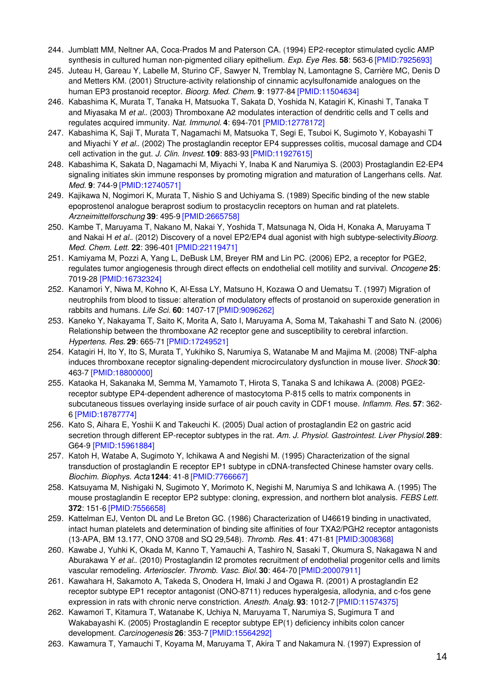- 244. Jumblatt MM, Neltner AA, Coca-Prados M and Paterson CA. (1994) EP2-receptor stimulated cyclic AMP synthesis in cultured human non-pigmented ciliary epithelium. *Exp. Eye Res.* **58**: 563-6 [\[PMID:7925693\]](http://www.ncbi.nlm.nih.gov/pubmed/7925693?dopt=AbstractPlus)
- 245. Juteau H, Gareau Y, Labelle M, Sturino CF, Sawyer N, Tremblay N, Lamontagne S, Carrière MC, Denis D and Metters KM. (2001) Structure-activity relationship of cinnamic acylsulfonamide analogues on the human EP3 prostanoid receptor. *Bioorg. Med. Chem.* **9**: 1977-84 [\[PMID:11504634\]](http://www.ncbi.nlm.nih.gov/pubmed/11504634?dopt=AbstractPlus)
- 246. Kabashima K, Murata T, Tanaka H, Matsuoka T, Sakata D, Yoshida N, Katagiri K, Kinashi T, Tanaka T and Miyasaka M *et al.*. (2003) Thromboxane A2 modulates interaction of dendritic cells and T cells and regulates acquired immunity. *Nat. Immunol.* **4**: 694-701 [\[PMID:12778172\]](http://www.ncbi.nlm.nih.gov/pubmed/12778172?dopt=AbstractPlus)
- 247. Kabashima K, Saji T, Murata T, Nagamachi M, Matsuoka T, Segi E, Tsuboi K, Sugimoto Y, Kobayashi T and Miyachi Y *et al.*. (2002) The prostaglandin receptor EP4 suppresses colitis, mucosal damage and CD4 cell activation in the gut. *J. Clin. Invest.* **109**: 883-93 [\[PMID:11927615\]](http://www.ncbi.nlm.nih.gov/pubmed/11927615?dopt=AbstractPlus)
- 248. Kabashima K, Sakata D, Nagamachi M, Miyachi Y, Inaba K and Narumiya S. (2003) Prostaglandin E2-EP4 signaling initiates skin immune responses by promoting migration and maturation of Langerhans cells. *Nat. Med.* **9**: 744-9 [\[PMID:12740571\]](http://www.ncbi.nlm.nih.gov/pubmed/12740571?dopt=AbstractPlus)
- 249. Kajikawa N, Nogimori K, Murata T, Nishio S and Uchiyama S. (1989) Specific binding of the new stable epoprostenol analogue beraprost sodium to prostacyclin receptors on human and rat platelets. *Arzneimittelforschung* **39**: 495-9 [\[PMID:2665758\]](http://www.ncbi.nlm.nih.gov/pubmed/2665758?dopt=AbstractPlus)
- 250. Kambe T, Maruyama T, Nakano M, Nakai Y, Yoshida T, Matsunaga N, Oida H, Konaka A, Maruyama T and Nakai H *et al.*. (2012) Discovery of a novel EP2/EP4 dual agonist with high subtype-selectivity.*Bioorg. Med. Chem. Lett.* **22**: 396-401 [\[PMID:22119471\]](http://www.ncbi.nlm.nih.gov/pubmed/22119471?dopt=AbstractPlus)
- 251. Kamiyama M, Pozzi A, Yang L, DeBusk LM, Breyer RM and Lin PC. (2006) EP2, a receptor for PGE2, regulates tumor angiogenesis through direct effects on endothelial cell motility and survival. *Oncogene* **25**: 7019-28 [\[PMID:16732324\]](http://www.ncbi.nlm.nih.gov/pubmed/16732324?dopt=AbstractPlus)
- 252. Kanamori Y, Niwa M, Kohno K, Al-Essa LY, Matsuno H, Kozawa O and Uematsu T. (1997) Migration of neutrophils from blood to tissue: alteration of modulatory effects of prostanoid on superoxide generation in rabbits and humans. *Life Sci.* **60**: 1407-17 [\[PMID:9096262\]](http://www.ncbi.nlm.nih.gov/pubmed/9096262?dopt=AbstractPlus)
- 253. Kaneko Y, Nakayama T, Saito K, Morita A, Sato I, Maruyama A, Soma M, Takahashi T and Sato N. (2006) Relationship between the thromboxane A2 receptor gene and susceptibility to cerebral infarction. *Hypertens. Res.* **29**: 665-71 [\[PMID:17249521\]](http://www.ncbi.nlm.nih.gov/pubmed/17249521?dopt=AbstractPlus)
- 254. Katagiri H, Ito Y, Ito S, Murata T, Yukihiko S, Narumiya S, Watanabe M and Majima M. (2008) TNF-alpha induces thromboxane receptor signaling-dependent microcirculatory dysfunction in mouse liver. *Shock* **30**: 463-7 [\[PMID:18800000\]](http://www.ncbi.nlm.nih.gov/pubmed/18800000?dopt=AbstractPlus)
- 255. Kataoka H, Sakanaka M, Semma M, Yamamoto T, Hirota S, Tanaka S and Ichikawa A. (2008) PGE2 receptor subtype EP4-dependent adherence of mastocytoma P-815 cells to matrix components in subcutaneous tissues overlaying inside surface of air pouch cavity in CDF1 mouse. *Inflamm. Res.* **57**: 362- 6 [\[PMID:18787774\]](http://www.ncbi.nlm.nih.gov/pubmed/18787774?dopt=AbstractPlus)
- 256. Kato S, Aihara E, Yoshii K and Takeuchi K. (2005) Dual action of prostaglandin E2 on gastric acid secretion through different EP-receptor subtypes in the rat. *Am. J. Physiol. Gastrointest. Liver Physiol.***289**: G64-9 [\[PMID:15961884\]](http://www.ncbi.nlm.nih.gov/pubmed/15961884?dopt=AbstractPlus)
- 257. Katoh H, Watabe A, Sugimoto Y, Ichikawa A and Negishi M. (1995) Characterization of the signal transduction of prostaglandin E receptor EP1 subtype in cDNA-transfected Chinese hamster ovary cells. *Biochim. Biophys. Acta* **1244**: 41-8 [\[PMID:7766667\]](http://www.ncbi.nlm.nih.gov/pubmed/7766667?dopt=AbstractPlus)
- 258. Katsuyama M, Nishigaki N, Sugimoto Y, Morimoto K, Negishi M, Narumiya S and Ichikawa A. (1995) The mouse prostaglandin E receptor EP2 subtype: cloning, expression, and northern blot analysis. *FEBS Lett.* **372**: 151-6 [\[PMID:7556658\]](http://www.ncbi.nlm.nih.gov/pubmed/7556658?dopt=AbstractPlus)
- 259. Kattelman EJ, Venton DL and Le Breton GC. (1986) Characterization of U46619 binding in unactivated, intact human platelets and determination of binding site affinities of four TXA2/PGH2 receptor antagonists (13-APA, BM 13.177, ONO 3708 and SQ 29,548). *Thromb. Res.* **41**: 471-81 [\[PMID:3008368\]](http://www.ncbi.nlm.nih.gov/pubmed/3008368?dopt=AbstractPlus)
- 260. Kawabe J, Yuhki K, Okada M, Kanno T, Yamauchi A, Tashiro N, Sasaki T, Okumura S, Nakagawa N and Aburakawa Y *et al.*. (2010) Prostaglandin I2 promotes recruitment of endothelial progenitor cells and limits vascular remodeling. *Arterioscler. Thromb. Vasc. Biol.* **30**: 464-70 [\[PMID:20007911\]](http://www.ncbi.nlm.nih.gov/pubmed/20007911?dopt=AbstractPlus)
- 261. Kawahara H, Sakamoto A, Takeda S, Onodera H, Imaki J and Ogawa R. (2001) A prostaglandin E2 receptor subtype EP1 receptor antagonist (ONO-8711) reduces hyperalgesia, allodynia, and c-fos gene expression in rats with chronic nerve constriction. *Anesth. Analg.* **93**: 1012-7 [\[PMID:11574375\]](http://www.ncbi.nlm.nih.gov/pubmed/11574375?dopt=AbstractPlus)
- 262. Kawamori T, Kitamura T, Watanabe K, Uchiya N, Maruyama T, Narumiya S, Sugimura T and Wakabayashi K. (2005) Prostaglandin E receptor subtype EP(1) deficiency inhibits colon cancer development. *Carcinogenesis* **26**: 353-7 [\[PMID:15564292\]](http://www.ncbi.nlm.nih.gov/pubmed/15564292?dopt=AbstractPlus)
- 263. Kawamura T, Yamauchi T, Koyama M, Maruyama T, Akira T and Nakamura N. (1997) Expression of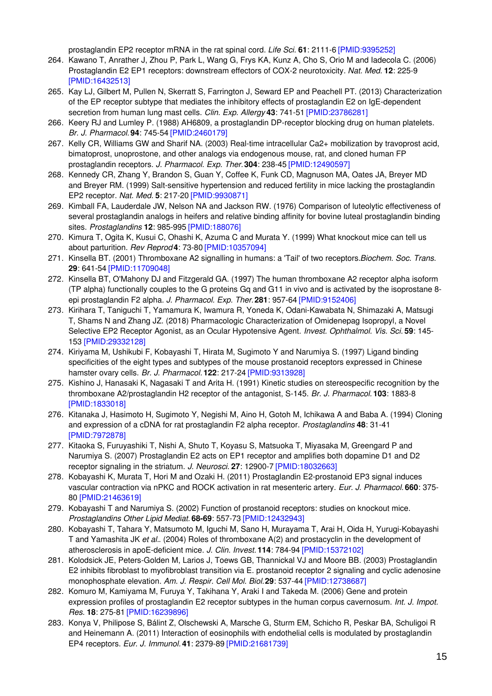prostaglandin EP2 receptor mRNA in the rat spinal cord. *Life Sci.* **61**: 2111-6 [\[PMID:9395252\]](http://www.ncbi.nlm.nih.gov/pubmed/9395252?dopt=AbstractPlus)

- 264. Kawano T, Anrather J, Zhou P, Park L, Wang G, Frys KA, Kunz A, Cho S, Orio M and Iadecola C. (2006) Prostaglandin E2 EP1 receptors: downstream effectors of COX-2 neurotoxicity. *Nat. Med.* **12**: 225-9 [\[PMID:16432513\]](http://www.ncbi.nlm.nih.gov/pubmed/16432513?dopt=AbstractPlus)
- 265. Kay LJ, Gilbert M, Pullen N, Skerratt S, Farrington J, Seward EP and Peachell PT. (2013) Characterization of the EP receptor subtype that mediates the inhibitory effects of prostaglandin E2 on IgE-dependent secretion from human lung mast cells. *Clin. Exp. Allergy* **43**: 741-51 [\[PMID:23786281\]](http://www.ncbi.nlm.nih.gov/pubmed/23786281?dopt=AbstractPlus)
- 266. Keery RJ and Lumley P. (1988) AH6809, a prostaglandin DP-receptor blocking drug on human platelets. *Br. J. Pharmacol.* **94**: 745-54 [\[PMID:2460179\]](http://www.ncbi.nlm.nih.gov/pubmed/2460179?dopt=AbstractPlus)
- 267. Kelly CR, Williams GW and Sharif NA. (2003) Real-time intracellular Ca2+ mobilization by travoprost acid, bimatoprost, unoprostone, and other analogs via endogenous mouse, rat, and cloned human FP prostaglandin receptors. *J. Pharmacol. Exp. Ther.***304**: 238-45 [\[PMID:12490597\]](http://www.ncbi.nlm.nih.gov/pubmed/12490597?dopt=AbstractPlus)
- 268. Kennedy CR, Zhang Y, Brandon S, Guan Y, Coffee K, Funk CD, Magnuson MA, Oates JA, Breyer MD and Breyer RM. (1999) Salt-sensitive hypertension and reduced fertility in mice lacking the prostaglandin EP2 receptor. *Nat. Med.* **5**: 217-20 [\[PMID:9930871\]](http://www.ncbi.nlm.nih.gov/pubmed/9930871?dopt=AbstractPlus)
- 269. Kimball FA, Lauderdale JW, Nelson NA and Jackson RW. (1976) Comparison of luteolytic effectiveness of several prostaglandin analogs in heifers and relative binding affinity for bovine luteal prostaglandin binding sites. *Prostaglandins* **12**: 985-995 [\[PMID:188076\]](http://www.ncbi.nlm.nih.gov/pubmed/188076?dopt=AbstractPlus)
- 270. Kimura T, Ogita K, Kusui C, Ohashi K, Azuma C and Murata Y. (1999) What knockout mice can tell us about parturition. *Rev Reprod* **4**: 73-80 [\[PMID:10357094\]](http://www.ncbi.nlm.nih.gov/pubmed/10357094?dopt=AbstractPlus)
- 271. Kinsella BT. (2001) Thromboxane A2 signalling in humans: a 'Tail' of two receptors.*Biochem. Soc. Trans.* **29**: 641-54 [\[PMID:11709048\]](http://www.ncbi.nlm.nih.gov/pubmed/11709048?dopt=AbstractPlus)
- 272. Kinsella BT, O'Mahony DJ and Fitzgerald GA. (1997) The human thromboxane A2 receptor alpha isoform (TP alpha) functionally couples to the G proteins Gq and G11 in vivo and is activated by the isoprostane 8 epi prostaglandin F2 alpha. *J. Pharmacol. Exp. Ther.***281**: 957-64 [\[PMID:9152406\]](http://www.ncbi.nlm.nih.gov/pubmed/9152406?dopt=AbstractPlus)
- 273. Kirihara T, Taniguchi T, Yamamura K, Iwamura R, Yoneda K, Odani-Kawabata N, Shimazaki A, Matsugi T, Shams N and Zhang JZ. (2018) Pharmacologic Characterization of Omidenepag Isopropyl, a Novel Selective EP2 Receptor Agonist, as an Ocular Hypotensive Agent. *Invest. Ophthalmol. Vis. Sci.* **59**: 145- 153 [\[PMID:29332128\]](http://www.ncbi.nlm.nih.gov/pubmed/29332128?dopt=AbstractPlus)
- 274. Kiriyama M, Ushikubi F, Kobayashi T, Hirata M, Sugimoto Y and Narumiya S. (1997) Ligand binding specificities of the eight types and subtypes of the mouse prostanoid receptors expressed in Chinese hamster ovary cells. *Br. J. Pharmacol.* **122**: 217-24 [\[PMID:9313928\]](http://www.ncbi.nlm.nih.gov/pubmed/9313928?dopt=AbstractPlus)
- 275. Kishino J, Hanasaki K, Nagasaki T and Arita H. (1991) Kinetic studies on stereospecific recognition by the thromboxane A2/prostaglandin H2 receptor of the antagonist, S-145. *Br. J. Pharmacol.* **103**: 1883-8 [\[PMID:1833018\]](http://www.ncbi.nlm.nih.gov/pubmed/1833018?dopt=AbstractPlus)
- 276. Kitanaka J, Hasimoto H, Sugimoto Y, Negishi M, Aino H, Gotoh M, Ichikawa A and Baba A. (1994) Cloning and expression of a cDNA for rat prostaglandin F2 alpha receptor. *Prostaglandins* **48**: 31-41 [\[PMID:7972878\]](http://www.ncbi.nlm.nih.gov/pubmed/7972878?dopt=AbstractPlus)
- 277. Kitaoka S, Furuyashiki T, Nishi A, Shuto T, Koyasu S, Matsuoka T, Miyasaka M, Greengard P and Narumiya S. (2007) Prostaglandin E2 acts on EP1 receptor and amplifies both dopamine D1 and D2 receptor signaling in the striatum. *J. Neurosci.* **27**: 12900-7 [\[PMID:18032663\]](http://www.ncbi.nlm.nih.gov/pubmed/18032663?dopt=AbstractPlus)
- 278. Kobayashi K, Murata T, Hori M and Ozaki H. (2011) Prostaglandin E2-prostanoid EP3 signal induces vascular contraction via nPKC and ROCK activation in rat mesenteric artery. *Eur. J. Pharmacol.* **660**: 375- 80 [\[PMID:21463619\]](http://www.ncbi.nlm.nih.gov/pubmed/21463619?dopt=AbstractPlus)
- 279. Kobayashi T and Narumiya S. (2002) Function of prostanoid receptors: studies on knockout mice. *Prostaglandins Other Lipid Mediat.* **68-69**: 557-73 [\[PMID:12432943\]](http://www.ncbi.nlm.nih.gov/pubmed/12432943?dopt=AbstractPlus)
- 280. Kobayashi T, Tahara Y, Matsumoto M, Iguchi M, Sano H, Murayama T, Arai H, Oida H, Yurugi-Kobayashi T and Yamashita JK *et al.*. (2004) Roles of thromboxane A(2) and prostacyclin in the development of atherosclerosis in apoE-deficient mice. *J. Clin. Invest.* **114**: 784-94 [\[PMID:15372102\]](http://www.ncbi.nlm.nih.gov/pubmed/15372102?dopt=AbstractPlus)
- 281. Kolodsick JE, Peters-Golden M, Larios J, Toews GB, Thannickal VJ and Moore BB. (2003) Prostaglandin E2 inhibits fibroblast to myofibroblast transition via E. prostanoid receptor 2 signaling and cyclic adenosine monophosphate elevation. *Am. J. Respir. Cell Mol. Biol.***29**: 537-44 [\[PMID:12738687\]](http://www.ncbi.nlm.nih.gov/pubmed/12738687?dopt=AbstractPlus)
- 282. Komuro M, Kamiyama M, Furuya Y, Takihana Y, Araki I and Takeda M. (2006) Gene and protein expression profiles of prostaglandin E2 receptor subtypes in the human corpus cavernosum. *Int. J. Impot. Res.* **18**: 275-81 [\[PMID:16239896\]](http://www.ncbi.nlm.nih.gov/pubmed/16239896?dopt=AbstractPlus)
- 283. Konya V, Philipose S, Bálint Z, Olschewski A, Marsche G, Sturm EM, Schicho R, Peskar BA, Schuligoi R and Heinemann A. (2011) Interaction of eosinophils with endothelial cells is modulated by prostaglandin EP4 receptors. *Eur. J. Immunol.* **41**: 2379-89 [\[PMID:21681739\]](http://www.ncbi.nlm.nih.gov/pubmed/21681739?dopt=AbstractPlus)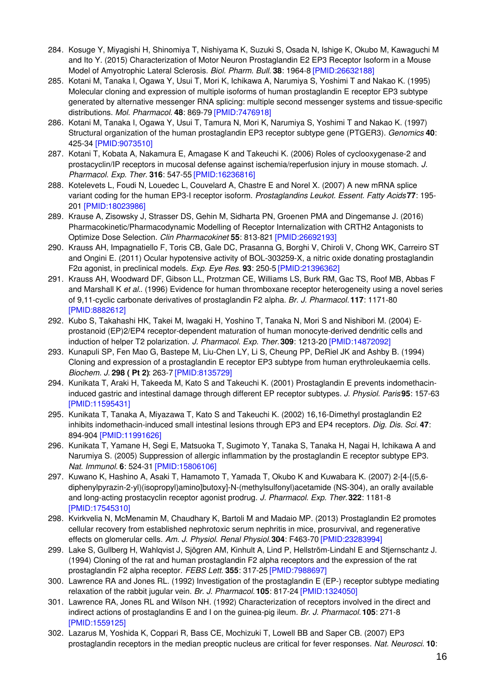- 284. Kosuge Y, Miyagishi H, Shinomiya T, Nishiyama K, Suzuki S, Osada N, Ishige K, Okubo M, Kawaguchi M and Ito Y. (2015) Characterization of Motor Neuron Prostaglandin E2 EP3 Receptor Isoform in a Mouse Model of Amyotrophic Lateral Sclerosis. *Biol. Pharm. Bull.* **38**: 1964-8 [\[PMID:26632188\]](http://www.ncbi.nlm.nih.gov/pubmed/26632188?dopt=AbstractPlus)
- 285. Kotani M, Tanaka I, Ogawa Y, Usui T, Mori K, Ichikawa A, Narumiya S, Yoshimi T and Nakao K. (1995) Molecular cloning and expression of multiple isoforms of human prostaglandin E receptor EP3 subtype generated by alternative messenger RNA splicing: multiple second messenger systems and tissue-specific distributions. *Mol. Pharmacol.* **48**: 869-79 [\[PMID:7476918\]](http://www.ncbi.nlm.nih.gov/pubmed/7476918?dopt=AbstractPlus)
- 286. Kotani M, Tanaka I, Ogawa Y, Usui T, Tamura N, Mori K, Narumiya S, Yoshimi T and Nakao K. (1997) Structural organization of the human prostaglandin EP3 receptor subtype gene (PTGER3). *Genomics* **40**: 425-34 [\[PMID:9073510\]](http://www.ncbi.nlm.nih.gov/pubmed/9073510?dopt=AbstractPlus)
- 287. Kotani T, Kobata A, Nakamura E, Amagase K and Takeuchi K. (2006) Roles of cyclooxygenase-2 and prostacyclin/IP receptors in mucosal defense against ischemia/reperfusion injury in mouse stomach. *J. Pharmacol. Exp. Ther.* **316**: 547-55 [\[PMID:16236816\]](http://www.ncbi.nlm.nih.gov/pubmed/16236816?dopt=AbstractPlus)
- 288. Kotelevets L, Foudi N, Louedec L, Couvelard A, Chastre E and Norel X. (2007) A new mRNA splice variant coding for the human EP3-I receptor isoform. *Prostaglandins Leukot. Essent. Fatty Acids***77**: 195- 201 [\[PMID:18023986\]](http://www.ncbi.nlm.nih.gov/pubmed/18023986?dopt=AbstractPlus)
- 289. Krause A, Zisowsky J, Strasser DS, Gehin M, Sidharta PN, Groenen PMA and Dingemanse J. (2016) Pharmacokinetic/Pharmacodynamic Modelling of Receptor Internalization with CRTH2 Antagonists to Optimize Dose Selection. *Clin Pharmacokinet* **55**: 813-821 [\[PMID:26692193\]](http://www.ncbi.nlm.nih.gov/pubmed/26692193?dopt=AbstractPlus)
- 290. Krauss AH, Impagnatiello F, Toris CB, Gale DC, Prasanna G, Borghi V, Chiroli V, Chong WK, Carreiro ST and Ongini E. (2011) Ocular hypotensive activity of BOL-303259-X, a nitric oxide donating prostaglandin F2α agonist, in preclinical models. *Exp. Eye Res.* **93**: 250-5 [\[PMID:21396362\]](http://www.ncbi.nlm.nih.gov/pubmed/21396362?dopt=AbstractPlus)
- 291. Krauss AH, Woodward DF, Gibson LL, Protzman CE, Williams LS, Burk RM, Gac TS, Roof MB, Abbas F and Marshall K *et al.*. (1996) Evidence for human thromboxane receptor heterogeneity using a novel series of 9,11-cyclic carbonate derivatives of prostaglandin F2 alpha. *Br. J. Pharmacol.* **117**: 1171-80 [\[PMID:8882612\]](http://www.ncbi.nlm.nih.gov/pubmed/8882612?dopt=AbstractPlus)
- 292. Kubo S, Takahashi HK, Takei M, Iwagaki H, Yoshino T, Tanaka N, Mori S and Nishibori M. (2004) Eprostanoid (EP)2/EP4 receptor-dependent maturation of human monocyte-derived dendritic cells and induction of helper T2 polarization. *J. Pharmacol. Exp. Ther.***309**: 1213-20 [\[PMID:14872092\]](http://www.ncbi.nlm.nih.gov/pubmed/14872092?dopt=AbstractPlus)
- 293. Kunapuli SP, Fen Mao G, Bastepe M, Liu-Chen LY, Li S, Cheung PP, DeRiel JK and Ashby B. (1994) Cloning and expression of a prostaglandin E receptor EP3 subtype from human erythroleukaemia cells. *Biochem. J.* **298 ( Pt 2)**: 263-7 [\[PMID:8135729\]](http://www.ncbi.nlm.nih.gov/pubmed/8135729?dopt=AbstractPlus)
- 294. Kunikata T, Araki H, Takeeda M, Kato S and Takeuchi K. (2001) Prostaglandin E prevents indomethacininduced gastric and intestinal damage through different EP receptor subtypes. *J. Physiol. Paris* **95**: 157-63 [\[PMID:11595431\]](http://www.ncbi.nlm.nih.gov/pubmed/11595431?dopt=AbstractPlus)
- 295. Kunikata T, Tanaka A, Miyazawa T, Kato S and Takeuchi K. (2002) 16,16-Dimethyl prostaglandin E2 inhibits indomethacin-induced small intestinal lesions through EP3 and EP4 receptors. *Dig. Dis. Sci.* **47**: 894-904 [\[PMID:11991626\]](http://www.ncbi.nlm.nih.gov/pubmed/11991626?dopt=AbstractPlus)
- 296. Kunikata T, Yamane H, Segi E, Matsuoka T, Sugimoto Y, Tanaka S, Tanaka H, Nagai H, Ichikawa A and Narumiya S. (2005) Suppression of allergic inflammation by the prostaglandin E receptor subtype EP3. *Nat. Immunol.* **6**: 524-31 [\[PMID:15806106\]](http://www.ncbi.nlm.nih.gov/pubmed/15806106?dopt=AbstractPlus)
- 297. Kuwano K, Hashino A, Asaki T, Hamamoto T, Yamada T, Okubo K and Kuwabara K. (2007) 2-[4-[(5,6 diphenylpyrazin-2-yl)(isopropyl)amino]butoxy]-N-(methylsulfonyl)acetamide (NS-304), an orally available and long-acting prostacyclin receptor agonist prodrug. *J. Pharmacol. Exp. Ther.***322**: 1181-8 [\[PMID:17545310\]](http://www.ncbi.nlm.nih.gov/pubmed/17545310?dopt=AbstractPlus)
- 298. Kvirkvelia N, McMenamin M, Chaudhary K, Bartoli M and Madaio MP. (2013) Prostaglandin E2 promotes cellular recovery from established nephrotoxic serum nephritis in mice, prosurvival, and regenerative effects on glomerular cells. *Am. J. Physiol. Renal Physiol.***304**: F463-70 [\[PMID:23283994\]](http://www.ncbi.nlm.nih.gov/pubmed/23283994?dopt=AbstractPlus)
- 299. Lake S, Gullberg H, Wahlqvist J, Sjögren AM, Kinhult A, Lind P, Hellström-Lindahl E and Stjernschantz J. (1994) Cloning of the rat and human prostaglandin F2 alpha receptors and the expression of the rat prostaglandin F2 alpha receptor. *FEBS Lett.* **355**: 317-25 [\[PMID:7988697\]](http://www.ncbi.nlm.nih.gov/pubmed/7988697?dopt=AbstractPlus)
- 300. Lawrence RA and Jones RL. (1992) Investigation of the prostaglandin E (EP-) receptor subtype mediating relaxation of the rabbit jugular vein. *Br. J. Pharmacol.* **105**: 817-24 [\[PMID:1324050\]](http://www.ncbi.nlm.nih.gov/pubmed/1324050?dopt=AbstractPlus)
- 301. Lawrence RA, Jones RL and Wilson NH. (1992) Characterization of receptors involved in the direct and indirect actions of prostaglandins E and I on the guinea-pig ileum. *Br. J. Pharmacol.* **105**: 271-8 [\[PMID:1559125\]](http://www.ncbi.nlm.nih.gov/pubmed/1559125?dopt=AbstractPlus)
- 302. Lazarus M, Yoshida K, Coppari R, Bass CE, Mochizuki T, Lowell BB and Saper CB. (2007) EP3 prostaglandin receptors in the median preoptic nucleus are critical for fever responses. *Nat. Neurosci.* **10**: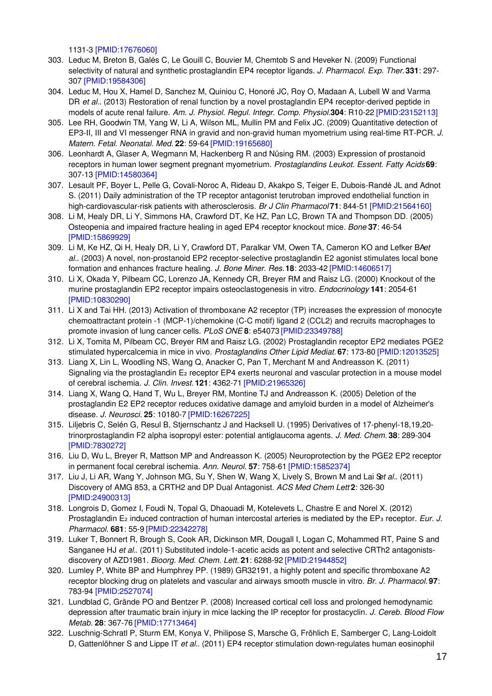1131-3 [\[PMID:17676060\]](http://www.ncbi.nlm.nih.gov/pubmed/17676060?dopt=AbstractPlus)

- 303. Leduc M, Breton B, Galés C, Le Gouill C, Bouvier M, Chemtob S and Heveker N. (2009) Functional selectivity of natural and synthetic prostaglandin EP4 receptor ligands. *J. Pharmacol. Exp. Ther.***331**: 297- 307 [\[PMID:19584306\]](http://www.ncbi.nlm.nih.gov/pubmed/19584306?dopt=AbstractPlus)
- 304. Leduc M, Hou X, Hamel D, Sanchez M, Quiniou C, Honoré JC, Roy O, Madaan A, Lubell W and Varma DR *et al.*. (2013) Restoration of renal function by a novel prostaglandin EP4 receptor-derived peptide in models of acute renal failure. *Am. J. Physiol. Regul. Integr. Comp. Physiol.***304**: R10-22 [\[PMID:23152113\]](http://www.ncbi.nlm.nih.gov/pubmed/23152113?dopt=AbstractPlus)
- 305. Lee RH, Goodwin TM, Yang W, Li A, Wilson ML, Mullin PM and Felix JC. (2009) Quantitative detection of EP3-II, III and VI messenger RNA in gravid and non-gravid human myometrium using real-time RT-PCR. *J. Matern. Fetal. Neonatal. Med.* **22**: 59-64 [\[PMID:19165680\]](http://www.ncbi.nlm.nih.gov/pubmed/19165680?dopt=AbstractPlus)
- 306. Leonhardt A, Glaser A, Wegmann M, Hackenberg R and Nüsing RM. (2003) Expression of prostanoid receptors in human lower segment pregnant myometrium. *Prostaglandins Leukot. Essent. Fatty Acids***69**: 307-13 [\[PMID:14580364\]](http://www.ncbi.nlm.nih.gov/pubmed/14580364?dopt=AbstractPlus)
- 307. Lesault PF, Boyer L, Pelle G, Covali-Noroc A, Rideau D, Akakpo S, Teiger E, Dubois-Randé JL and Adnot S. (2011) Daily administration of the TP receptor antagonist terutroban improved endothelial function in high-cardiovascular-risk patients with atherosclerosis. *Br J Clin Pharmacol* **71**: 844-51 [\[PMID:21564160\]](http://www.ncbi.nlm.nih.gov/pubmed/21564160?dopt=AbstractPlus)
- 308. Li M, Healy DR, Li Y, Simmons HA, Crawford DT, Ke HZ, Pan LC, Brown TA and Thompson DD. (2005) Osteopenia and impaired fracture healing in aged EP4 receptor knockout mice. *Bone* **37**: 46-54 [\[PMID:15869929\]](http://www.ncbi.nlm.nih.gov/pubmed/15869929?dopt=AbstractPlus)
- 309. Li M, Ke HZ, Qi H, Healy DR, Li Y, Crawford DT, Paralkar VM, Owen TA, Cameron KO and Lefker BA*et al.*. (2003) A novel, non-prostanoid EP2 receptor-selective prostaglandin E2 agonist stimulates local bone formation and enhances fracture healing. *J. Bone Miner. Res.***18**: 2033-42 [\[PMID:14606517\]](http://www.ncbi.nlm.nih.gov/pubmed/14606517?dopt=AbstractPlus)
- 310. Li X, Okada Y, Pilbeam CC, Lorenzo JA, Kennedy CR, Breyer RM and Raisz LG. (2000) Knockout of the murine prostaglandin EP2 receptor impairs osteoclastogenesis in vitro. *Endocrinology* **141**: 2054-61 [\[PMID:10830290\]](http://www.ncbi.nlm.nih.gov/pubmed/10830290?dopt=AbstractPlus)
- 311. Li X and Tai HH. (2013) Activation of thromboxane A2 receptor (TP) increases the expression of monocyte chemoattractant protein -1 (MCP-1)/chemokine (C-C motif) ligand 2 (CCL2) and recruits macrophages to promote invasion of lung cancer cells. *PLoS ONE* **8**: e54073 [\[PMID:23349788\]](http://www.ncbi.nlm.nih.gov/pubmed/23349788?dopt=AbstractPlus)
- 312. Li X, Tomita M, Pilbeam CC, Breyer RM and Raisz LG. (2002) Prostaglandin receptor EP2 mediates PGE2 stimulated hypercalcemia in mice in vivo. *Prostaglandins Other Lipid Mediat.* **67**: 173-80 [\[PMID:12013525\]](http://www.ncbi.nlm.nih.gov/pubmed/12013525?dopt=AbstractPlus)
- 313. Liang X, Lin L, Woodling NS, Wang Q, Anacker C, Pan T, Merchant M and Andreasson K. (2011) Signaling via the prostaglandin E<sub>2</sub> receptor EP4 exerts neuronal and vascular protection in a mouse model of cerebral ischemia. *J. Clin. Invest.* **121**: 4362-71 [\[PMID:21965326\]](http://www.ncbi.nlm.nih.gov/pubmed/21965326?dopt=AbstractPlus)
- 314. Liang X, Wang Q, Hand T, Wu L, Breyer RM, Montine TJ and Andreasson K. (2005) Deletion of the prostaglandin E2 EP2 receptor reduces oxidative damage and amyloid burden in a model of Alzheimer's disease. *J. Neurosci.* **25**: 10180-7 [\[PMID:16267225\]](http://www.ncbi.nlm.nih.gov/pubmed/16267225?dopt=AbstractPlus)
- 315. Liljebris C, Selén G, Resul B, Stjernschantz J and Hacksell U. (1995) Derivatives of 17-phenyl-18,19,20 trinorprostaglandin F2 alpha isopropyl ester: potential antiglaucoma agents. *J. Med. Chem.* **38**: 289-304 [\[PMID:7830272\]](http://www.ncbi.nlm.nih.gov/pubmed/7830272?dopt=AbstractPlus)
- 316. Liu D, Wu L, Breyer R, Mattson MP and Andreasson K. (2005) Neuroprotection by the PGE2 EP2 receptor in permanent focal cerebral ischemia. *Ann. Neurol.* **57**: 758-61 [\[PMID:15852374\]](http://www.ncbi.nlm.nih.gov/pubmed/15852374?dopt=AbstractPlus)
- 317. Liu J, Li AR, Wang Y, Johnson MG, Su Y, Shen W, Wang X, Lively S, Brown M and Lai S*et al.*. (2011) Discovery of AMG 853, a CRTH2 and DP Dual Antagonist. *ACS Med Chem Lett* **2**: 326-30 [\[PMID:24900313\]](http://www.ncbi.nlm.nih.gov/pubmed/24900313?dopt=AbstractPlus)
- 318. Longrois D, Gomez I, Foudi N, Topal G, Dhaouadi M, Kotelevets L, Chastre E and Norel X. (2012) Prostaglandin E₂ induced contraction of human intercostal arteries is mediated by the EP₃ receptor. *Eur. J. Pharmacol.* **681**: 55-9 [\[PMID:22342278\]](http://www.ncbi.nlm.nih.gov/pubmed/22342278?dopt=AbstractPlus)
- 319. Luker T, Bonnert R, Brough S, Cook AR, Dickinson MR, Dougall I, Logan C, Mohammed RT, Paine S and Sanganee HJ *et al.*. (2011) Substituted indole-1-acetic acids as potent and selective CRTh2 antagonistsdiscovery of AZD1981. *Bioorg. Med. Chem. Lett.* **21**: 6288-92 [\[PMID:21944852\]](http://www.ncbi.nlm.nih.gov/pubmed/21944852?dopt=AbstractPlus)
- 320. Lumley P, White BP and Humphrey PP. (1989) GR32191, a highly potent and specific thromboxane A2 receptor blocking drug on platelets and vascular and airways smooth muscle in vitro. *Br. J. Pharmacol.* **97**: 783-94 [\[PMID:2527074\]](http://www.ncbi.nlm.nih.gov/pubmed/2527074?dopt=AbstractPlus)
- 321. Lundblad C, Grände PO and Bentzer P. (2008) Increased cortical cell loss and prolonged hemodynamic depression after traumatic brain injury in mice lacking the IP receptor for prostacyclin. *J. Cereb. Blood Flow Metab.* **28**: 367-76 [\[PMID:17713464\]](http://www.ncbi.nlm.nih.gov/pubmed/17713464?dopt=AbstractPlus)
- 322. Luschnig-Schratl P, Sturm EM, Konya V, Philipose S, Marsche G, Fröhlich E, Samberger C, Lang-Loidolt D, Gattenlöhner S and Lippe IT *et al.*. (2011) EP4 receptor stimulation down-regulates human eosinophil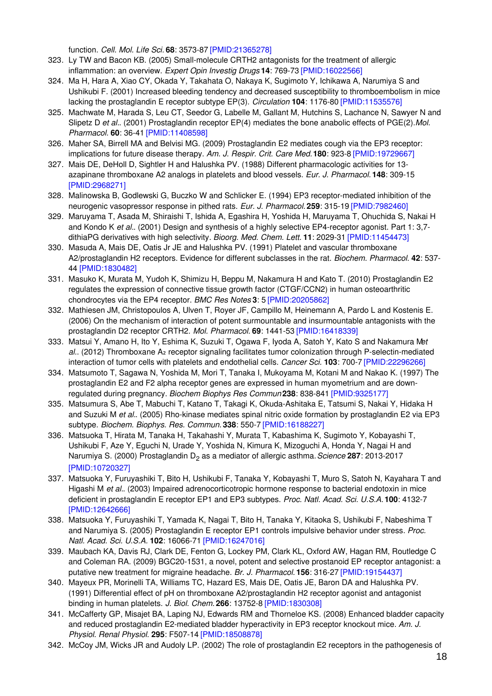function. *Cell. Mol. Life Sci.* **68**: 3573-87 [\[PMID:21365278\]](http://www.ncbi.nlm.nih.gov/pubmed/21365278?dopt=AbstractPlus)

- 323. Ly TW and Bacon KB. (2005) Small-molecule CRTH2 antagonists for the treatment of allergic inflammation: an overview. *Expert Opin Investig Drugs* **14**: 769-73 [\[PMID:16022566\]](http://www.ncbi.nlm.nih.gov/pubmed/16022566?dopt=AbstractPlus)
- 324. Ma H, Hara A, Xiao CY, Okada Y, Takahata O, Nakaya K, Sugimoto Y, Ichikawa A, Narumiya S and Ushikubi F. (2001) Increased bleeding tendency and decreased susceptibility to thromboembolism in mice lacking the prostaglandin E receptor subtype EP(3). *Circulation* **104**: 1176-80 [\[PMID:11535576\]](http://www.ncbi.nlm.nih.gov/pubmed/11535576?dopt=AbstractPlus)
- 325. Machwate M, Harada S, Leu CT, Seedor G, Labelle M, Gallant M, Hutchins S, Lachance N, Sawyer N and Slipetz D *et al.*. (2001) Prostaglandin receptor EP(4) mediates the bone anabolic effects of PGE(2).*Mol. Pharmacol.* **60**: 36-41 [\[PMID:11408598\]](http://www.ncbi.nlm.nih.gov/pubmed/11408598?dopt=AbstractPlus)
- 326. Maher SA, Birrell MA and Belvisi MG. (2009) Prostaglandin E2 mediates cough via the EP3 receptor: implications for future disease therapy. *Am. J. Respir. Crit. Care Med.***180**: 923-8 [\[PMID:19729667\]](http://www.ncbi.nlm.nih.gov/pubmed/19729667?dopt=AbstractPlus)
- 327. Mais DE, DeHoll D, Sightler H and Halushka PV. (1988) Different pharmacologic activities for 13 azapinane thromboxane A2 analogs in platelets and blood vessels. *Eur. J. Pharmacol.* **148**: 309-15 [\[PMID:2968271\]](http://www.ncbi.nlm.nih.gov/pubmed/2968271?dopt=AbstractPlus)
- 328. Malinowska B, Godlewski G, Buczko W and Schlicker E. (1994) EP3 receptor-mediated inhibition of the neurogenic vasopressor response in pithed rats. *Eur. J. Pharmacol.* **259**: 315-19 [\[PMID:7982460\]](http://www.ncbi.nlm.nih.gov/pubmed/7982460?dopt=AbstractPlus)
- 329. Maruyama T, Asada M, Shiraishi T, Ishida A, Egashira H, Yoshida H, Maruyama T, Ohuchida S, Nakai H and Kondo K *et al.*. (2001) Design and synthesis of a highly selective EP4-receptor agonist. Part 1: 3,7 dithiaPG derivatives with high selectivity. *Bioorg. Med. Chem. Lett.* **11**: 2029-31 [\[PMID:11454473\]](http://www.ncbi.nlm.nih.gov/pubmed/11454473?dopt=AbstractPlus)
- 330. Masuda A, Mais DE, Oatis Jr JE and Halushka PV. (1991) Platelet and vascular thromboxane A2/prostaglandin H2 receptors. Evidence for different subclasses in the rat. *Biochem. Pharmacol.* **42**: 537- 44 [\[PMID:1830482\]](http://www.ncbi.nlm.nih.gov/pubmed/1830482?dopt=AbstractPlus)
- 331. Masuko K, Murata M, Yudoh K, Shimizu H, Beppu M, Nakamura H and Kato T. (2010) Prostaglandin E2 regulates the expression of connective tissue growth factor (CTGF/CCN2) in human osteoarthritic chondrocytes via the EP4 receptor. *BMC Res Notes* **3**: 5 [\[PMID:20205862\]](http://www.ncbi.nlm.nih.gov/pubmed/20205862?dopt=AbstractPlus)
- 332. Mathiesen JM, Christopoulos A, Ulven T, Royer JF, Campillo M, Heinemann A, Pardo L and Kostenis E. (2006) On the mechanism of interaction of potent surmountable and insurmountable antagonists with the prostaglandin D2 receptor CRTH2. *Mol. Pharmacol.* **69**: 1441-53 [\[PMID:16418339\]](http://www.ncbi.nlm.nih.gov/pubmed/16418339?dopt=AbstractPlus)
- 333. Matsui Y, Amano H, Ito Y, Eshima K, Suzuki T, Ogawa F, Iyoda A, Satoh Y, Kato S and Nakamura M*et* al.. (2012) Thromboxane A<sub>2</sub> receptor signaling facilitates tumor colonization through P-selectin-mediated interaction of tumor cells with platelets and endothelial cells. *Cancer Sci.* **103**: 700-7 [\[PMID:22296266\]](http://www.ncbi.nlm.nih.gov/pubmed/22296266?dopt=AbstractPlus)
- 334. Matsumoto T, Sagawa N, Yoshida M, Mori T, Tanaka I, Mukoyama M, Kotani M and Nakao K. (1997) The prostaglandin E2 and F2 alpha receptor genes are expressed in human myometrium and are downregulated during pregnancy. *Biochem Biophys Res Commun* **238**: 838-841 [\[PMID:9325177\]](http://www.ncbi.nlm.nih.gov/pubmed/9325177?dopt=AbstractPlus)
- 335. Matsumura S, Abe T, Mabuchi T, Katano T, Takagi K, Okuda-Ashitaka E, Tatsumi S, Nakai Y, Hidaka H and Suzuki M *et al.*. (2005) Rho-kinase mediates spinal nitric oxide formation by prostaglandin E2 via EP3 subtype. *Biochem. Biophys. Res. Commun.* **338**: 550-7 [\[PMID:16188227\]](http://www.ncbi.nlm.nih.gov/pubmed/16188227?dopt=AbstractPlus)
- 336. Matsuoka T, Hirata M, Tanaka H, Takahashi Y, Murata T, Kabashima K, Sugimoto Y, Kobayashi T, Ushikubi F, Aze Y, Eguchi N, Urade Y, Yoshida N, Kimura K, Mizoguchi A, Honda Y, Nagai H and Narumiya S. (2000) Prostaglandin D<sub>2</sub> as a mediator of allergic asthma. *Science* 287: 2013-2017 [\[PMID:10720327\]](http://www.ncbi.nlm.nih.gov/pubmed/10720327?dopt=AbstractPlus)
- 337. Matsuoka Y, Furuyashiki T, Bito H, Ushikubi F, Tanaka Y, Kobayashi T, Muro S, Satoh N, Kayahara T and Higashi M *et al.*. (2003) Impaired adrenocorticotropic hormone response to bacterial endotoxin in mice deficient in prostaglandin E receptor EP1 and EP3 subtypes. *Proc. Natl. Acad. Sci. U.S.A.* **100**: 4132-7 [\[PMID:12642666\]](http://www.ncbi.nlm.nih.gov/pubmed/12642666?dopt=AbstractPlus)
- 338. Matsuoka Y, Furuyashiki T, Yamada K, Nagai T, Bito H, Tanaka Y, Kitaoka S, Ushikubi F, Nabeshima T and Narumiya S. (2005) Prostaglandin E receptor EP1 controls impulsive behavior under stress. *Proc. Natl. Acad. Sci. U.S.A.* **102**: 16066-71 [\[PMID:16247016\]](http://www.ncbi.nlm.nih.gov/pubmed/16247016?dopt=AbstractPlus)
- 339. Maubach KA, Davis RJ, Clark DE, Fenton G, Lockey PM, Clark KL, Oxford AW, Hagan RM, Routledge C and Coleman RA. (2009) BGC20-1531, a novel, potent and selective prostanoid EP receptor antagonist: a putative new treatment for migraine headache. *Br. J. Pharmacol.* **156**: 316-27 [\[PMID:19154437\]](http://www.ncbi.nlm.nih.gov/pubmed/19154437?dopt=AbstractPlus)
- 340. Mayeux PR, Morinelli TA, Williams TC, Hazard ES, Mais DE, Oatis JE, Baron DA and Halushka PV. (1991) Differential effect of pH on thromboxane A2/prostaglandin H2 receptor agonist and antagonist binding in human platelets. *J. Biol. Chem.* **266**: 13752-8 [\[PMID:1830308\]](http://www.ncbi.nlm.nih.gov/pubmed/1830308?dopt=AbstractPlus)
- 341. McCafferty GP, Misajet BA, Laping NJ, Edwards RM and Thorneloe KS. (2008) Enhanced bladder capacity and reduced prostaglandin E2-mediated bladder hyperactivity in EP3 receptor knockout mice. *Am. J. Physiol. Renal Physiol.* **295**: F507-14 [\[PMID:18508878\]](http://www.ncbi.nlm.nih.gov/pubmed/18508878?dopt=AbstractPlus)
- 342. McCoy JM, Wicks JR and Audoly LP. (2002) The role of prostaglandin E2 receptors in the pathogenesis of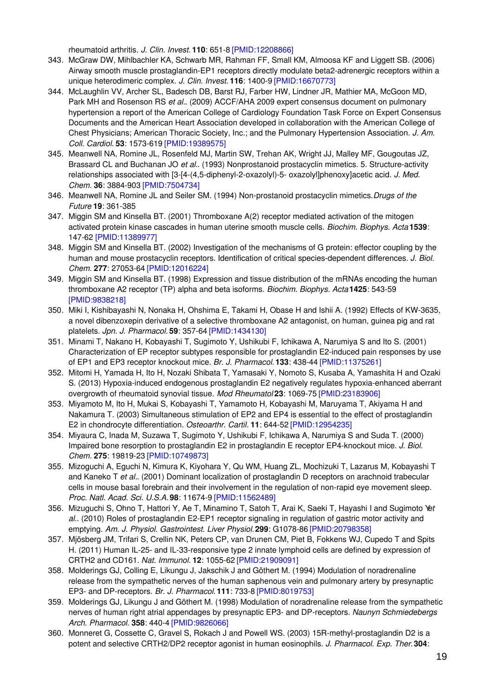rheumatoid arthritis. *J. Clin. Invest.* **110**: 651-8 [\[PMID:12208866\]](http://www.ncbi.nlm.nih.gov/pubmed/12208866?dopt=AbstractPlus)

- 343. McGraw DW, Mihlbachler KA, Schwarb MR, Rahman FF, Small KM, Almoosa KF and Liggett SB. (2006) Airway smooth muscle prostaglandin-EP1 receptors directly modulate beta2-adrenergic receptors within a unique heterodimeric complex. *J. Clin. Invest.* **116**: 1400-9 [\[PMID:16670773\]](http://www.ncbi.nlm.nih.gov/pubmed/16670773?dopt=AbstractPlus)
- 344. McLaughlin VV, Archer SL, Badesch DB, Barst RJ, Farber HW, Lindner JR, Mathier MA, McGoon MD, Park MH and Rosenson RS *et al.*. (2009) ACCF/AHA 2009 expert consensus document on pulmonary hypertension a report of the American College of Cardiology Foundation Task Force on Expert Consensus Documents and the American Heart Association developed in collaboration with the American College of Chest Physicians; American Thoracic Society, Inc.; and the Pulmonary Hypertension Association. *J. Am. Coll. Cardiol.* **53**: 1573-619 [\[PMID:19389575\]](http://www.ncbi.nlm.nih.gov/pubmed/19389575?dopt=AbstractPlus)
- 345. Meanwell NA, Romine JL, Rosenfeld MJ, Martin SW, Trehan AK, Wright JJ, Malley MF, Gougoutas JZ, Brassard CL and Buchanan JO *et al.*. (1993) Nonprostanoid prostacyclin mimetics. 5. Structure-activity relationships associated with [3-[4-(4,5-diphenyl-2-oxazolyl)-5- oxazolyl]phenoxy]acetic acid. *J. Med. Chem.* **36**: 3884-903 [\[PMID:7504734\]](http://www.ncbi.nlm.nih.gov/pubmed/7504734?dopt=AbstractPlus)
- 346. Meanwell NA, Romine JL and Seiler SM. (1994) Non-prostanoid prostacyclin mimetics.*Drugs of the Future* **19**: 361-385
- 347. Miggin SM and Kinsella BT. (2001) Thromboxane A(2) receptor mediated activation of the mitogen activated protein kinase cascades in human uterine smooth muscle cells. *Biochim. Biophys. Acta* **1539**: 147-62 [\[PMID:11389977\]](http://www.ncbi.nlm.nih.gov/pubmed/11389977?dopt=AbstractPlus)
- 348. Miggin SM and Kinsella BT. (2002) Investigation of the mechanisms of G protein: effector coupling by the human and mouse prostacyclin receptors. Identification of critical species-dependent differences. *J. Biol. Chem.* **277**: 27053-64 [\[PMID:12016224\]](http://www.ncbi.nlm.nih.gov/pubmed/12016224?dopt=AbstractPlus)
- 349. Miggin SM and Kinsella BT. (1998) Expression and tissue distribution of the mRNAs encoding the human thromboxane A2 receptor (TP) alpha and beta isoforms. *Biochim. Biophys. Acta* **1425**: 543-59 [\[PMID:9838218\]](http://www.ncbi.nlm.nih.gov/pubmed/9838218?dopt=AbstractPlus)
- 350. Miki I, Kishibayashi N, Nonaka H, Ohshima E, Takami H, Obase H and Ishii A. (1992) Effects of KW-3635, a novel dibenzoxepin derivative of a selective thromboxane A2 antagonist, on human, guinea pig and rat platelets. *Jpn. J. Pharmacol.* **59**: 357-64 [\[PMID:1434130\]](http://www.ncbi.nlm.nih.gov/pubmed/1434130?dopt=AbstractPlus)
- 351. Minami T, Nakano H, Kobayashi T, Sugimoto Y, Ushikubi F, Ichikawa A, Narumiya S and Ito S. (2001) Characterization of EP receptor subtypes responsible for prostaglandin E2-induced pain responses by use of EP1 and EP3 receptor knockout mice. *Br. J. Pharmacol.* **133**: 438-44 [\[PMID:11375261\]](http://www.ncbi.nlm.nih.gov/pubmed/11375261?dopt=AbstractPlus)
- 352. Mitomi H, Yamada H, Ito H, Nozaki Shibata T, Yamasaki Y, Nomoto S, Kusaba A, Yamashita H and Ozaki S. (2013) Hypoxia-induced endogenous prostaglandin E2 negatively regulates hypoxia-enhanced aberrant overgrowth of rheumatoid synovial tissue. *Mod Rheumatol* **23**: 1069-75 [\[PMID:23183906\]](http://www.ncbi.nlm.nih.gov/pubmed/23183906?dopt=AbstractPlus)
- 353. Miyamoto M, Ito H, Mukai S, Kobayashi T, Yamamoto H, Kobayashi M, Maruyama T, Akiyama H and Nakamura T. (2003) Simultaneous stimulation of EP2 and EP4 is essential to the effect of prostaglandin E2 in chondrocyte differentiation. *Osteoarthr. Cartil.* **11**: 644-52 [\[PMID:12954235\]](http://www.ncbi.nlm.nih.gov/pubmed/12954235?dopt=AbstractPlus)
- 354. Miyaura C, Inada M, Suzawa T, Sugimoto Y, Ushikubi F, Ichikawa A, Narumiya S and Suda T. (2000) Impaired bone resorption to prostaglandin E2 in prostaglandin E receptor EP4-knockout mice. *J. Biol. Chem.* **275**: 19819-23 [\[PMID:10749873\]](http://www.ncbi.nlm.nih.gov/pubmed/10749873?dopt=AbstractPlus)
- 355. Mizoguchi A, Eguchi N, Kimura K, Kiyohara Y, Qu WM, Huang ZL, Mochizuki T, Lazarus M, Kobayashi T and Kaneko T *et al.*. (2001) Dominant localization of prostaglandin D receptors on arachnoid trabecular cells in mouse basal forebrain and their involvement in the regulation of non-rapid eye movement sleep. *Proc. Natl. Acad. Sci. U.S.A.* **98**: 11674-9 [\[PMID:11562489\]](http://www.ncbi.nlm.nih.gov/pubmed/11562489?dopt=AbstractPlus)
- 356. Mizuguchi S, Ohno T, Hattori Y, Ae T, Minamino T, Satoh T, Arai K, Saeki T, Hayashi I and Sugimoto Y*et al.*. (2010) Roles of prostaglandin E2-EP1 receptor signaling in regulation of gastric motor activity and emptying. *Am. J. Physiol. Gastrointest. Liver Physiol.***299**: G1078-86 [\[PMID:20798358\]](http://www.ncbi.nlm.nih.gov/pubmed/20798358?dopt=AbstractPlus)
- 357. Mjösberg JM, Trifari S, Crellin NK, Peters CP, van Drunen CM, Piet B, Fokkens WJ, Cupedo T and Spits H. (2011) Human IL-25- and IL-33-responsive type 2 innate lymphoid cells are defined by expression of CRTH2 and CD161. *Nat. Immunol.* **12**: 1055-62 [\[PMID:21909091\]](http://www.ncbi.nlm.nih.gov/pubmed/21909091?dopt=AbstractPlus)
- 358. Molderings GJ, Colling E, Likungu J, Jakschik J and Göthert M. (1994) Modulation of noradrenaline release from the sympathetic nerves of the human saphenous vein and pulmonary artery by presynaptic EP3- and DP-receptors. *Br. J. Pharmacol.* **111**: 733-8 [\[PMID:8019753\]](http://www.ncbi.nlm.nih.gov/pubmed/8019753?dopt=AbstractPlus)
- 359. Molderings GJ, Likungu J and Göthert M. (1998) Modulation of noradrenaline release from the sympathetic nerves of human right atrial appendages by presynaptic EP3- and DP-receptors. *Naunyn Schmiedebergs Arch. Pharmacol.* **358**: 440-4 [\[PMID:9826066\]](http://www.ncbi.nlm.nih.gov/pubmed/9826066?dopt=AbstractPlus)
- 360. Monneret G, Cossette C, Gravel S, Rokach J and Powell WS. (2003) 15R-methyl-prostaglandin D2 is a potent and selective CRTH2/DP2 receptor agonist in human eosinophils. *J. Pharmacol. Exp. Ther.***304**: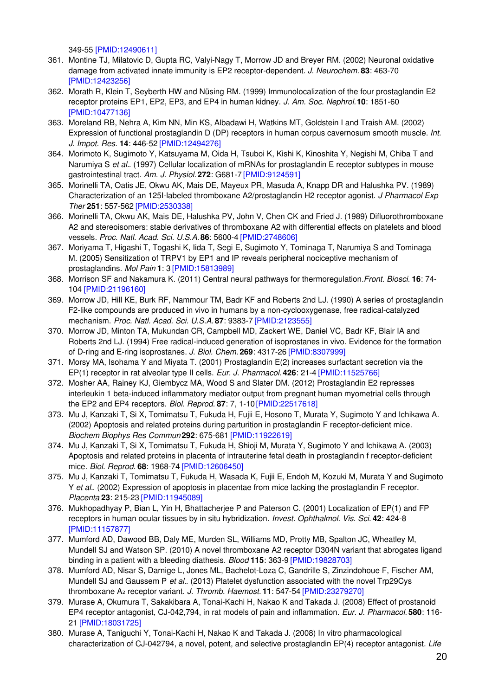349-55 [\[PMID:12490611\]](http://www.ncbi.nlm.nih.gov/pubmed/12490611?dopt=AbstractPlus)

- 361. Montine TJ, Milatovic D, Gupta RC, Valyi-Nagy T, Morrow JD and Breyer RM. (2002) Neuronal oxidative damage from activated innate immunity is EP2 receptor-dependent. *J. Neurochem.* **83**: 463-70 [\[PMID:12423256\]](http://www.ncbi.nlm.nih.gov/pubmed/12423256?dopt=AbstractPlus)
- 362. Morath R, Klein T, Seyberth HW and Nüsing RM. (1999) Immunolocalization of the four prostaglandin E2 receptor proteins EP1, EP2, EP3, and EP4 in human kidney. *J. Am. Soc. Nephrol.***10**: 1851-60 [\[PMID:10477136\]](http://www.ncbi.nlm.nih.gov/pubmed/10477136?dopt=AbstractPlus)
- 363. Moreland RB, Nehra A, Kim NN, Min KS, Albadawi H, Watkins MT, Goldstein I and Traish AM. (2002) Expression of functional prostaglandin D (DP) receptors in human corpus cavernosum smooth muscle. *Int. J. Impot. Res.* **14**: 446-52 [\[PMID:12494276\]](http://www.ncbi.nlm.nih.gov/pubmed/12494276?dopt=AbstractPlus)
- 364. Morimoto K, Sugimoto Y, Katsuyama M, Oida H, Tsuboi K, Kishi K, Kinoshita Y, Negishi M, Chiba T and Narumiya S *et al.*. (1997) Cellular localization of mRNAs for prostaglandin E receptor subtypes in mouse gastrointestinal tract. *Am. J. Physiol.* **272**: G681-7 [\[PMID:9124591\]](http://www.ncbi.nlm.nih.gov/pubmed/9124591?dopt=AbstractPlus)
- 365. Morinelli TA, Oatis JE, Okwu AK, Mais DE, Mayeux PR, Masuda A, Knapp DR and Halushka PV. (1989) Characterization of an 125I-labeled thromboxane A2/prostaglandin H2 receptor agonist. *J Pharmacol Exp Ther* **251**: 557-562 [\[PMID:2530338\]](http://www.ncbi.nlm.nih.gov/pubmed/2530338?dopt=AbstractPlus)
- 366. Morinelli TA, Okwu AK, Mais DE, Halushka PV, John V, Chen CK and Fried J. (1989) Difluorothromboxane A2 and stereoisomers: stable derivatives of thromboxane A2 with differential effects on platelets and blood vessels. *Proc. Natl. Acad. Sci. U.S.A.* **86**: 5600-4 [\[PMID:2748606\]](http://www.ncbi.nlm.nih.gov/pubmed/2748606?dopt=AbstractPlus)
- 367. Moriyama T, Higashi T, Togashi K, Iida T, Segi E, Sugimoto Y, Tominaga T, Narumiya S and Tominaga M. (2005) Sensitization of TRPV1 by EP1 and IP reveals peripheral nociceptive mechanism of prostaglandins. *Mol Pain* **1**: 3 [\[PMID:15813989\]](http://www.ncbi.nlm.nih.gov/pubmed/15813989?dopt=AbstractPlus)
- 368. Morrison SF and Nakamura K. (2011) Central neural pathways for thermoregulation.*Front. Biosci.* **16**: 74- 104 [\[PMID:21196160\]](http://www.ncbi.nlm.nih.gov/pubmed/21196160?dopt=AbstractPlus)
- 369. Morrow JD, Hill KE, Burk RF, Nammour TM, Badr KF and Roberts 2nd LJ. (1990) A series of prostaglandin F2-like compounds are produced in vivo in humans by a non-cyclooxygenase, free radical-catalyzed mechanism. *Proc. Natl. Acad. Sci. U.S.A.* **87**: 9383-7 [\[PMID:2123555\]](http://www.ncbi.nlm.nih.gov/pubmed/2123555?dopt=AbstractPlus)
- 370. Morrow JD, Minton TA, Mukundan CR, Campbell MD, Zackert WE, Daniel VC, Badr KF, Blair IA and Roberts 2nd LJ. (1994) Free radical-induced generation of isoprostanes in vivo. Evidence for the formation of D-ring and E-ring isoprostanes. *J. Biol. Chem.* **269**: 4317-26 [\[PMID:8307999\]](http://www.ncbi.nlm.nih.gov/pubmed/8307999?dopt=AbstractPlus)
- 371. Morsy MA, Isohama Y and Miyata T. (2001) Prostaglandin E(2) increases surfactant secretion via the EP(1) receptor in rat alveolar type II cells. *Eur. J. Pharmacol.* **426**: 21-4 [\[PMID:11525766\]](http://www.ncbi.nlm.nih.gov/pubmed/11525766?dopt=AbstractPlus)
- 372. Mosher AA, Rainey KJ, Giembycz MA, Wood S and Slater DM. (2012) Prostaglandin E2 represses interleukin 1 beta-induced inflammatory mediator output from pregnant human myometrial cells through the EP2 and EP4 receptors. *Biol. Reprod.* **87**: 7, 1-10 [\[PMID:22517618\]](http://www.ncbi.nlm.nih.gov/pubmed/22517618?dopt=AbstractPlus)
- 373. Mu J, Kanzaki T, Si X, Tomimatsu T, Fukuda H, Fujii E, Hosono T, Murata Y, Sugimoto Y and Ichikawa A. (2002) Apoptosis and related proteins during parturition in prostaglandin F receptor-deficient mice. *Biochem Biophys Res Commun* **292**: 675-681 [\[PMID:11922619\]](http://www.ncbi.nlm.nih.gov/pubmed/11922619?dopt=AbstractPlus)
- 374. Mu J, Kanzaki T, Si X, Tomimatsu T, Fukuda H, Shioji M, Murata Y, Sugimoto Y and Ichikawa A. (2003) Apoptosis and related proteins in placenta of intrauterine fetal death in prostaglandin f receptor-deficient mice. *Biol. Reprod.* **68**: 1968-74 [\[PMID:12606450\]](http://www.ncbi.nlm.nih.gov/pubmed/12606450?dopt=AbstractPlus)
- 375. Mu J, Kanzaki T, Tomimatsu T, Fukuda H, Wasada K, Fujii E, Endoh M, Kozuki M, Murata Y and Sugimoto Y *et al.*. (2002) Expression of apoptosis in placentae from mice lacking the prostaglandin F receptor. *Placenta* **23**: 215-23 [\[PMID:11945089\]](http://www.ncbi.nlm.nih.gov/pubmed/11945089?dopt=AbstractPlus)
- 376. Mukhopadhyay P, Bian L, Yin H, Bhattacherjee P and Paterson C. (2001) Localization of EP(1) and FP receptors in human ocular tissues by in situ hybridization. *Invest. Ophthalmol. Vis. Sci.* **42**: 424-8 [\[PMID:11157877\]](http://www.ncbi.nlm.nih.gov/pubmed/11157877?dopt=AbstractPlus)
- 377. Mumford AD, Dawood BB, Daly ME, Murden SL, Williams MD, Protty MB, Spalton JC, Wheatley M, Mundell SJ and Watson SP. (2010) A novel thromboxane A2 receptor D304N variant that abrogates ligand binding in a patient with a bleeding diathesis. *Blood* **115**: 363-9 [\[PMID:19828703\]](http://www.ncbi.nlm.nih.gov/pubmed/19828703?dopt=AbstractPlus)
- 378. Mumford AD, Nisar S, Darnige L, Jones ML, Bachelot-Loza C, Gandrille S, Zinzindohoue F, Fischer AM, Mundell SJ and Gaussem P *et al.*. (2013) Platelet dysfunction associated with the novel Trp29Cys thromboxane A₂ receptor variant. *J. Thromb. Haemost.* **11**: 547-54 [\[PMID:23279270\]](http://www.ncbi.nlm.nih.gov/pubmed/23279270?dopt=AbstractPlus)
- 379. Murase A, Okumura T, Sakakibara A, Tonai-Kachi H, Nakao K and Takada J. (2008) Effect of prostanoid EP4 receptor antagonist, CJ-042,794, in rat models of pain and inflammation. *Eur. J. Pharmacol.* **580**: 116- 21 [\[PMID:18031725\]](http://www.ncbi.nlm.nih.gov/pubmed/18031725?dopt=AbstractPlus)
- 380. Murase A, Taniguchi Y, Tonai-Kachi H, Nakao K and Takada J. (2008) In vitro pharmacological characterization of CJ-042794, a novel, potent, and selective prostaglandin EP(4) receptor antagonist. *Life*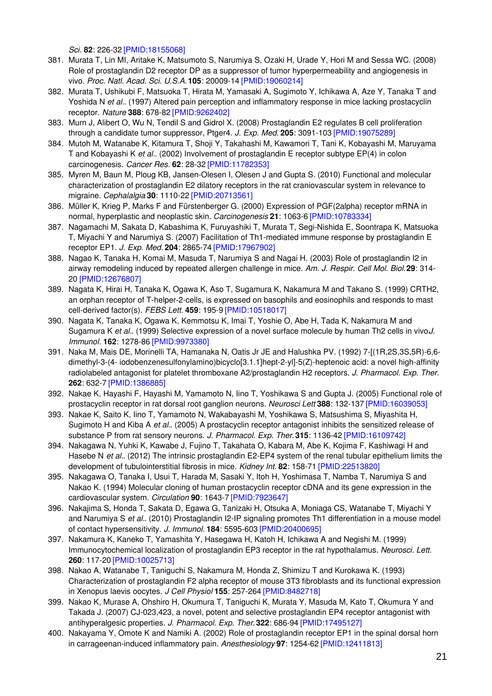*Sci.* **82**: 226-32 [\[PMID:18155068\]](http://www.ncbi.nlm.nih.gov/pubmed/18155068?dopt=AbstractPlus)

- 381. Murata T, Lin MI, Aritake K, Matsumoto S, Narumiya S, Ozaki H, Urade Y, Hori M and Sessa WC. (2008) Role of prostaglandin D2 receptor DP as a suppressor of tumor hyperpermeability and angiogenesis in vivo. *Proc. Natl. Acad. Sci. U.S.A.* **105**: 20009-14 [\[PMID:19060214\]](http://www.ncbi.nlm.nih.gov/pubmed/19060214?dopt=AbstractPlus)
- 382. Murata T, Ushikubi F, Matsuoka T, Hirata M, Yamasaki A, Sugimoto Y, Ichikawa A, Aze Y, Tanaka T and Yoshida N *et al.*. (1997) Altered pain perception and inflammatory response in mice lacking prostacyclin receptor. *Nature* **388**: 678-82 [\[PMID:9262402\]](http://www.ncbi.nlm.nih.gov/pubmed/9262402?dopt=AbstractPlus)
- 383. Murn J, Alibert O, Wu N, Tendil S and Gidrol X. (2008) Prostaglandin E2 regulates B cell proliferation through a candidate tumor suppressor, Ptger4. *J. Exp. Med.* **205**: 3091-103 [\[PMID:19075289\]](http://www.ncbi.nlm.nih.gov/pubmed/19075289?dopt=AbstractPlus)
- 384. Mutoh M, Watanabe K, Kitamura T, Shoji Y, Takahashi M, Kawamori T, Tani K, Kobayashi M, Maruyama T and Kobayashi K *et al.*. (2002) Involvement of prostaglandin E receptor subtype EP(4) in colon carcinogenesis. *Cancer Res.* **62**: 28-32 [\[PMID:11782353\]](http://www.ncbi.nlm.nih.gov/pubmed/11782353?dopt=AbstractPlus)
- 385. Myren M, Baun M, Ploug KB, Jansen-Olesen I, Olesen J and Gupta S. (2010) Functional and molecular characterization of prostaglandin E2 dilatory receptors in the rat craniovascular system in relevance to migraine. *Cephalalgia* **30**: 1110-22 [\[PMID:20713561\]](http://www.ncbi.nlm.nih.gov/pubmed/20713561?dopt=AbstractPlus)
- 386. Müller K, Krieg P, Marks F and Fürstenberger G. (2000) Expression of PGF(2alpha) receptor mRNA in normal, hyperplastic and neoplastic skin. *Carcinogenesis* **21**: 1063-6 [\[PMID:10783334\]](http://www.ncbi.nlm.nih.gov/pubmed/10783334?dopt=AbstractPlus)
- 387. Nagamachi M, Sakata D, Kabashima K, Furuyashiki T, Murata T, Segi-Nishida E, Soontrapa K, Matsuoka T, Miyachi Y and Narumiya S. (2007) Facilitation of Th1-mediated immune response by prostaglandin E receptor EP1. *J. Exp. Med.* **204**: 2865-74 [\[PMID:17967902\]](http://www.ncbi.nlm.nih.gov/pubmed/17967902?dopt=AbstractPlus)
- 388. Nagao K, Tanaka H, Komai M, Masuda T, Narumiya S and Nagai H. (2003) Role of prostaglandin I2 in airway remodeling induced by repeated allergen challenge in mice. *Am. J. Respir. Cell Mol. Biol.***29**: 314- 20 [\[PMID:12676807\]](http://www.ncbi.nlm.nih.gov/pubmed/12676807?dopt=AbstractPlus)
- 389. Nagata K, Hirai H, Tanaka K, Ogawa K, Aso T, Sugamura K, Nakamura M and Takano S. (1999) CRTH2, an orphan receptor of T-helper-2-cells, is expressed on basophils and eosinophils and responds to mast cell-derived factor(s). *FEBS Lett.* **459**: 195-9 [\[PMID:10518017\]](http://www.ncbi.nlm.nih.gov/pubmed/10518017?dopt=AbstractPlus)
- 390. Nagata K, Tanaka K, Ogawa K, Kemmotsu K, Imai T, Yoshie O, Abe H, Tada K, Nakamura M and Sugamura K et al.. (1999) Selective expression of a novel surface molecule by human Th2 cells in vivo*J*. *Immunol.* **162**: 1278-86 [\[PMID:9973380\]](http://www.ncbi.nlm.nih.gov/pubmed/9973380?dopt=AbstractPlus)
- 391. Naka M, Mais DE, Morinelli TA, Hamanaka N, Oatis Jr JE and Halushka PV. (1992) 7-[(1R,2S,3S,5R)-6,6 dimethyl-3-(4- iodobenzenesulfonylamino)bicyclo[3.1.1]hept-2-yl]-5(Z)-heptenoic acid: a novel high-affinity radiolabeled antagonist for platelet thromboxane A2/prostaglandin H2 receptors. *J. Pharmacol. Exp. Ther.* **262**: 632-7 [\[PMID:1386885\]](http://www.ncbi.nlm.nih.gov/pubmed/1386885?dopt=AbstractPlus)
- 392. Nakae K, Hayashi F, Hayashi M, Yamamoto N, Iino T, Yoshikawa S and Gupta J. (2005) Functional role of prostacyclin receptor in rat dorsal root ganglion neurons. *Neurosci Lett* **388**: 132-137 [\[PMID:16039053\]](http://www.ncbi.nlm.nih.gov/pubmed/16039053?dopt=AbstractPlus)
- 393. Nakae K, Saito K, Iino T, Yamamoto N, Wakabayashi M, Yoshikawa S, Matsushima S, Miyashita H, Sugimoto H and Kiba A *et al.*. (2005) A prostacyclin receptor antagonist inhibits the sensitized release of substance P from rat sensory neurons. *J. Pharmacol. Exp. Ther.***315**: 1136-42 [\[PMID:16109742\]](http://www.ncbi.nlm.nih.gov/pubmed/16109742?dopt=AbstractPlus)
- 394. Nakagawa N, Yuhki K, Kawabe J, Fujino T, Takahata O, Kabara M, Abe K, Kojima F, Kashiwagi H and Hasebe N *et al.*. (2012) The intrinsic prostaglandin E2-EP4 system of the renal tubular epithelium limits the development of tubulointerstitial fibrosis in mice. *Kidney Int.* **82**: 158-71 [\[PMID:22513820\]](http://www.ncbi.nlm.nih.gov/pubmed/22513820?dopt=AbstractPlus)
- 395. Nakagawa O, Tanaka I, Usui T, Harada M, Sasaki Y, Itoh H, Yoshimasa T, Namba T, Narumiya S and Nakao K. (1994) Molecular cloning of human prostacyclin receptor cDNA and its gene expression in the cardiovascular system. *Circulation* **90**: 1643-7 [\[PMID:7923647\]](http://www.ncbi.nlm.nih.gov/pubmed/7923647?dopt=AbstractPlus)
- 396. Nakajima S, Honda T, Sakata D, Egawa G, Tanizaki H, Otsuka A, Moniaga CS, Watanabe T, Miyachi Y and Narumiya S *et al.*. (2010) Prostaglandin I2-IP signaling promotes Th1 differentiation in a mouse model of contact hypersensitivity. *J. Immunol.* **184**: 5595-603 [\[PMID:20400695\]](http://www.ncbi.nlm.nih.gov/pubmed/20400695?dopt=AbstractPlus)
- 397. Nakamura K, Kaneko T, Yamashita Y, Hasegawa H, Katoh H, Ichikawa A and Negishi M. (1999) Immunocytochemical localization of prostaglandin EP3 receptor in the rat hypothalamus. *Neurosci. Lett.* **260**: 117-20 [\[PMID:10025713\]](http://www.ncbi.nlm.nih.gov/pubmed/10025713?dopt=AbstractPlus)
- 398. Nakao A, Watanabe T, Taniguchi S, Nakamura M, Honda Z, Shimizu T and Kurokawa K. (1993) Characterization of prostaglandin F2 alpha receptor of mouse 3T3 fibroblasts and its functional expression in Xenopus laevis oocytes. *J Cell Physiol* **155**: 257-264 [\[PMID:8482718\]](http://www.ncbi.nlm.nih.gov/pubmed/8482718?dopt=AbstractPlus)
- 399. Nakao K, Murase A, Ohshiro H, Okumura T, Taniguchi K, Murata Y, Masuda M, Kato T, Okumura Y and Takada J. (2007) CJ-023,423, a novel, potent and selective prostaglandin EP4 receptor antagonist with antihyperalgesic properties. *J. Pharmacol. Exp. Ther.***322**: 686-94 [\[PMID:17495127\]](http://www.ncbi.nlm.nih.gov/pubmed/17495127?dopt=AbstractPlus)
- 400. Nakayama Y, Omote K and Namiki A. (2002) Role of prostaglandin receptor EP1 in the spinal dorsal horn in carrageenan-induced inflammatory pain. *Anesthesiology* **97**: 1254-62 [\[PMID:12411813\]](http://www.ncbi.nlm.nih.gov/pubmed/12411813?dopt=AbstractPlus)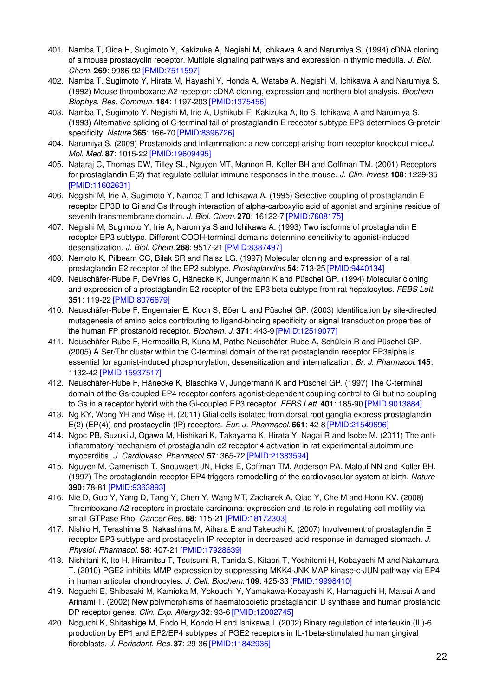- 401. Namba T, Oida H, Sugimoto Y, Kakizuka A, Negishi M, Ichikawa A and Narumiya S. (1994) cDNA cloning of a mouse prostacyclin receptor. Multiple signaling pathways and expression in thymic medulla. *J. Biol. Chem.* **269**: 9986-92 [\[PMID:7511597\]](http://www.ncbi.nlm.nih.gov/pubmed/7511597?dopt=AbstractPlus)
- 402. Namba T, Sugimoto Y, Hirata M, Hayashi Y, Honda A, Watabe A, Negishi M, Ichikawa A and Narumiya S. (1992) Mouse thromboxane A2 receptor: cDNA cloning, expression and northern blot analysis. *Biochem. Biophys. Res. Commun.* **184**: 1197-203 [\[PMID:1375456\]](http://www.ncbi.nlm.nih.gov/pubmed/1375456?dopt=AbstractPlus)
- 403. Namba T, Sugimoto Y, Negishi M, Irie A, Ushikubi F, Kakizuka A, Ito S, Ichikawa A and Narumiya S. (1993) Alternative splicing of C-terminal tail of prostaglandin E receptor subtype EP3 determines G-protein specificity. *Nature* **365**: 166-70 [\[PMID:8396726\]](http://www.ncbi.nlm.nih.gov/pubmed/8396726?dopt=AbstractPlus)
- 404. Narumiya S. (2009) Prostanoids and inflammation: a new concept arising from receptor knockout mice.*J. Mol. Med.* **87**: 1015-22 [\[PMID:19609495\]](http://www.ncbi.nlm.nih.gov/pubmed/19609495?dopt=AbstractPlus)
- 405. Nataraj C, Thomas DW, Tilley SL, Nguyen MT, Mannon R, Koller BH and Coffman TM. (2001) Receptors for prostaglandin E(2) that regulate cellular immune responses in the mouse. *J. Clin. Invest.* **108**: 1229-35 [\[PMID:11602631\]](http://www.ncbi.nlm.nih.gov/pubmed/11602631?dopt=AbstractPlus)
- 406. Negishi M, Irie A, Sugimoto Y, Namba T and Ichikawa A. (1995) Selective coupling of prostaglandin E receptor EP3D to Gi and Gs through interaction of alpha-carboxylic acid of agonist and arginine residue of seventh transmembrane domain. *J. Biol. Chem.* **270**: 16122-7 [\[PMID:7608175\]](http://www.ncbi.nlm.nih.gov/pubmed/7608175?dopt=AbstractPlus)
- 407. Negishi M, Sugimoto Y, Irie A, Narumiya S and Ichikawa A. (1993) Two isoforms of prostaglandin E receptor EP3 subtype. Different COOH-terminal domains determine sensitivity to agonist-induced desensitization. *J. Biol. Chem.* **268**: 9517-21 [\[PMID:8387497\]](http://www.ncbi.nlm.nih.gov/pubmed/8387497?dopt=AbstractPlus)
- 408. Nemoto K, Pilbeam CC, Bilak SR and Raisz LG. (1997) Molecular cloning and expression of a rat prostaglandin E2 receptor of the EP2 subtype. *Prostaglandins* **54**: 713-25 [\[PMID:9440134\]](http://www.ncbi.nlm.nih.gov/pubmed/9440134?dopt=AbstractPlus)
- 409. Neuschäfer-Rube F, DeVries C, Hänecke K, Jungermann K and Püschel GP. (1994) Molecular cloning and expression of a prostaglandin E2 receptor of the EP3 beta subtype from rat hepatocytes. *FEBS Lett.* **351**: 119-22 [\[PMID:8076679\]](http://www.ncbi.nlm.nih.gov/pubmed/8076679?dopt=AbstractPlus)
- 410. Neuschäfer-Rube F, Engemaier E, Koch S, Böer U and Püschel GP. (2003) Identification by site-directed mutagenesis of amino acids contributing to ligand-binding specificity or signal transduction properties of the human FP prostanoid receptor. *Biochem. J.* **371**: 443-9 [\[PMID:12519077\]](http://www.ncbi.nlm.nih.gov/pubmed/12519077?dopt=AbstractPlus)
- 411. Neuschäfer-Rube F, Hermosilla R, Kuna M, Pathe-Neuschäfer-Rube A, Schülein R and Püschel GP. (2005) A Ser/Thr cluster within the C-terminal domain of the rat prostaglandin receptor EP3alpha is essential for agonist-induced phosphorylation, desensitization and internalization. *Br. J. Pharmacol.* **145**: 1132-42 [\[PMID:15937517\]](http://www.ncbi.nlm.nih.gov/pubmed/15937517?dopt=AbstractPlus)
- 412. Neuschäfer-Rube F, Hänecke K, Blaschke V, Jungermann K and Püschel GP. (1997) The C-terminal domain of the Gs-coupled EP4 receptor confers agonist-dependent coupling control to Gi but no coupling to Gs in a receptor hybrid with the Gi-coupled EP3 receptor. *FEBS Lett.* **401**: 185-90 [\[PMID:9013884\]](http://www.ncbi.nlm.nih.gov/pubmed/9013884?dopt=AbstractPlus)
- 413. Ng KY, Wong YH and Wise H. (2011) Glial cells isolated from dorsal root ganglia express prostaglandin E(2) (EP(4)) and prostacyclin (IP) receptors. *Eur. J. Pharmacol.* **661**: 42-8 [\[PMID:21549696\]](http://www.ncbi.nlm.nih.gov/pubmed/21549696?dopt=AbstractPlus)
- 414. Ngoc PB, Suzuki J, Ogawa M, Hishikari K, Takayama K, Hirata Y, Nagai R and Isobe M. (2011) The antiinflammatory mechanism of prostaglandin e2 receptor 4 activation in rat experimental autoimmune myocarditis. *J. Cardiovasc. Pharmacol.* **57**: 365-72 [\[PMID:21383594\]](http://www.ncbi.nlm.nih.gov/pubmed/21383594?dopt=AbstractPlus)
- 415. Nguyen M, Camenisch T, Snouwaert JN, Hicks E, Coffman TM, Anderson PA, Malouf NN and Koller BH. (1997) The prostaglandin receptor EP4 triggers remodelling of the cardiovascular system at birth. *Nature* **390**: 78-81 [\[PMID:9363893\]](http://www.ncbi.nlm.nih.gov/pubmed/9363893?dopt=AbstractPlus)
- 416. Nie D, Guo Y, Yang D, Tang Y, Chen Y, Wang MT, Zacharek A, Qiao Y, Che M and Honn KV. (2008) Thromboxane A2 receptors in prostate carcinoma: expression and its role in regulating cell motility via small GTPase Rho. *Cancer Res.* **68**: 115-21 [\[PMID:18172303\]](http://www.ncbi.nlm.nih.gov/pubmed/18172303?dopt=AbstractPlus)
- 417. Nishio H, Terashima S, Nakashima M, Aihara E and Takeuchi K. (2007) Involvement of prostaglandin E receptor EP3 subtype and prostacyclin IP receptor in decreased acid response in damaged stomach. *J. Physiol. Pharmacol.* **58**: 407-21 [\[PMID:17928639\]](http://www.ncbi.nlm.nih.gov/pubmed/17928639?dopt=AbstractPlus)
- 418. Nishitani K, Ito H, Hiramitsu T, Tsutsumi R, Tanida S, Kitaori T, Yoshitomi H, Kobayashi M and Nakamura T. (2010) PGE2 inhibits MMP expression by suppressing MKK4-JNK MAP kinase-c-JUN pathway via EP4 in human articular chondrocytes. *J. Cell. Biochem.* **109**: 425-33 [\[PMID:19998410\]](http://www.ncbi.nlm.nih.gov/pubmed/19998410?dopt=AbstractPlus)
- 419. Noguchi E, Shibasaki M, Kamioka M, Yokouchi Y, Yamakawa-Kobayashi K, Hamaguchi H, Matsui A and Arinami T. (2002) New polymorphisms of haematopoietic prostaglandin D synthase and human prostanoid DP receptor genes. *Clin. Exp. Allergy* **32**: 93-6 [\[PMID:12002745\]](http://www.ncbi.nlm.nih.gov/pubmed/12002745?dopt=AbstractPlus)
- 420. Noguchi K, Shitashige M, Endo H, Kondo H and Ishikawa I. (2002) Binary regulation of interleukin (IL)-6 production by EP1 and EP2/EP4 subtypes of PGE2 receptors in IL-1beta-stimulated human gingival fibroblasts. *J. Periodont. Res.* **37**: 29-36 [\[PMID:11842936\]](http://www.ncbi.nlm.nih.gov/pubmed/11842936?dopt=AbstractPlus)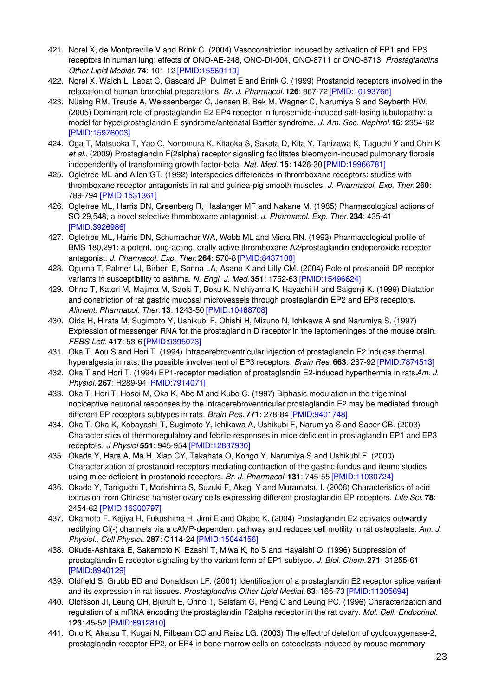- 421. Norel X, de Montpreville V and Brink C. (2004) Vasoconstriction induced by activation of EP1 and EP3 receptors in human lung: effects of ONO-AE-248, ONO-DI-004, ONO-8711 or ONO-8713. *Prostaglandins Other Lipid Mediat.* **74**: 101-12 [\[PMID:15560119\]](http://www.ncbi.nlm.nih.gov/pubmed/15560119?dopt=AbstractPlus)
- 422. Norel X, Walch L, Labat C, Gascard JP, Dulmet E and Brink C. (1999) Prostanoid receptors involved in the relaxation of human bronchial preparations. *Br. J. Pharmacol.* **126**: 867-72 [\[PMID:10193766\]](http://www.ncbi.nlm.nih.gov/pubmed/10193766?dopt=AbstractPlus)
- 423. Nüsing RM, Treude A, Weissenberger C, Jensen B, Bek M, Wagner C, Narumiya S and Seyberth HW. (2005) Dominant role of prostaglandin E2 EP4 receptor in furosemide-induced salt-losing tubulopathy: a model for hyperprostaglandin E syndrome/antenatal Bartter syndrome. *J. Am. Soc. Nephrol.***16**: 2354-62 [\[PMID:15976003\]](http://www.ncbi.nlm.nih.gov/pubmed/15976003?dopt=AbstractPlus)
- 424. Oga T, Matsuoka T, Yao C, Nonomura K, Kitaoka S, Sakata D, Kita Y, Tanizawa K, Taguchi Y and Chin K *et al.*. (2009) Prostaglandin F(2alpha) receptor signaling facilitates bleomycin-induced pulmonary fibrosis independently of transforming growth factor-beta. *Nat. Med.* **15**: 1426-30 [\[PMID:19966781\]](http://www.ncbi.nlm.nih.gov/pubmed/19966781?dopt=AbstractPlus)
- 425. Ogletree ML and Allen GT. (1992) Interspecies differences in thromboxane receptors: studies with thromboxane receptor antagonists in rat and guinea-pig smooth muscles. *J. Pharmacol. Exp. Ther.***260**: 789-794 [\[PMID:1531361\]](http://www.ncbi.nlm.nih.gov/pubmed/1531361?dopt=AbstractPlus)
- 426. Ogletree ML, Harris DN, Greenberg R, Haslanger MF and Nakane M. (1985) Pharmacological actions of SQ 29,548, a novel selective thromboxane antagonist. *J. Pharmacol. Exp. Ther.***234**: 435-41 [\[PMID:3926986\]](http://www.ncbi.nlm.nih.gov/pubmed/3926986?dopt=AbstractPlus)
- 427. Ogletree ML, Harris DN, Schumacher WA, Webb ML and Misra RN. (1993) Pharmacological profile of BMS 180,291: a potent, long-acting, orally active thromboxane A2/prostaglandin endoperoxide receptor antagonist. *J. Pharmacol. Exp. Ther.***264**: 570-8 [\[PMID:8437108\]](http://www.ncbi.nlm.nih.gov/pubmed/8437108?dopt=AbstractPlus)
- 428. Oguma T, Palmer LJ, Birben E, Sonna LA, Asano K and Lilly CM. (2004) Role of prostanoid DP receptor variants in susceptibility to asthma. *N. Engl. J. Med.* **351**: 1752-63 [\[PMID:15496624\]](http://www.ncbi.nlm.nih.gov/pubmed/15496624?dopt=AbstractPlus)
- 429. Ohno T, Katori M, Majima M, Saeki T, Boku K, Nishiyama K, Hayashi H and Saigenji K. (1999) Dilatation and constriction of rat gastric mucosal microvessels through prostaglandin EP2 and EP3 receptors. *Aliment. Pharmacol. Ther.* **13**: 1243-50 [\[PMID:10468708\]](http://www.ncbi.nlm.nih.gov/pubmed/10468708?dopt=AbstractPlus)
- 430. Oida H, Hirata M, Sugimoto Y, Ushikubi F, Ohishi H, Mizuno N, Ichikawa A and Narumiya S. (1997) Expression of messenger RNA for the prostaglandin D receptor in the leptomeninges of the mouse brain. *FEBS Lett.* **417**: 53-6 [\[PMID:9395073\]](http://www.ncbi.nlm.nih.gov/pubmed/9395073?dopt=AbstractPlus)
- 431. Oka T, Aou S and Hori T. (1994) Intracerebroventricular injection of prostaglandin E2 induces thermal hyperalgesia in rats: the possible involvement of EP3 receptors. *Brain Res.* **663**: 287-92 [\[PMID:7874513\]](http://www.ncbi.nlm.nih.gov/pubmed/7874513?dopt=AbstractPlus)
- 432. Oka T and Hori T. (1994) EP1-receptor mediation of prostaglandin E2-induced hyperthermia in rats.*Am. J. Physiol.* **267**: R289-94 [\[PMID:7914071\]](http://www.ncbi.nlm.nih.gov/pubmed/7914071?dopt=AbstractPlus)
- 433. Oka T, Hori T, Hosoi M, Oka K, Abe M and Kubo C. (1997) Biphasic modulation in the trigeminal nociceptive neuronal responses by the intracerebroventricular prostaglandin E2 may be mediated through different EP receptors subtypes in rats. *Brain Res.* **771**: 278-84 [\[PMID:9401748\]](http://www.ncbi.nlm.nih.gov/pubmed/9401748?dopt=AbstractPlus)
- 434. Oka T, Oka K, Kobayashi T, Sugimoto Y, Ichikawa A, Ushikubi F, Narumiya S and Saper CB. (2003) Characteristics of thermoregulatory and febrile responses in mice deficient in prostaglandin EP1 and EP3 receptors. *J Physiol* **551**: 945-954 [\[PMID:12837930\]](http://www.ncbi.nlm.nih.gov/pubmed/12837930?dopt=AbstractPlus)
- 435. Okada Y, Hara A, Ma H, Xiao CY, Takahata O, Kohgo Y, Narumiya S and Ushikubi F. (2000) Characterization of prostanoid receptors mediating contraction of the gastric fundus and ileum: studies using mice deficient in prostanoid receptors. *Br. J. Pharmacol.* **131**: 745-55 [\[PMID:11030724\]](http://www.ncbi.nlm.nih.gov/pubmed/11030724?dopt=AbstractPlus)
- 436. Okada Y, Taniguchi T, Morishima S, Suzuki F, Akagi Y and Muramatsu I. (2006) Characteristics of acid extrusion from Chinese hamster ovary cells expressing different prostaglandin EP receptors. *Life Sci.* **78**: 2454-62 [\[PMID:16300797\]](http://www.ncbi.nlm.nih.gov/pubmed/16300797?dopt=AbstractPlus)
- 437. Okamoto F, Kajiya H, Fukushima H, Jimi E and Okabe K. (2004) Prostaglandin E2 activates outwardly rectifying Cl(-) channels via a cAMP-dependent pathway and reduces cell motility in rat osteoclasts. *Am. J. Physiol., Cell Physiol.* **287**: C114-24 [\[PMID:15044156\]](http://www.ncbi.nlm.nih.gov/pubmed/15044156?dopt=AbstractPlus)
- 438. Okuda-Ashitaka E, Sakamoto K, Ezashi T, Miwa K, Ito S and Hayaishi O. (1996) Suppression of prostaglandin E receptor signaling by the variant form of EP1 subtype. *J. Biol. Chem.* **271**: 31255-61 [\[PMID:8940129\]](http://www.ncbi.nlm.nih.gov/pubmed/8940129?dopt=AbstractPlus)
- 439. Oldfield S, Grubb BD and Donaldson LF. (2001) Identification of a prostaglandin E2 receptor splice variant and its expression in rat tissues. *Prostaglandins Other Lipid Mediat.* **63**: 165-73 [\[PMID:11305694\]](http://www.ncbi.nlm.nih.gov/pubmed/11305694?dopt=AbstractPlus)
- 440. Olofsson JI, Leung CH, Bjurulf E, Ohno T, Selstam G, Peng C and Leung PC. (1996) Characterization and regulation of a mRNA encoding the prostaglandin F2alpha receptor in the rat ovary. *Mol. Cell. Endocrinol.* **123**: 45-52 [\[PMID:8912810\]](http://www.ncbi.nlm.nih.gov/pubmed/8912810?dopt=AbstractPlus)
- 441. Ono K, Akatsu T, Kugai N, Pilbeam CC and Raisz LG. (2003) The effect of deletion of cyclooxygenase-2, prostaglandin receptor EP2, or EP4 in bone marrow cells on osteoclasts induced by mouse mammary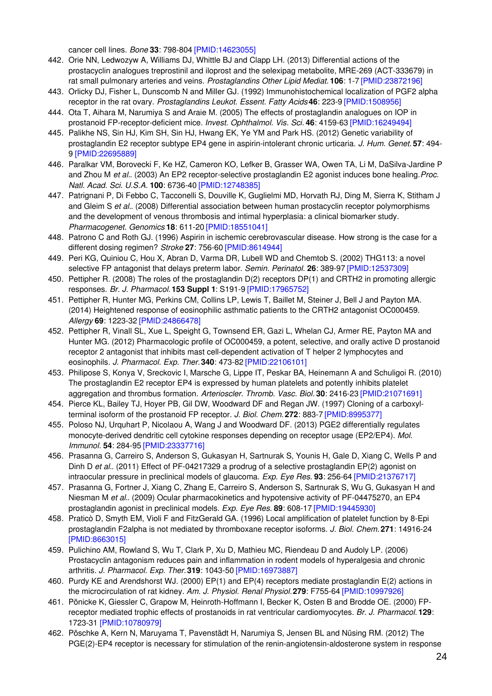cancer cell lines. *Bone* **33**: 798-804 [\[PMID:14623055\]](http://www.ncbi.nlm.nih.gov/pubmed/14623055?dopt=AbstractPlus)

- 442. Orie NN, Ledwozyw A, Williams DJ, Whittle BJ and Clapp LH. (2013) Differential actions of the prostacyclin analogues treprostinil and iloprost and the selexipag metabolite, MRE-269 (ACT-333679) in rat small pulmonary arteries and veins. *Prostaglandins Other Lipid Mediat.* **106**: 1-7 [\[PMID:23872196\]](http://www.ncbi.nlm.nih.gov/pubmed/23872196?dopt=AbstractPlus)
- 443. Orlicky DJ, Fisher L, Dunscomb N and Miller GJ. (1992) Immunohistochemical localization of PGF2 alpha receptor in the rat ovary. *Prostaglandins Leukot. Essent. Fatty Acids***46**: 223-9 [\[PMID:1508956\]](http://www.ncbi.nlm.nih.gov/pubmed/1508956?dopt=AbstractPlus)
- 444. Ota T, Aihara M, Narumiya S and Araie M. (2005) The effects of prostaglandin analogues on IOP in prostanoid FP-receptor-deficient mice. *Invest. Ophthalmol. Vis. Sci.* **46**: 4159-63 [\[PMID:16249494\]](http://www.ncbi.nlm.nih.gov/pubmed/16249494?dopt=AbstractPlus)
- 445. Palikhe NS, Sin HJ, Kim SH, Sin HJ, Hwang EK, Ye YM and Park HS. (2012) Genetic variability of prostaglandin E2 receptor subtype EP4 gene in aspirin-intolerant chronic urticaria. *J. Hum. Genet.* **57**: 494- 9 [\[PMID:22695889\]](http://www.ncbi.nlm.nih.gov/pubmed/22695889?dopt=AbstractPlus)
- 446. Paralkar VM, Borovecki F, Ke HZ, Cameron KO, Lefker B, Grasser WA, Owen TA, Li M, DaSilva-Jardine P and Zhou M *et al.*. (2003) An EP2 receptor-selective prostaglandin E2 agonist induces bone healing.*Proc. Natl. Acad. Sci. U.S.A.* **100**: 6736-40 [\[PMID:12748385\]](http://www.ncbi.nlm.nih.gov/pubmed/12748385?dopt=AbstractPlus)
- 447. Patrignani P, Di Febbo C, Tacconelli S, Douville K, Guglielmi MD, Horvath RJ, Ding M, Sierra K, Stitham J and Gleim S *et al.*. (2008) Differential association between human prostacyclin receptor polymorphisms and the development of venous thrombosis and intimal hyperplasia: a clinical biomarker study. *Pharmacogenet. Genomics* **18**: 611-20 [\[PMID:18551041\]](http://www.ncbi.nlm.nih.gov/pubmed/18551041?dopt=AbstractPlus)
- 448. Patrono C and Roth GJ. (1996) Aspirin in ischemic cerebrovascular disease. How strong is the case for a different dosing regimen? *Stroke* **27**: 756-60 [\[PMID:8614944\]](http://www.ncbi.nlm.nih.gov/pubmed/8614944?dopt=AbstractPlus)
- 449. Peri KG, Quiniou C, Hou X, Abran D, Varma DR, Lubell WD and Chemtob S. (2002) THG113: a novel selective FP antagonist that delays preterm labor. *Semin. Perinatol.* **26**: 389-97 [\[PMID:12537309\]](http://www.ncbi.nlm.nih.gov/pubmed/12537309?dopt=AbstractPlus)
- 450. Pettipher R. (2008) The roles of the prostaglandin D(2) receptors DP(1) and CRTH2 in promoting allergic responses. *Br. J. Pharmacol.* **153 Suppl 1**: S191-9 [\[PMID:17965752\]](http://www.ncbi.nlm.nih.gov/pubmed/17965752?dopt=AbstractPlus)
- 451. Pettipher R, Hunter MG, Perkins CM, Collins LP, Lewis T, Baillet M, Steiner J, Bell J and Payton MA. (2014) Heightened response of eosinophilic asthmatic patients to the CRTH2 antagonist OC000459. *Allergy* **69**: 1223-32 [\[PMID:24866478\]](http://www.ncbi.nlm.nih.gov/pubmed/24866478?dopt=AbstractPlus)
- 452. Pettipher R, Vinall SL, Xue L, Speight G, Townsend ER, Gazi L, Whelan CJ, Armer RE, Payton MA and Hunter MG. (2012) Pharmacologic profile of OC000459, a potent, selective, and orally active D prostanoid receptor 2 antagonist that inhibits mast cell-dependent activation of T helper 2 lymphocytes and eosinophils. *J. Pharmacol. Exp. Ther.***340**: 473-82 [\[PMID:22106101\]](http://www.ncbi.nlm.nih.gov/pubmed/22106101?dopt=AbstractPlus)
- 453. Philipose S, Konya V, Sreckovic I, Marsche G, Lippe IT, Peskar BA, Heinemann A and Schuligoi R. (2010) The prostaglandin E2 receptor EP4 is expressed by human platelets and potently inhibits platelet aggregation and thrombus formation. *Arterioscler. Thromb. Vasc. Biol.* **30**: 2416-23 [\[PMID:21071691\]](http://www.ncbi.nlm.nih.gov/pubmed/21071691?dopt=AbstractPlus)
- 454. Pierce KL, Bailey TJ, Hoyer PB, Gil DW, Woodward DF and Regan JW. (1997) Cloning of a carboxylterminal isoform of the prostanoid FP receptor. *J. Biol. Chem.* **272**: 883-7 [\[PMID:8995377\]](http://www.ncbi.nlm.nih.gov/pubmed/8995377?dopt=AbstractPlus)
- 455. Poloso NJ, Urquhart P, Nicolaou A, Wang J and Woodward DF. (2013) PGE2 differentially regulates monocyte-derived dendritic cell cytokine responses depending on receptor usage (EP2/EP4). *Mol. Immunol.* **54**: 284-95 [\[PMID:23337716\]](http://www.ncbi.nlm.nih.gov/pubmed/23337716?dopt=AbstractPlus)
- 456. Prasanna G, Carreiro S, Anderson S, Gukasyan H, Sartnurak S, Younis H, Gale D, Xiang C, Wells P and Dinh D *et al.*. (2011) Effect of PF-04217329 a prodrug of a selective prostaglandin EP(2) agonist on intraocular pressure in preclinical models of glaucoma. *Exp. Eye Res.* **93**: 256-64 [\[PMID:21376717\]](http://www.ncbi.nlm.nih.gov/pubmed/21376717?dopt=AbstractPlus)
- 457. Prasanna G, Fortner J, Xiang C, Zhang E, Carreiro S, Anderson S, Sartnurak S, Wu G, Gukasyan H and Niesman M *et al.*. (2009) Ocular pharmacokinetics and hypotensive activity of PF-04475270, an EP4 prostaglandin agonist in preclinical models. *Exp. Eye Res.* **89**: 608-17 [\[PMID:19445930\]](http://www.ncbi.nlm.nih.gov/pubmed/19445930?dopt=AbstractPlus)
- 458. Praticò D, Smyth EM, Violi F and FitzGerald GA. (1996) Local amplification of platelet function by 8-Epi prostaglandin F2alpha is not mediated by thromboxane receptor isoforms. *J. Biol. Chem.* **271**: 14916-24 [\[PMID:8663015\]](http://www.ncbi.nlm.nih.gov/pubmed/8663015?dopt=AbstractPlus)
- 459. Pulichino AM, Rowland S, Wu T, Clark P, Xu D, Mathieu MC, Riendeau D and Audoly LP. (2006) Prostacyclin antagonism reduces pain and inflammation in rodent models of hyperalgesia and chronic arthritis. *J. Pharmacol. Exp. Ther.***319**: 1043-50 [\[PMID:16973887\]](http://www.ncbi.nlm.nih.gov/pubmed/16973887?dopt=AbstractPlus)
- 460. Purdy KE and Arendshorst WJ. (2000) EP(1) and EP(4) receptors mediate prostaglandin E(2) actions in the microcirculation of rat kidney. *Am. J. Physiol. Renal Physiol.***279**: F755-64 [\[PMID:10997926\]](http://www.ncbi.nlm.nih.gov/pubmed/10997926?dopt=AbstractPlus)
- 461. Pönicke K, Giessler C, Grapow M, Heinroth-Hoffmann I, Becker K, Osten B and Brodde OE. (2000) FPreceptor mediated trophic effects of prostanoids in rat ventricular cardiomyocytes. *Br. J. Pharmacol.* **129**: 1723-31 [\[PMID:10780979\]](http://www.ncbi.nlm.nih.gov/pubmed/10780979?dopt=AbstractPlus)
- 462. Pöschke A, Kern N, Maruyama T, Pavenstädt H, Narumiya S, Jensen BL and Nüsing RM. (2012) The PGE(2)-EP4 receptor is necessary for stimulation of the renin-angiotensin-aldosterone system in response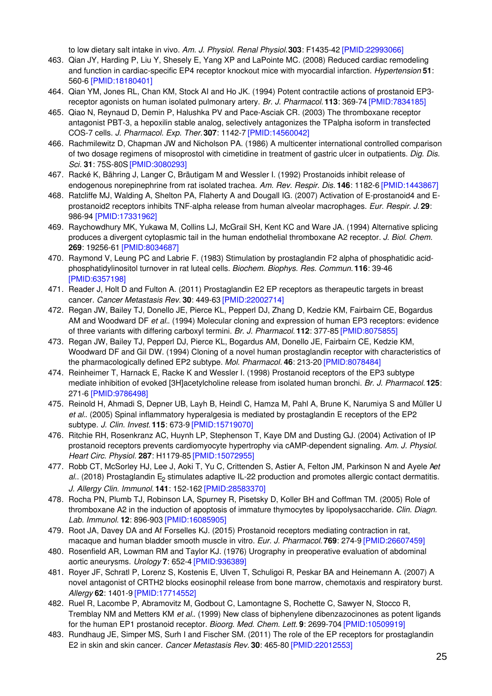to low dietary salt intake in vivo. *Am. J. Physiol. Renal Physiol.***303**: F1435-42 [\[PMID:22993066\]](http://www.ncbi.nlm.nih.gov/pubmed/22993066?dopt=AbstractPlus)

- 463. Qian JY, Harding P, Liu Y, Shesely E, Yang XP and LaPointe MC. (2008) Reduced cardiac remodeling and function in cardiac-specific EP4 receptor knockout mice with myocardial infarction. *Hypertension* **51**: 560-6 [\[PMID:18180401\]](http://www.ncbi.nlm.nih.gov/pubmed/18180401?dopt=AbstractPlus)
- 464. Qian YM, Jones RL, Chan KM, Stock AI and Ho JK. (1994) Potent contractile actions of prostanoid EP3 receptor agonists on human isolated pulmonary artery. *Br. J. Pharmacol.* **113**: 369-74 [\[PMID:7834185\]](http://www.ncbi.nlm.nih.gov/pubmed/7834185?dopt=AbstractPlus)
- 465. Qiao N, Reynaud D, Demin P, Halushka PV and Pace-Asciak CR. (2003) The thromboxane receptor antagonist PBT-3, a hepoxilin stable analog, selectively antagonizes the TPalpha isoform in transfected COS-7 cells. *J. Pharmacol. Exp. Ther.***307**: 1142-7 [\[PMID:14560042\]](http://www.ncbi.nlm.nih.gov/pubmed/14560042?dopt=AbstractPlus)
- 466. Rachmilewitz D, Chapman JW and Nicholson PA. (1986) A multicenter international controlled comparison of two dosage regimens of misoprostol with cimetidine in treatment of gastric ulcer in outpatients. *Dig. Dis. Sci.* **31**: 75S-80S [\[PMID:3080293\]](http://www.ncbi.nlm.nih.gov/pubmed/3080293?dopt=AbstractPlus)
- 467. Racké K, Bähring J, Langer C, Bräutigam M and Wessler I. (1992) Prostanoids inhibit release of endogenous norepinephrine from rat isolated trachea. *Am. Rev. Respir. Dis.* **146**: 1182-6 [\[PMID:1443867\]](http://www.ncbi.nlm.nih.gov/pubmed/1443867?dopt=AbstractPlus)
- 468. Ratcliffe MJ, Walding A, Shelton PA, Flaherty A and Dougall IG. (2007) Activation of E-prostanoid4 and Eprostanoid2 receptors inhibits TNF-alpha release from human alveolar macrophages. *Eur. Respir. J.* **29**: 986-94 [\[PMID:17331962\]](http://www.ncbi.nlm.nih.gov/pubmed/17331962?dopt=AbstractPlus)
- 469. Raychowdhury MK, Yukawa M, Collins LJ, McGrail SH, Kent KC and Ware JA. (1994) Alternative splicing produces a divergent cytoplasmic tail in the human endothelial thromboxane A2 receptor. *J. Biol. Chem.* **269**: 19256-61 [\[PMID:8034687\]](http://www.ncbi.nlm.nih.gov/pubmed/8034687?dopt=AbstractPlus)
- 470. Raymond V, Leung PC and Labrie F. (1983) Stimulation by prostaglandin F2 alpha of phosphatidic acidphosphatidylinositol turnover in rat luteal cells. *Biochem. Biophys. Res. Commun.* **116**: 39-46 [\[PMID:6357198\]](http://www.ncbi.nlm.nih.gov/pubmed/6357198?dopt=AbstractPlus)
- 471. Reader J, Holt D and Fulton A. (2011) Prostaglandin E2 EP receptors as therapeutic targets in breast cancer. *Cancer Metastasis Rev.* **30**: 449-63 [\[PMID:22002714\]](http://www.ncbi.nlm.nih.gov/pubmed/22002714?dopt=AbstractPlus)
- 472. Regan JW, Bailey TJ, Donello JE, Pierce KL, Pepperl DJ, Zhang D, Kedzie KM, Fairbairn CE, Bogardus AM and Woodward DF *et al.*. (1994) Molecular cloning and expression of human EP3 receptors: evidence of three variants with differing carboxyl termini. *Br. J. Pharmacol.* **112**: 377-85 [\[PMID:8075855\]](http://www.ncbi.nlm.nih.gov/pubmed/8075855?dopt=AbstractPlus)
- 473. Regan JW, Bailey TJ, Pepperl DJ, Pierce KL, Bogardus AM, Donello JE, Fairbairn CE, Kedzie KM, Woodward DF and Gil DW. (1994) Cloning of a novel human prostaglandin receptor with characteristics of the pharmacologically defined EP2 subtype. *Mol. Pharmacol.* **46**: 213-20 [\[PMID:8078484\]](http://www.ncbi.nlm.nih.gov/pubmed/8078484?dopt=AbstractPlus)
- 474. Reinheimer T, Harnack E, Racke K and Wessler I. (1998) Prostanoid receptors of the EP3 subtype mediate inhibition of evoked [3H]acetylcholine release from isolated human bronchi. *Br. J. Pharmacol.* **125**: 271-6 [\[PMID:9786498\]](http://www.ncbi.nlm.nih.gov/pubmed/9786498?dopt=AbstractPlus)
- 475. Reinold H, Ahmadi S, Depner UB, Layh B, Heindl C, Hamza M, Pahl A, Brune K, Narumiya S and Müller U *et al.*. (2005) Spinal inflammatory hyperalgesia is mediated by prostaglandin E receptors of the EP2 subtype. *J. Clin. Invest.* **115**: 673-9 [\[PMID:15719070\]](http://www.ncbi.nlm.nih.gov/pubmed/15719070?dopt=AbstractPlus)
- 476. Ritchie RH, Rosenkranz AC, Huynh LP, Stephenson T, Kaye DM and Dusting GJ. (2004) Activation of IP prostanoid receptors prevents cardiomyocyte hypertrophy via cAMP-dependent signaling. *Am. J. Physiol. Heart Circ. Physiol.* **287**: H1179-85 [\[PMID:15072955\]](http://www.ncbi.nlm.nih.gov/pubmed/15072955?dopt=AbstractPlus)
- 477. Robb CT, McSorley HJ, Lee J, Aoki T, Yu C, Crittenden S, Astier A, Felton JM, Parkinson N and Ayele A*et* al.. (2018) Prostaglandin E<sub>2</sub> stimulates adaptive IL-22 production and promotes allergic contact dermatitis. *J. Allergy Clin. Immunol.* **141**: 152-162 [\[PMID:28583370\]](http://www.ncbi.nlm.nih.gov/pubmed/28583370?dopt=AbstractPlus)
- 478. Rocha PN, Plumb TJ, Robinson LA, Spurney R, Pisetsky D, Koller BH and Coffman TM. (2005) Role of thromboxane A2 in the induction of apoptosis of immature thymocytes by lipopolysaccharide. *Clin. Diagn. Lab. Immunol.* **12**: 896-903 [\[PMID:16085905\]](http://www.ncbi.nlm.nih.gov/pubmed/16085905?dopt=AbstractPlus)
- 479. Root JA, Davey DA and Af Forselles KJ. (2015) Prostanoid receptors mediating contraction in rat, macaque and human bladder smooth muscle in vitro. *Eur. J. Pharmacol.* **769**: 274-9 [\[PMID:26607459\]](http://www.ncbi.nlm.nih.gov/pubmed/26607459?dopt=AbstractPlus)
- 480. Rosenfield AR, Lowman RM and Taylor KJ. (1976) Urography in preoperative evaluation of abdominal aortic aneurysms. *Urology* **7**: 652-4 [\[PMID:936389\]](http://www.ncbi.nlm.nih.gov/pubmed/936389?dopt=AbstractPlus)
- 481. Royer JF, Schratl P, Lorenz S, Kostenis E, Ulven T, Schuligoi R, Peskar BA and Heinemann A. (2007) A novel antagonist of CRTH2 blocks eosinophil release from bone marrow, chemotaxis and respiratory burst. *Allergy* **62**: 1401-9 [\[PMID:17714552\]](http://www.ncbi.nlm.nih.gov/pubmed/17714552?dopt=AbstractPlus)
- 482. Ruel R, Lacombe P, Abramovitz M, Godbout C, Lamontagne S, Rochette C, Sawyer N, Stocco R, Tremblay NM and Metters KM *et al.*. (1999) New class of biphenylene dibenzazocinones as potent ligands for the human EP1 prostanoid receptor. *Bioorg. Med. Chem. Lett.* **9**: 2699-704 [\[PMID:10509919\]](http://www.ncbi.nlm.nih.gov/pubmed/10509919?dopt=AbstractPlus)
- 483. Rundhaug JE, Simper MS, Surh I and Fischer SM. (2011) The role of the EP receptors for prostaglandin E2 in skin and skin cancer. *Cancer Metastasis Rev.* **30**: 465-80 [\[PMID:22012553\]](http://www.ncbi.nlm.nih.gov/pubmed/22012553?dopt=AbstractPlus)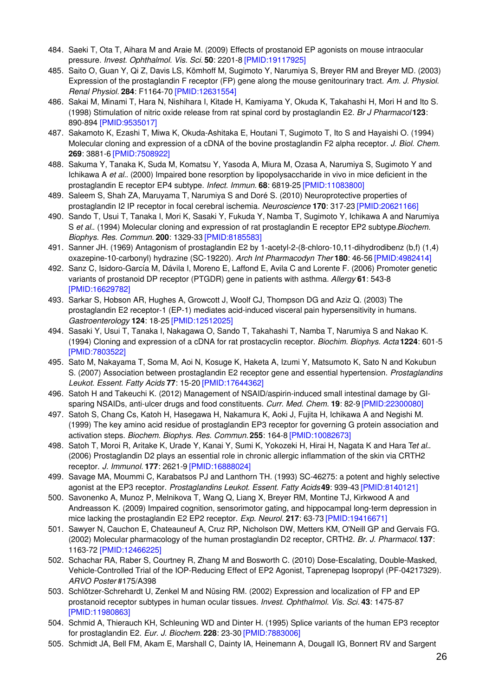- 484. Saeki T, Ota T, Aihara M and Araie M. (2009) Effects of prostanoid EP agonists on mouse intraocular pressure. *Invest. Ophthalmol. Vis. Sci.* **50**: 2201-8 [\[PMID:19117925\]](http://www.ncbi.nlm.nih.gov/pubmed/19117925?dopt=AbstractPlus)
- 485. Saito O, Guan Y, Qi Z, Davis LS, Kömhoff M, Sugimoto Y, Narumiya S, Breyer RM and Breyer MD. (2003) Expression of the prostaglandin F receptor (FP) gene along the mouse genitourinary tract. *Am. J. Physiol. Renal Physiol.* **284**: F1164-70 [\[PMID:12631554\]](http://www.ncbi.nlm.nih.gov/pubmed/12631554?dopt=AbstractPlus)
- 486. Sakai M, Minami T, Hara N, Nishihara I, Kitade H, Kamiyama Y, Okuda K, Takahashi H, Mori H and Ito S. (1998) Stimulation of nitric oxide release from rat spinal cord by prostaglandin E2. *Br J Pharmacol* **123**: 890-894 [\[PMID:9535017\]](http://www.ncbi.nlm.nih.gov/pubmed/9535017?dopt=AbstractPlus)
- 487. Sakamoto K, Ezashi T, Miwa K, Okuda-Ashitaka E, Houtani T, Sugimoto T, Ito S and Hayaishi O. (1994) Molecular cloning and expression of a cDNA of the bovine prostaglandin F2 alpha receptor. *J. Biol. Chem.* **269**: 3881-6 [\[PMID:7508922\]](http://www.ncbi.nlm.nih.gov/pubmed/7508922?dopt=AbstractPlus)
- 488. Sakuma Y, Tanaka K, Suda M, Komatsu Y, Yasoda A, Miura M, Ozasa A, Narumiya S, Sugimoto Y and Ichikawa A *et al.*. (2000) Impaired bone resorption by lipopolysaccharide in vivo in mice deficient in the prostaglandin E receptor EP4 subtype. *Infect. Immun.* **68**: 6819-25 [\[PMID:11083800\]](http://www.ncbi.nlm.nih.gov/pubmed/11083800?dopt=AbstractPlus)
- 489. Saleem S, Shah ZA, Maruyama T, Narumiya S and Doré S. (2010) Neuroprotective properties of prostaglandin I2 IP receptor in focal cerebral ischemia. *Neuroscience* **170**: 317-23 [\[PMID:20621166\]](http://www.ncbi.nlm.nih.gov/pubmed/20621166?dopt=AbstractPlus)
- 490. Sando T, Usui T, Tanaka I, Mori K, Sasaki Y, Fukuda Y, Namba T, Sugimoto Y, Ichikawa A and Narumiya S *et al.*. (1994) Molecular cloning and expression of rat prostaglandin E receptor EP2 subtype.*Biochem. Biophys. Res. Commun.* **200**: 1329-33 [\[PMID:8185583\]](http://www.ncbi.nlm.nih.gov/pubmed/8185583?dopt=AbstractPlus)
- 491. Sanner JH. (1969) Antagonism of prostaglandin E2 by 1-acetyl-2-(8-chloro-10,11-dihydrodibenz (b,f) (1,4) oxazepine-10-carbonyl) hydrazine (SC-19220). *Arch Int Pharmacodyn Ther* **180**: 46-56 [\[PMID:4982414\]](http://www.ncbi.nlm.nih.gov/pubmed/4982414?dopt=AbstractPlus)
- 492. Sanz C, Isidoro-García M, Dávila I, Moreno E, Laffond E, Avila C and Lorente F. (2006) Promoter genetic variants of prostanoid DP receptor (PTGDR) gene in patients with asthma. *Allergy* **61**: 543-8 [\[PMID:16629782\]](http://www.ncbi.nlm.nih.gov/pubmed/16629782?dopt=AbstractPlus)
- 493. Sarkar S, Hobson AR, Hughes A, Growcott J, Woolf CJ, Thompson DG and Aziz Q. (2003) The prostaglandin E2 receptor-1 (EP-1) mediates acid-induced visceral pain hypersensitivity in humans. *Gastroenterology* **124**: 18-25 [\[PMID:12512025\]](http://www.ncbi.nlm.nih.gov/pubmed/12512025?dopt=AbstractPlus)
- 494. Sasaki Y, Usui T, Tanaka I, Nakagawa O, Sando T, Takahashi T, Namba T, Narumiya S and Nakao K. (1994) Cloning and expression of a cDNA for rat prostacyclin receptor. *Biochim. Biophys. Acta* **1224**: 601-5 [\[PMID:7803522\]](http://www.ncbi.nlm.nih.gov/pubmed/7803522?dopt=AbstractPlus)
- 495. Sato M, Nakayama T, Soma M, Aoi N, Kosuge K, Haketa A, Izumi Y, Matsumoto K, Sato N and Kokubun S. (2007) Association between prostaglandin E2 receptor gene and essential hypertension. *Prostaglandins Leukot. Essent. Fatty Acids* **77**: 15-20 [\[PMID:17644362\]](http://www.ncbi.nlm.nih.gov/pubmed/17644362?dopt=AbstractPlus)
- 496. Satoh H and Takeuchi K. (2012) Management of NSAID/aspirin-induced small intestinal damage by GIsparing NSAIDs, anti-ulcer drugs and food constituents. *Curr. Med. Chem.* **19**: 82-9 [\[PMID:22300080\]](http://www.ncbi.nlm.nih.gov/pubmed/22300080?dopt=AbstractPlus)
- 497. Satoh S, Chang Cs, Katoh H, Hasegawa H, Nakamura K, Aoki J, Fujita H, Ichikawa A and Negishi M. (1999) The key amino acid residue of prostaglandin EP3 receptor for governing G protein association and activation steps. *Biochem. Biophys. Res. Commun.* **255**: 164-8 [\[PMID:10082673\]](http://www.ncbi.nlm.nih.gov/pubmed/10082673?dopt=AbstractPlus)
- 498. Satoh T, Moroi R, Aritake K, Urade Y, Kanai Y, Sumi K, Yokozeki H, Hirai H, Nagata K and Hara T*et al.*. (2006) Prostaglandin D2 plays an essential role in chronic allergic inflammation of the skin via CRTH2 receptor. *J. Immunol.* **177**: 2621-9 [\[PMID:16888024\]](http://www.ncbi.nlm.nih.gov/pubmed/16888024?dopt=AbstractPlus)
- 499. Savage MA, Moummi C, Karabatsos PJ and Lanthorn TH. (1993) SC-46275: a potent and highly selective agonist at the EP3 receptor. *Prostaglandins Leukot. Essent. Fatty Acids***49**: 939-43 [\[PMID:8140121\]](http://www.ncbi.nlm.nih.gov/pubmed/8140121?dopt=AbstractPlus)
- 500. Savonenko A, Munoz P, Melnikova T, Wang Q, Liang X, Breyer RM, Montine TJ, Kirkwood A and Andreasson K. (2009) Impaired cognition, sensorimotor gating, and hippocampal long-term depression in mice lacking the prostaglandin E2 EP2 receptor. *Exp. Neurol.* **217**: 63-73 [\[PMID:19416671\]](http://www.ncbi.nlm.nih.gov/pubmed/19416671?dopt=AbstractPlus)
- 501. Sawyer N, Cauchon E, Chateauneuf A, Cruz RP, Nicholson DW, Metters KM, O'Neill GP and Gervais FG. (2002) Molecular pharmacology of the human prostaglandin D2 receptor, CRTH2. *Br. J. Pharmacol.* **137**: 1163-72 [\[PMID:12466225\]](http://www.ncbi.nlm.nih.gov/pubmed/12466225?dopt=AbstractPlus)
- 502. Schachar RA, Raber S, Courtney R, Zhang M and Bosworth C. (2010) Dose-Escalating, Double-Masked, Vehicle-Controlled Trial of the IOP-Reducing Effect of EP2 Agonist, Taprenepag Isopropyl (PF-04217329). *ARVO Poster* #175/A398
- 503. Schlötzer-Schrehardt U, Zenkel M and Nüsing RM. (2002) Expression and localization of FP and EP prostanoid receptor subtypes in human ocular tissues. *Invest. Ophthalmol. Vis. Sci.* **43**: 1475-87 [\[PMID:11980863\]](http://www.ncbi.nlm.nih.gov/pubmed/11980863?dopt=AbstractPlus)
- 504. Schmid A, Thierauch KH, Schleuning WD and Dinter H. (1995) Splice variants of the human EP3 receptor for prostaglandin E2. *Eur. J. Biochem.* **228**: 23-30 [\[PMID:7883006\]](http://www.ncbi.nlm.nih.gov/pubmed/7883006?dopt=AbstractPlus)
- 505. Schmidt JA, Bell FM, Akam E, Marshall C, Dainty IA, Heinemann A, Dougall IG, Bonnert RV and Sargent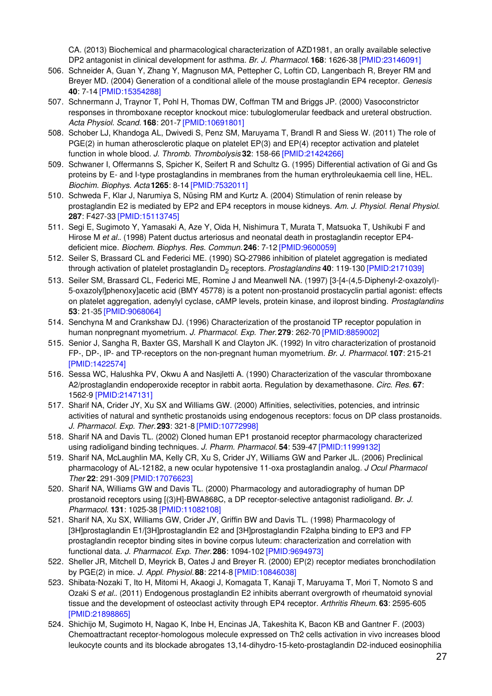CA. (2013) Biochemical and pharmacological characterization of AZD1981, an orally available selective DP2 antagonist in clinical development for asthma. *Br. J. Pharmacol.* **168**: 1626-38 [\[PMID:23146091\]](http://www.ncbi.nlm.nih.gov/pubmed/23146091?dopt=AbstractPlus)

- 506. Schneider A, Guan Y, Zhang Y, Magnuson MA, Pettepher C, Loftin CD, Langenbach R, Breyer RM and Breyer MD. (2004) Generation of a conditional allele of the mouse prostaglandin EP4 receptor. *Genesis* **40**: 7-14 [\[PMID:15354288\]](http://www.ncbi.nlm.nih.gov/pubmed/15354288?dopt=AbstractPlus)
- 507. Schnermann J, Traynor T, Pohl H, Thomas DW, Coffman TM and Briggs JP. (2000) Vasoconstrictor responses in thromboxane receptor knockout mice: tubuloglomerular feedback and ureteral obstruction. *Acta Physiol. Scand.* **168**: 201-7 [\[PMID:10691801\]](http://www.ncbi.nlm.nih.gov/pubmed/10691801?dopt=AbstractPlus)
- 508. Schober LJ, Khandoga AL, Dwivedi S, Penz SM, Maruyama T, Brandl R and Siess W. (2011) The role of PGE(2) in human atherosclerotic plaque on platelet EP(3) and EP(4) receptor activation and platelet function in whole blood. *J. Thromb. Thrombolysis* **32**: 158-66 [\[PMID:21424266\]](http://www.ncbi.nlm.nih.gov/pubmed/21424266?dopt=AbstractPlus)
- 509. Schwaner I, Offermanns S, Spicher K, Seifert R and Schultz G. (1995) Differential activation of Gi and Gs proteins by E- and I-type prostaglandins in membranes from the human erythroleukaemia cell line, HEL. *Biochim. Biophys. Acta* **1265**: 8-14 [\[PMID:7532011\]](http://www.ncbi.nlm.nih.gov/pubmed/7532011?dopt=AbstractPlus)
- 510. Schweda F, Klar J, Narumiya S, Nüsing RM and Kurtz A. (2004) Stimulation of renin release by prostaglandin E2 is mediated by EP2 and EP4 receptors in mouse kidneys. *Am. J. Physiol. Renal Physiol.* **287**: F427-33 [\[PMID:15113745\]](http://www.ncbi.nlm.nih.gov/pubmed/15113745?dopt=AbstractPlus)
- 511. Segi E, Sugimoto Y, Yamasaki A, Aze Y, Oida H, Nishimura T, Murata T, Matsuoka T, Ushikubi F and Hirose M *et al.*. (1998) Patent ductus arteriosus and neonatal death in prostaglandin receptor EP4 deficient mice. *Biochem. Biophys. Res. Commun.* **246**: 7-12 [\[PMID:9600059\]](http://www.ncbi.nlm.nih.gov/pubmed/9600059?dopt=AbstractPlus)
- 512. Seiler S, Brassard CL and Federici ME. (1990) SQ-27986 inhibition of platelet aggregation is mediated through activation of platelet prostaglandin D<sub>2</sub> receptors. *Prostaglandins* 40: 119-130 [\[PMID:2171039\]](http://www.ncbi.nlm.nih.gov/pubmed/2171039?dopt=AbstractPlus)
- 513. Seiler SM, Brassard CL, Federici ME, Romine J and Meanwell NA. (1997) [3-[4-(4,5-Diphenyl-2-oxazolyl)- 5-oxazolyl]phenoxy]acetic acid (BMY 45778) is a potent non-prostanoid prostacyclin partial agonist: effects on platelet aggregation, adenylyl cyclase, cAMP levels, protein kinase, and iloprost binding. *Prostaglandins* **53**: 21-35 [\[PMID:9068064\]](http://www.ncbi.nlm.nih.gov/pubmed/9068064?dopt=AbstractPlus)
- 514. Senchyna M and Crankshaw DJ. (1996) Characterization of the prostanoid TP receptor population in human nonpregnant myometrium. *J. Pharmacol. Exp. Ther.***279**: 262-70 [\[PMID:8859002\]](http://www.ncbi.nlm.nih.gov/pubmed/8859002?dopt=AbstractPlus)
- 515. Senior J, Sangha R, Baxter GS, Marshall K and Clayton JK. (1992) In vitro characterization of prostanoid FP-, DP-, IP- and TP-receptors on the non-pregnant human myometrium. *Br. J. Pharmacol.* **107**: 215-21 [\[PMID:1422574\]](http://www.ncbi.nlm.nih.gov/pubmed/1422574?dopt=AbstractPlus)
- 516. Sessa WC, Halushka PV, Okwu A and Nasjletti A. (1990) Characterization of the vascular thromboxane A2/prostaglandin endoperoxide receptor in rabbit aorta. Regulation by dexamethasone. *Circ. Res.* **67**: 1562-9 [\[PMID:2147131\]](http://www.ncbi.nlm.nih.gov/pubmed/2147131?dopt=AbstractPlus)
- 517. Sharif NA, Crider JY, Xu SX and Williams GW. (2000) Affinities, selectivities, potencies, and intrinsic activities of natural and synthetic prostanoids using endogenous receptors: focus on DP class prostanoids. *J. Pharmacol. Exp. Ther.***293**: 321-8 [\[PMID:10772998\]](http://www.ncbi.nlm.nih.gov/pubmed/10772998?dopt=AbstractPlus)
- 518. Sharif NA and Davis TL. (2002) Cloned human EP1 prostanoid receptor pharmacology characterized using radioligand binding techniques. *J. Pharm. Pharmacol.* **54**: 539-47 [\[PMID:11999132\]](http://www.ncbi.nlm.nih.gov/pubmed/11999132?dopt=AbstractPlus)
- 519. Sharif NA, McLaughlin MA, Kelly CR, Xu S, Crider JY, Williams GW and Parker JL. (2006) Preclinical pharmacology of AL-12182, a new ocular hypotensive 11-oxa prostaglandin analog. *J Ocul Pharmacol Ther* **22**: 291-309 [\[PMID:17076623\]](http://www.ncbi.nlm.nih.gov/pubmed/17076623?dopt=AbstractPlus)
- 520. Sharif NA, Williams GW and Davis TL. (2000) Pharmacology and autoradiography of human DP prostanoid receptors using [(3)H]-BWA868C, a DP receptor-selective antagonist radioligand. *Br. J. Pharmacol.* **131**: 1025-38 [\[PMID:11082108\]](http://www.ncbi.nlm.nih.gov/pubmed/11082108?dopt=AbstractPlus)
- 521. Sharif NA, Xu SX, Williams GW, Crider JY, Griffin BW and Davis TL. (1998) Pharmacology of [3H]prostaglandin E1/[3H]prostaglandin E2 and [3H]prostaglandin F2alpha binding to EP3 and FP prostaglandin receptor binding sites in bovine corpus luteum: characterization and correlation with functional data. *J. Pharmacol. Exp. Ther.***286**: 1094-102 [\[PMID:9694973\]](http://www.ncbi.nlm.nih.gov/pubmed/9694973?dopt=AbstractPlus)
- 522. Sheller JR, Mitchell D, Meyrick B, Oates J and Breyer R. (2000) EP(2) receptor mediates bronchodilation by PGE(2) in mice. *J. Appl. Physiol.* **88**: 2214-8 [\[PMID:10846038\]](http://www.ncbi.nlm.nih.gov/pubmed/10846038?dopt=AbstractPlus)
- 523. Shibata-Nozaki T, Ito H, Mitomi H, Akaogi J, Komagata T, Kanaji T, Maruyama T, Mori T, Nomoto S and Ozaki S *et al.*. (2011) Endogenous prostaglandin E2 inhibits aberrant overgrowth of rheumatoid synovial tissue and the development of osteoclast activity through EP4 receptor. *Arthritis Rheum.* **63**: 2595-605 [\[PMID:21898865\]](http://www.ncbi.nlm.nih.gov/pubmed/21898865?dopt=AbstractPlus)
- 524. Shichijo M, Sugimoto H, Nagao K, Inbe H, Encinas JA, Takeshita K, Bacon KB and Gantner F. (2003) Chemoattractant receptor-homologous molecule expressed on Th2 cells activation in vivo increases blood leukocyte counts and its blockade abrogates 13,14-dihydro-15-keto-prostaglandin D2-induced eosinophilia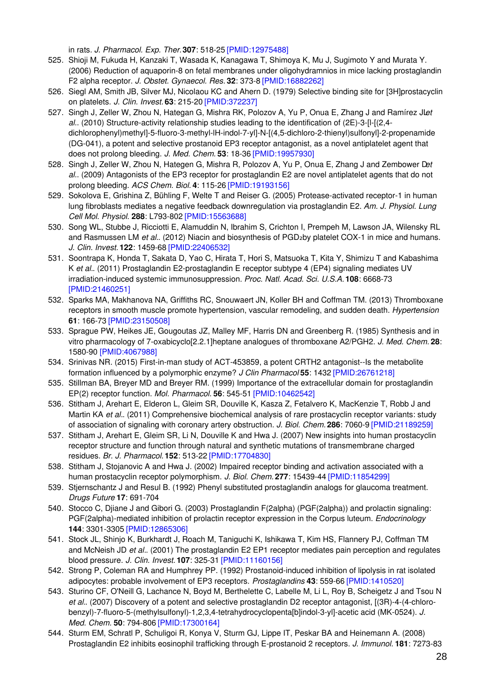in rats. *J. Pharmacol. Exp. Ther.***307**: 518-25 [\[PMID:12975488\]](http://www.ncbi.nlm.nih.gov/pubmed/12975488?dopt=AbstractPlus)

- 525. Shioji M, Fukuda H, Kanzaki T, Wasada K, Kanagawa T, Shimoya K, Mu J, Sugimoto Y and Murata Y. (2006) Reduction of aquaporin-8 on fetal membranes under oligohydramnios in mice lacking prostaglandin F2 alpha receptor. *J. Obstet. Gynaecol. Res.* **32**: 373-8 [\[PMID:16882262\]](http://www.ncbi.nlm.nih.gov/pubmed/16882262?dopt=AbstractPlus)
- 526. Siegl AM, Smith JB, Silver MJ, Nicolaou KC and Ahern D. (1979) Selective binding site for [3H]prostacyclin on platelets. *J. Clin. Invest.* **63**: 215-20 [\[PMID:372237\]](http://www.ncbi.nlm.nih.gov/pubmed/372237?dopt=AbstractPlus)
- 527. Singh J, Zeller W, Zhou N, Hategan G, Mishra RK, Polozov A, Yu P, Onua E, Zhang J and Ramírez JL*et al.*. (2010) Structure-activity relationship studies leading to the identification of (2E)-3-[l-[(2,4 dichlorophenyl)methyl]-5-fluoro-3-methyl-lH-indol-7-yl]-N-[(4,5-dichloro-2-thienyl)sulfonyl]-2-propenamide (DG-041), a potent and selective prostanoid EP3 receptor antagonist, as a novel antiplatelet agent that does not prolong bleeding. *J. Med. Chem.* **53**: 18-36 [\[PMID:19957930\]](http://www.ncbi.nlm.nih.gov/pubmed/19957930?dopt=AbstractPlus)
- 528. Singh J, Zeller W, Zhou N, Hategen G, Mishra R, Polozov A, Yu P, Onua E, Zhang J and Zembower D*et al.*. (2009) Antagonists of the EP3 receptor for prostaglandin E2 are novel antiplatelet agents that do not prolong bleeding. *ACS Chem. Biol.* **4**: 115-26 [\[PMID:19193156\]](http://www.ncbi.nlm.nih.gov/pubmed/19193156?dopt=AbstractPlus)
- 529. Sokolova E, Grishina Z, Bühling F, Welte T and Reiser G. (2005) Protease-activated receptor-1 in human lung fibroblasts mediates a negative feedback downregulation via prostaglandin E2. *Am. J. Physiol. Lung Cell Mol. Physiol.* **288**: L793-802 [\[PMID:15563688\]](http://www.ncbi.nlm.nih.gov/pubmed/15563688?dopt=AbstractPlus)
- 530. Song WL, Stubbe J, Ricciotti E, Alamuddin N, Ibrahim S, Crichton I, Prempeh M, Lawson JA, Wilensky RL and Rasmussen LM *et al.*. (2012) Niacin and biosynthesis of PGD<sub>2</sub>by platelet COX-1 in mice and humans. *J. Clin. Invest.* **122**: 1459-68 [\[PMID:22406532\]](http://www.ncbi.nlm.nih.gov/pubmed/22406532?dopt=AbstractPlus)
- 531. Soontrapa K, Honda T, Sakata D, Yao C, Hirata T, Hori S, Matsuoka T, Kita Y, Shimizu T and Kabashima K *et al.*. (2011) Prostaglandin E2-prostaglandin E receptor subtype 4 (EP4) signaling mediates UV irradiation-induced systemic immunosuppression. *Proc. Natl. Acad. Sci. U.S.A.* **108**: 6668-73 [\[PMID:21460251\]](http://www.ncbi.nlm.nih.gov/pubmed/21460251?dopt=AbstractPlus)
- 532. Sparks MA, Makhanova NA, Griffiths RC, Snouwaert JN, Koller BH and Coffman TM. (2013) Thromboxane receptors in smooth muscle promote hypertension, vascular remodeling, and sudden death. *Hypertension* **61**: 166-73 [\[PMID:23150508\]](http://www.ncbi.nlm.nih.gov/pubmed/23150508?dopt=AbstractPlus)
- 533. Sprague PW, Heikes JE, Gougoutas JZ, Malley MF, Harris DN and Greenberg R. (1985) Synthesis and in vitro pharmacology of 7-oxabicyclo[2.2.1]heptane analogues of thromboxane A2/PGH2. *J. Med. Chem.* **28**: 1580-90 [\[PMID:4067988\]](http://www.ncbi.nlm.nih.gov/pubmed/4067988?dopt=AbstractPlus)
- 534. Srinivas NR. (2015) First-in-man study of ACT-453859, a potent CRTH2 antagonist--Is the metabolite formation influenced by a polymorphic enzyme? *J Clin Pharmacol* **55**: 1432 [\[PMID:26761218\]](http://www.ncbi.nlm.nih.gov/pubmed/26761218?dopt=AbstractPlus)
- 535. Stillman BA, Breyer MD and Breyer RM. (1999) Importance of the extracellular domain for prostaglandin EP(2) receptor function. *Mol. Pharmacol.* **56**: 545-51 [\[PMID:10462542\]](http://www.ncbi.nlm.nih.gov/pubmed/10462542?dopt=AbstractPlus)
- 536. Stitham J, Arehart E, Elderon L, Gleim SR, Douville K, Kasza Z, Fetalvero K, MacKenzie T, Robb J and Martin KA *et al.*. (2011) Comprehensive biochemical analysis of rare prostacyclin receptor variants: study of association of signaling with coronary artery obstruction. *J. Biol. Chem.* **286**: 7060-9 [\[PMID:21189259\]](http://www.ncbi.nlm.nih.gov/pubmed/21189259?dopt=AbstractPlus)
- 537. Stitham J, Arehart E, Gleim SR, Li N, Douville K and Hwa J. (2007) New insights into human prostacyclin receptor structure and function through natural and synthetic mutations of transmembrane charged residues. *Br. J. Pharmacol.* **152**: 513-22 [\[PMID:17704830\]](http://www.ncbi.nlm.nih.gov/pubmed/17704830?dopt=AbstractPlus)
- 538. Stitham J, Stojanovic A and Hwa J. (2002) Impaired receptor binding and activation associated with a human prostacyclin receptor polymorphism. *J. Biol. Chem.* **277**: 15439-44 [\[PMID:11854299\]](http://www.ncbi.nlm.nih.gov/pubmed/11854299?dopt=AbstractPlus)
- 539. Stjernschantz J and Resul B. (1992) Phenyl substituted prostaglandin analogs for glaucoma treatment. *Drugs Future* **17**: 691-704
- 540. Stocco C, Djiane J and Gibori G. (2003) Prostaglandin F(2alpha) (PGF(2alpha)) and prolactin signaling: PGF(2alpha)-mediated inhibition of prolactin receptor expression in the Corpus luteum. *Endocrinology* **144**: 3301-3305 [\[PMID:12865306\]](http://www.ncbi.nlm.nih.gov/pubmed/12865306?dopt=AbstractPlus)
- 541. Stock JL, Shinjo K, Burkhardt J, Roach M, Taniguchi K, Ishikawa T, Kim HS, Flannery PJ, Coffman TM and McNeish JD *et al.*. (2001) The prostaglandin E2 EP1 receptor mediates pain perception and regulates blood pressure. *J. Clin. Invest.* **107**: 325-31 [\[PMID:11160156\]](http://www.ncbi.nlm.nih.gov/pubmed/11160156?dopt=AbstractPlus)
- 542. Strong P, Coleman RA and Humphrey PP. (1992) Prostanoid-induced inhibition of lipolysis in rat isolated adipocytes: probable involvement of EP3 receptors. *Prostaglandins* **43**: 559-66 [\[PMID:1410520\]](http://www.ncbi.nlm.nih.gov/pubmed/1410520?dopt=AbstractPlus)
- 543. Sturino CF, O'Neill G, Lachance N, Boyd M, Berthelette C, Labelle M, Li L, Roy B, Scheigetz J and Tsou N *et al.*. (2007) Discovery of a potent and selective prostaglandin D2 receptor antagonist, [(3R)-4-(4-chlorobenzyl)-7-fluoro-5-(methylsulfonyl)-1,2,3,4-tetrahydrocyclopenta[b]indol-3-yl]-acetic acid (MK-0524). *J. Med. Chem.* **50**: 794-806 [\[PMID:17300164\]](http://www.ncbi.nlm.nih.gov/pubmed/17300164?dopt=AbstractPlus)
- 544. Sturm EM, Schratl P, Schuligoi R, Konya V, Sturm GJ, Lippe IT, Peskar BA and Heinemann A. (2008) Prostaglandin E2 inhibits eosinophil trafficking through E-prostanoid 2 receptors. *J. Immunol.* **181**: 7273-83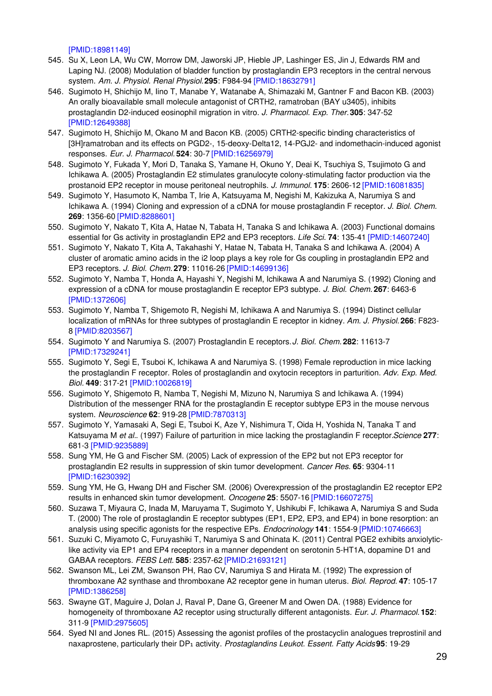[\[PMID:18981149\]](http://www.ncbi.nlm.nih.gov/pubmed/18981149?dopt=AbstractPlus)

- 545. Su X, Leon LA, Wu CW, Morrow DM, Jaworski JP, Hieble JP, Lashinger ES, Jin J, Edwards RM and Laping NJ. (2008) Modulation of bladder function by prostaglandin EP3 receptors in the central nervous system. *Am. J. Physiol. Renal Physiol.***295**: F984-94 [\[PMID:18632791\]](http://www.ncbi.nlm.nih.gov/pubmed/18632791?dopt=AbstractPlus)
- 546. Sugimoto H, Shichijo M, Iino T, Manabe Y, Watanabe A, Shimazaki M, Gantner F and Bacon KB. (2003) An orally bioavailable small molecule antagonist of CRTH2, ramatroban (BAY u3405), inhibits prostaglandin D2-induced eosinophil migration in vitro. *J. Pharmacol. Exp. Ther.***305**: 347-52 [\[PMID:12649388\]](http://www.ncbi.nlm.nih.gov/pubmed/12649388?dopt=AbstractPlus)
- 547. Sugimoto H, Shichijo M, Okano M and Bacon KB. (2005) CRTH2-specific binding characteristics of [3H]ramatroban and its effects on PGD2-, 15-deoxy-Delta12, 14-PGJ2- and indomethacin-induced agonist responses. *Eur. J. Pharmacol.* **524**: 30-7 [\[PMID:16256979\]](http://www.ncbi.nlm.nih.gov/pubmed/16256979?dopt=AbstractPlus)
- 548. Sugimoto Y, Fukada Y, Mori D, Tanaka S, Yamane H, Okuno Y, Deai K, Tsuchiya S, Tsujimoto G and Ichikawa A. (2005) Prostaglandin E2 stimulates granulocyte colony-stimulating factor production via the prostanoid EP2 receptor in mouse peritoneal neutrophils. *J. Immunol.* **175**: 2606-12 [\[PMID:16081835\]](http://www.ncbi.nlm.nih.gov/pubmed/16081835?dopt=AbstractPlus)
- 549. Sugimoto Y, Hasumoto K, Namba T, Irie A, Katsuyama M, Negishi M, Kakizuka A, Narumiya S and Ichikawa A. (1994) Cloning and expression of a cDNA for mouse prostaglandin F receptor. *J. Biol. Chem.* **269**: 1356-60 [\[PMID:8288601\]](http://www.ncbi.nlm.nih.gov/pubmed/8288601?dopt=AbstractPlus)
- 550. Sugimoto Y, Nakato T, Kita A, Hatae N, Tabata H, Tanaka S and Ichikawa A. (2003) Functional domains essential for Gs activity in prostaglandin EP2 and EP3 receptors. *Life Sci.* **74**: 135-41 [\[PMID:14607240\]](http://www.ncbi.nlm.nih.gov/pubmed/14607240?dopt=AbstractPlus)
- 551. Sugimoto Y, Nakato T, Kita A, Takahashi Y, Hatae N, Tabata H, Tanaka S and Ichikawa A. (2004) A cluster of aromatic amino acids in the i2 loop plays a key role for Gs coupling in prostaglandin EP2 and EP3 receptors. *J. Biol. Chem.* **279**: 11016-26 [\[PMID:14699136\]](http://www.ncbi.nlm.nih.gov/pubmed/14699136?dopt=AbstractPlus)
- 552. Sugimoto Y, Namba T, Honda A, Hayashi Y, Negishi M, Ichikawa A and Narumiya S. (1992) Cloning and expression of a cDNA for mouse prostaglandin E receptor EP3 subtype. *J. Biol. Chem.* **267**: 6463-6 [\[PMID:1372606\]](http://www.ncbi.nlm.nih.gov/pubmed/1372606?dopt=AbstractPlus)
- 553. Sugimoto Y, Namba T, Shigemoto R, Negishi M, Ichikawa A and Narumiya S. (1994) Distinct cellular localization of mRNAs for three subtypes of prostaglandin E receptor in kidney. *Am. J. Physiol.* **266**: F823- 8 [\[PMID:8203567\]](http://www.ncbi.nlm.nih.gov/pubmed/8203567?dopt=AbstractPlus)
- 554. Sugimoto Y and Narumiya S. (2007) Prostaglandin E receptors.*J. Biol. Chem.* **282**: 11613-7 [\[PMID:17329241\]](http://www.ncbi.nlm.nih.gov/pubmed/17329241?dopt=AbstractPlus)
- 555. Sugimoto Y, Segi E, Tsuboi K, Ichikawa A and Narumiya S. (1998) Female reproduction in mice lacking the prostaglandin F receptor. Roles of prostaglandin and oxytocin receptors in parturition. *Adv. Exp. Med. Biol.* **449**: 317-21 [\[PMID:10026819\]](http://www.ncbi.nlm.nih.gov/pubmed/10026819?dopt=AbstractPlus)
- 556. Sugimoto Y, Shigemoto R, Namba T, Negishi M, Mizuno N, Narumiya S and Ichikawa A. (1994) Distribution of the messenger RNA for the prostaglandin E receptor subtype EP3 in the mouse nervous system. *Neuroscience* **62**: 919-28 [\[PMID:7870313\]](http://www.ncbi.nlm.nih.gov/pubmed/7870313?dopt=AbstractPlus)
- 557. Sugimoto Y, Yamasaki A, Segi E, Tsuboi K, Aze Y, Nishimura T, Oida H, Yoshida N, Tanaka T and Katsuyama M *et al.*. (1997) Failure of parturition in mice lacking the prostaglandin F receptor.*Science* **277**: 681-3 [\[PMID:9235889\]](http://www.ncbi.nlm.nih.gov/pubmed/9235889?dopt=AbstractPlus)
- 558. Sung YM, He G and Fischer SM. (2005) Lack of expression of the EP2 but not EP3 receptor for prostaglandin E2 results in suppression of skin tumor development. *Cancer Res.* **65**: 9304-11 [\[PMID:16230392\]](http://www.ncbi.nlm.nih.gov/pubmed/16230392?dopt=AbstractPlus)
- 559. Sung YM, He G, Hwang DH and Fischer SM. (2006) Overexpression of the prostaglandin E2 receptor EP2 results in enhanced skin tumor development. *Oncogene* **25**: 5507-16 [\[PMID:16607275\]](http://www.ncbi.nlm.nih.gov/pubmed/16607275?dopt=AbstractPlus)
- 560. Suzawa T, Miyaura C, Inada M, Maruyama T, Sugimoto Y, Ushikubi F, Ichikawa A, Narumiya S and Suda T. (2000) The role of prostaglandin E receptor subtypes (EP1, EP2, EP3, and EP4) in bone resorption: an analysis using specific agonists for the respective EPs. *Endocrinology* **141**: 1554-9 [\[PMID:10746663\]](http://www.ncbi.nlm.nih.gov/pubmed/10746663?dopt=AbstractPlus)
- 561. Suzuki C, Miyamoto C, Furuyashiki T, Narumiya S and Ohinata K. (2011) Central PGE2 exhibits anxiolyticlike activity via EP1 and EP4 receptors in a manner dependent on serotonin 5-HT1A, dopamine D1 and GABAA receptors. *FEBS Lett.* **585**: 2357-62 [\[PMID:21693121\]](http://www.ncbi.nlm.nih.gov/pubmed/21693121?dopt=AbstractPlus)
- 562. Swanson ML, Lei ZM, Swanson PH, Rao CV, Narumiya S and Hirata M. (1992) The expression of thromboxane A2 synthase and thromboxane A2 receptor gene in human uterus. *Biol. Reprod.* **47**: 105-17 [\[PMID:1386258\]](http://www.ncbi.nlm.nih.gov/pubmed/1386258?dopt=AbstractPlus)
- 563. Swayne GT, Maguire J, Dolan J, Raval P, Dane G, Greener M and Owen DA. (1988) Evidence for homogeneity of thromboxane A2 receptor using structurally different antagonists. *Eur. J. Pharmacol.* **152**: 311-9 [\[PMID:2975605\]](http://www.ncbi.nlm.nih.gov/pubmed/2975605?dopt=AbstractPlus)
- 564. Syed NI and Jones RL. (2015) Assessing the agonist profiles of the prostacyclin analogues treprostinil and naxaprostene, particularly their DP₁ activity. *Prostaglandins Leukot. Essent. Fatty Acids***95**: 19-29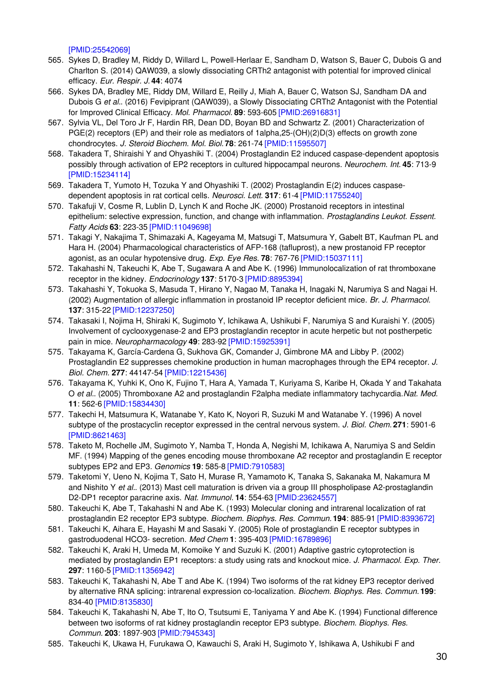[\[PMID:25542069\]](http://www.ncbi.nlm.nih.gov/pubmed/25542069?dopt=AbstractPlus)

- 565. Sykes D, Bradley M, Riddy D, Willard L, Powell-Herlaar E, Sandham D, Watson S, Bauer C, Dubois G and Charlton S. (2014) QAW039, a slowly dissociating CRTh2 antagonist with potential for improved clinical efficacy. *Eur. Respir. J.* **44**: 4074
- 566. Sykes DA, Bradley ME, Riddy DM, Willard E, Reilly J, Miah A, Bauer C, Watson SJ, Sandham DA and Dubois G *et al.*. (2016) Fevipiprant (QAW039), a Slowly Dissociating CRTh2 Antagonist with the Potential for Improved Clinical Efficacy. *Mol. Pharmacol.* **89**: 593-605 [\[PMID:26916831\]](http://www.ncbi.nlm.nih.gov/pubmed/26916831?dopt=AbstractPlus)
- 567. Sylvia VL, Del Toro Jr F, Hardin RR, Dean DD, Boyan BD and Schwartz Z. (2001) Characterization of PGE(2) receptors (EP) and their role as mediators of 1alpha,25-(OH)(2)D(3) effects on growth zone chondrocytes. *J. Steroid Biochem. Mol. Biol.* **78**: 261-74 [\[PMID:11595507\]](http://www.ncbi.nlm.nih.gov/pubmed/11595507?dopt=AbstractPlus)
- 568. Takadera T, Shiraishi Y and Ohyashiki T. (2004) Prostaglandin E2 induced caspase-dependent apoptosis possibly through activation of EP2 receptors in cultured hippocampal neurons. *Neurochem. Int.* **45**: 713-9 [\[PMID:15234114\]](http://www.ncbi.nlm.nih.gov/pubmed/15234114?dopt=AbstractPlus)
- 569. Takadera T, Yumoto H, Tozuka Y and Ohyashiki T. (2002) Prostaglandin E(2) induces caspasedependent apoptosis in rat cortical cells. *Neurosci. Lett.* **317**: 61-4 [\[PMID:11755240\]](http://www.ncbi.nlm.nih.gov/pubmed/11755240?dopt=AbstractPlus)
- 570. Takafuji V, Cosme R, Lublin D, Lynch K and Roche JK. (2000) Prostanoid receptors in intestinal epithelium: selective expression, function, and change with inflammation. *Prostaglandins Leukot. Essent. Fatty Acids* **63**: 223-35 [\[PMID:11049698\]](http://www.ncbi.nlm.nih.gov/pubmed/11049698?dopt=AbstractPlus)
- 571. Takagi Y, Nakajima T, Shimazaki A, Kageyama M, Matsugi T, Matsumura Y, Gabelt BT, Kaufman PL and Hara H. (2004) Pharmacological characteristics of AFP-168 (tafluprost), a new prostanoid FP receptor agonist, as an ocular hypotensive drug. *Exp. Eye Res.* **78**: 767-76 [\[PMID:15037111\]](http://www.ncbi.nlm.nih.gov/pubmed/15037111?dopt=AbstractPlus)
- 572. Takahashi N, Takeuchi K, Abe T, Sugawara A and Abe K. (1996) Immunolocalization of rat thromboxane receptor in the kidney. *Endocrinology* **137**: 5170-3 [\[PMID:8895394\]](http://www.ncbi.nlm.nih.gov/pubmed/8895394?dopt=AbstractPlus)
- 573. Takahashi Y, Tokuoka S, Masuda T, Hirano Y, Nagao M, Tanaka H, Inagaki N, Narumiya S and Nagai H. (2002) Augmentation of allergic inflammation in prostanoid IP receptor deficient mice. *Br. J. Pharmacol.* **137**: 315-22 [\[PMID:12237250\]](http://www.ncbi.nlm.nih.gov/pubmed/12237250?dopt=AbstractPlus)
- 574. Takasaki I, Nojima H, Shiraki K, Sugimoto Y, Ichikawa A, Ushikubi F, Narumiya S and Kuraishi Y. (2005) Involvement of cyclooxygenase-2 and EP3 prostaglandin receptor in acute herpetic but not postherpetic pain in mice. *Neuropharmacology* **49**: 283-92 [\[PMID:15925391\]](http://www.ncbi.nlm.nih.gov/pubmed/15925391?dopt=AbstractPlus)
- 575. Takayama K, García-Cardena G, Sukhova GK, Comander J, Gimbrone MA and Libby P. (2002) Prostaglandin E2 suppresses chemokine production in human macrophages through the EP4 receptor. *J. Biol. Chem.* **277**: 44147-54 [\[PMID:12215436\]](http://www.ncbi.nlm.nih.gov/pubmed/12215436?dopt=AbstractPlus)
- 576. Takayama K, Yuhki K, Ono K, Fujino T, Hara A, Yamada T, Kuriyama S, Karibe H, Okada Y and Takahata O *et al.*. (2005) Thromboxane A2 and prostaglandin F2alpha mediate inflammatory tachycardia.*Nat. Med.* **11**: 562-6 [\[PMID:15834430\]](http://www.ncbi.nlm.nih.gov/pubmed/15834430?dopt=AbstractPlus)
- 577. Takechi H, Matsumura K, Watanabe Y, Kato K, Noyori R, Suzuki M and Watanabe Y. (1996) A novel subtype of the prostacyclin receptor expressed in the central nervous system. *J. Biol. Chem.* **271**: 5901-6 [\[PMID:8621463\]](http://www.ncbi.nlm.nih.gov/pubmed/8621463?dopt=AbstractPlus)
- 578. Taketo M, Rochelle JM, Sugimoto Y, Namba T, Honda A, Negishi M, Ichikawa A, Narumiya S and Seldin MF. (1994) Mapping of the genes encoding mouse thromboxane A2 receptor and prostaglandin E receptor subtypes EP2 and EP3. *Genomics* **19**: 585-8 [\[PMID:7910583\]](http://www.ncbi.nlm.nih.gov/pubmed/7910583?dopt=AbstractPlus)
- 579. Taketomi Y, Ueno N, Kojima T, Sato H, Murase R, Yamamoto K, Tanaka S, Sakanaka M, Nakamura M and Nishito Y *et al.*. (2013) Mast cell maturation is driven via a group III phospholipase A2-prostaglandin D2-DP1 receptor paracrine axis. *Nat. Immunol.* **14**: 554-63 [\[PMID:23624557\]](http://www.ncbi.nlm.nih.gov/pubmed/23624557?dopt=AbstractPlus)
- 580. Takeuchi K, Abe T, Takahashi N and Abe K. (1993) Molecular cloning and intrarenal localization of rat prostaglandin E2 receptor EP3 subtype. *Biochem. Biophys. Res. Commun.* **194**: 885-91 [\[PMID:8393672\]](http://www.ncbi.nlm.nih.gov/pubmed/8393672?dopt=AbstractPlus)
- 581. Takeuchi K, Aihara E, Hayashi M and Sasaki Y. (2005) Role of prostaglandin E receptor subtypes in gastroduodenal HCO3- secretion. *Med Chem* **1**: 395-403 [\[PMID:16789896\]](http://www.ncbi.nlm.nih.gov/pubmed/16789896?dopt=AbstractPlus)
- 582. Takeuchi K, Araki H, Umeda M, Komoike Y and Suzuki K. (2001) Adaptive gastric cytoprotection is mediated by prostaglandin EP1 receptors: a study using rats and knockout mice. *J. Pharmacol. Exp. Ther.* **297**: 1160-5 [\[PMID:11356942\]](http://www.ncbi.nlm.nih.gov/pubmed/11356942?dopt=AbstractPlus)
- 583. Takeuchi K, Takahashi N, Abe T and Abe K. (1994) Two isoforms of the rat kidney EP3 receptor derived by alternative RNA splicing: intrarenal expression co-localization. *Biochem. Biophys. Res. Commun.* **199**: 834-40 [\[PMID:8135830\]](http://www.ncbi.nlm.nih.gov/pubmed/8135830?dopt=AbstractPlus)
- 584. Takeuchi K, Takahashi N, Abe T, Ito O, Tsutsumi E, Taniyama Y and Abe K. (1994) Functional difference between two isoforms of rat kidney prostaglandin receptor EP3 subtype. *Biochem. Biophys. Res. Commun.* **203**: 1897-903 [\[PMID:7945343\]](http://www.ncbi.nlm.nih.gov/pubmed/7945343?dopt=AbstractPlus)
- 585. Takeuchi K, Ukawa H, Furukawa O, Kawauchi S, Araki H, Sugimoto Y, Ishikawa A, Ushikubi F and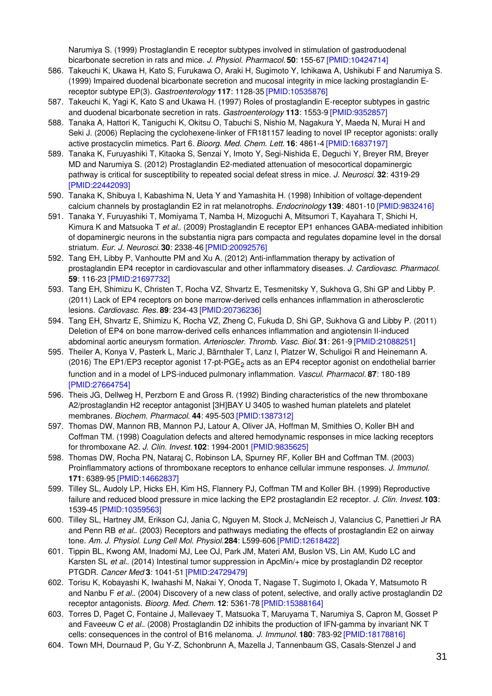Narumiya S. (1999) Prostaglandin E receptor subtypes involved in stimulation of gastroduodenal bicarbonate secretion in rats and mice. *J. Physiol. Pharmacol.* **50**: 155-67 [\[PMID:10424714\]](http://www.ncbi.nlm.nih.gov/pubmed/10424714?dopt=AbstractPlus)

- 586. Takeuchi K, Ukawa H, Kato S, Furukawa O, Araki H, Sugimoto Y, Ichikawa A, Ushikubi F and Narumiya S. (1999) Impaired duodenal bicarbonate secretion and mucosal integrity in mice lacking prostaglandin Ereceptor subtype EP(3). *Gastroenterology* **117**: 1128-35 [\[PMID:10535876\]](http://www.ncbi.nlm.nih.gov/pubmed/10535876?dopt=AbstractPlus)
- 587. Takeuchi K, Yagi K, Kato S and Ukawa H. (1997) Roles of prostaglandin E-receptor subtypes in gastric and duodenal bicarbonate secretion in rats. *Gastroenterology* **113**: 1553-9 [\[PMID:9352857\]](http://www.ncbi.nlm.nih.gov/pubmed/9352857?dopt=AbstractPlus)
- 588. Tanaka A, Hattori K, Taniguchi K, Okitsu O, Tabuchi S, Nishio M, Nagakura Y, Maeda N, Murai H and Seki J. (2006) Replacing the cyclohexene-linker of FR181157 leading to novel IP receptor agonists: orally active prostacyclin mimetics. Part 6. *Bioorg. Med. Chem. Lett.* **16**: 4861-4 [\[PMID:16837197\]](http://www.ncbi.nlm.nih.gov/pubmed/16837197?dopt=AbstractPlus)
- 589. Tanaka K, Furuyashiki T, Kitaoka S, Senzai Y, Imoto Y, Segi-Nishida E, Deguchi Y, Breyer RM, Breyer MD and Narumiya S. (2012) Prostaglandin E2-mediated attenuation of mesocortical dopaminergic pathway is critical for susceptibility to repeated social defeat stress in mice. *J. Neurosci.* **32**: 4319-29 [\[PMID:22442093\]](http://www.ncbi.nlm.nih.gov/pubmed/22442093?dopt=AbstractPlus)
- 590. Tanaka K, Shibuya I, Kabashima N, Ueta Y and Yamashita H. (1998) Inhibition of voltage-dependent calcium channels by prostaglandin E2 in rat melanotrophs. *Endocrinology* **139**: 4801-10 [\[PMID:9832416\]](http://www.ncbi.nlm.nih.gov/pubmed/9832416?dopt=AbstractPlus)
- 591. Tanaka Y, Furuyashiki T, Momiyama T, Namba H, Mizoguchi A, Mitsumori T, Kayahara T, Shichi H, Kimura K and Matsuoka T *et al.*. (2009) Prostaglandin E receptor EP1 enhances GABA-mediated inhibition of dopaminergic neurons in the substantia nigra pars compacta and regulates dopamine level in the dorsal striatum. *Eur. J. Neurosci.* **30**: 2338-46 [\[PMID:20092576\]](http://www.ncbi.nlm.nih.gov/pubmed/20092576?dopt=AbstractPlus)
- 592. Tang EH, Libby P, Vanhoutte PM and Xu A. (2012) Anti-inflammation therapy by activation of prostaglandin EP4 receptor in cardiovascular and other inflammatory diseases. *J. Cardiovasc. Pharmacol.* **59**: 116-23 [\[PMID:21697732\]](http://www.ncbi.nlm.nih.gov/pubmed/21697732?dopt=AbstractPlus)
- 593. Tang EH, Shimizu K, Christen T, Rocha VZ, Shvartz E, Tesmenitsky Y, Sukhova G, Shi GP and Libby P. (2011) Lack of EP4 receptors on bone marrow-derived cells enhances inflammation in atherosclerotic lesions. *Cardiovasc. Res.* **89**: 234-43 [\[PMID:20736236\]](http://www.ncbi.nlm.nih.gov/pubmed/20736236?dopt=AbstractPlus)
- 594. Tang EH, Shvartz E, Shimizu K, Rocha VZ, Zheng C, Fukuda D, Shi GP, Sukhova G and Libby P. (2011) Deletion of EP4 on bone marrow-derived cells enhances inflammation and angiotensin II-induced abdominal aortic aneurysm formation. *Arterioscler. Thromb. Vasc. Biol.* **31**: 261-9 [\[PMID:21088251\]](http://www.ncbi.nlm.nih.gov/pubmed/21088251?dopt=AbstractPlus)
- 595. Theiler A, Konya V, Pasterk L, Maric J, Bärnthaler T, Lanz I, Platzer W, Schuligoi R and Heinemann A. (2016) The EP1/EP3 receptor agonist 17-pt-PGE<sub>2</sub> acts as an EP4 receptor agonist on endothelial barrier function and in a model of LPS-induced pulmonary inflammation. *Vascul. Pharmacol.* **87**: 180-189 [\[PMID:27664754\]](http://www.ncbi.nlm.nih.gov/pubmed/27664754?dopt=AbstractPlus)
- 596. Theis JG, Dellweg H, Perzborn E and Gross R. (1992) Binding characteristics of the new thromboxane A2/prostaglandin H2 receptor antagonist [3H]BAY U 3405 to washed human platelets and platelet membranes. *Biochem. Pharmacol.* **44**: 495-503 [\[PMID:1387312\]](http://www.ncbi.nlm.nih.gov/pubmed/1387312?dopt=AbstractPlus)
- 597. Thomas DW, Mannon RB, Mannon PJ, Latour A, Oliver JA, Hoffman M, Smithies O, Koller BH and Coffman TM. (1998) Coagulation defects and altered hemodynamic responses in mice lacking receptors for thromboxane A2. *J. Clin. Invest.* **102**: 1994-2001 [\[PMID:9835625\]](http://www.ncbi.nlm.nih.gov/pubmed/9835625?dopt=AbstractPlus)
- 598. Thomas DW, Rocha PN, Nataraj C, Robinson LA, Spurney RF, Koller BH and Coffman TM. (2003) Proinflammatory actions of thromboxane receptors to enhance cellular immune responses. *J. Immunol.* **171**: 6389-95 [\[PMID:14662837\]](http://www.ncbi.nlm.nih.gov/pubmed/14662837?dopt=AbstractPlus)
- 599. Tilley SL, Audoly LP, Hicks EH, Kim HS, Flannery PJ, Coffman TM and Koller BH. (1999) Reproductive failure and reduced blood pressure in mice lacking the EP2 prostaglandin E2 receptor. *J. Clin. Invest.* **103**: 1539-45 [\[PMID:10359563\]](http://www.ncbi.nlm.nih.gov/pubmed/10359563?dopt=AbstractPlus)
- 600. Tilley SL, Hartney JM, Erikson CJ, Jania C, Nguyen M, Stock J, McNeisch J, Valancius C, Panettieri Jr RA and Penn RB *et al.*. (2003) Receptors and pathways mediating the effects of prostaglandin E2 on airway tone. *Am. J. Physiol. Lung Cell Mol. Physiol.***284**: L599-606 [\[PMID:12618422\]](http://www.ncbi.nlm.nih.gov/pubmed/12618422?dopt=AbstractPlus)
- 601. Tippin BL, Kwong AM, Inadomi MJ, Lee OJ, Park JM, Materi AM, Buslon VS, Lin AM, Kudo LC and Karsten SL *et al.*. (2014) Intestinal tumor suppression in ApcMin/+ mice by prostaglandin D2 receptor PTGDR. *Cancer Med* **3**: 1041-51 [\[PMID:24729479\]](http://www.ncbi.nlm.nih.gov/pubmed/24729479?dopt=AbstractPlus)
- 602. Torisu K, Kobayashi K, Iwahashi M, Nakai Y, Onoda T, Nagase T, Sugimoto I, Okada Y, Matsumoto R and Nanbu F *et al.*. (2004) Discovery of a new class of potent, selective, and orally active prostaglandin D2 receptor antagonists. *Bioorg. Med. Chem.* **12**: 5361-78 [\[PMID:15388164\]](http://www.ncbi.nlm.nih.gov/pubmed/15388164?dopt=AbstractPlus)
- 603. Torres D, Paget C, Fontaine J, Mallevaey T, Matsuoka T, Maruyama T, Narumiya S, Capron M, Gosset P and Faveeuw C *et al.*. (2008) Prostaglandin D2 inhibits the production of IFN-gamma by invariant NK T cells: consequences in the control of B16 melanoma. *J. Immunol.* **180**: 783-92 [\[PMID:18178816\]](http://www.ncbi.nlm.nih.gov/pubmed/18178816?dopt=AbstractPlus)
- 604. Town MH, Dournaud P, Gu Y-Z, Schonbrunn A, Mazella J, Tannenbaum GS, Casals-Stenzel J and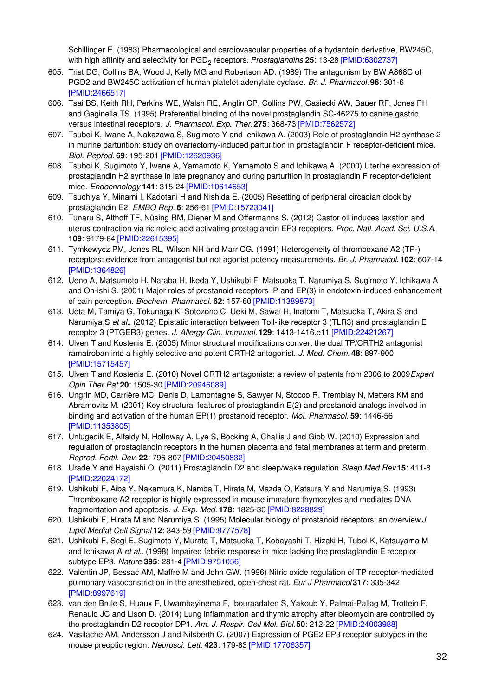Schillinger E. (1983) Pharmacological and cardiovascular properties of a hydantoin derivative, BW245C, with high affinity and selectivity for PGD<sub>2</sub> receptors. *Prostaglandins* 25: 13-28 [\[PMID:6302737\]](http://www.ncbi.nlm.nih.gov/pubmed/6302737?dopt=AbstractPlus)

- 605. Trist DG, Collins BA, Wood J, Kelly MG and Robertson AD. (1989) The antagonism by BW A868C of PGD2 and BW245C activation of human platelet adenylate cyclase. *Br. J. Pharmacol.* **96**: 301-6 [\[PMID:2466517\]](http://www.ncbi.nlm.nih.gov/pubmed/2466517?dopt=AbstractPlus)
- 606. Tsai BS, Keith RH, Perkins WE, Walsh RE, Anglin CP, Collins PW, Gasiecki AW, Bauer RF, Jones PH and Gaginella TS. (1995) Preferential binding of the novel prostaglandin SC-46275 to canine gastric versus intestinal receptors. *J. Pharmacol. Exp. Ther.***275**: 368-73 [\[PMID:7562572\]](http://www.ncbi.nlm.nih.gov/pubmed/7562572?dopt=AbstractPlus)
- 607. Tsuboi K, Iwane A, Nakazawa S, Sugimoto Y and Ichikawa A. (2003) Role of prostaglandin H2 synthase 2 in murine parturition: study on ovariectomy-induced parturition in prostaglandin F receptor-deficient mice. *Biol. Reprod.* **69**: 195-201 [\[PMID:12620936\]](http://www.ncbi.nlm.nih.gov/pubmed/12620936?dopt=AbstractPlus)
- 608. Tsuboi K, Sugimoto Y, Iwane A, Yamamoto K, Yamamoto S and Ichikawa A. (2000) Uterine expression of prostaglandin H2 synthase in late pregnancy and during parturition in prostaglandin F receptor-deficient mice. *Endocrinology* **141**: 315-24 [\[PMID:10614653\]](http://www.ncbi.nlm.nih.gov/pubmed/10614653?dopt=AbstractPlus)
- 609. Tsuchiya Y, Minami I, Kadotani H and Nishida E. (2005) Resetting of peripheral circadian clock by prostaglandin E2. *EMBO Rep.* **6**: 256-61 [\[PMID:15723041\]](http://www.ncbi.nlm.nih.gov/pubmed/15723041?dopt=AbstractPlus)
- 610. Tunaru S, Althoff TF, Nüsing RM, Diener M and Offermanns S. (2012) Castor oil induces laxation and uterus contraction via ricinoleic acid activating prostaglandin EP3 receptors. *Proc. Natl. Acad. Sci. U.S.A.* **109**: 9179-84 [\[PMID:22615395\]](http://www.ncbi.nlm.nih.gov/pubmed/22615395?dopt=AbstractPlus)
- 611. Tymkewycz PM, Jones RL, Wilson NH and Marr CG. (1991) Heterogeneity of thromboxane A2 (TP-) receptors: evidence from antagonist but not agonist potency measurements. *Br. J. Pharmacol.* **102**: 607-14 [\[PMID:1364826\]](http://www.ncbi.nlm.nih.gov/pubmed/1364826?dopt=AbstractPlus)
- 612. Ueno A, Matsumoto H, Naraba H, Ikeda Y, Ushikubi F, Matsuoka T, Narumiya S, Sugimoto Y, Ichikawa A and Oh-ishi S. (2001) Major roles of prostanoid receptors IP and EP(3) in endotoxin-induced enhancement of pain perception. *Biochem. Pharmacol.* **62**: 157-60 [\[PMID:11389873\]](http://www.ncbi.nlm.nih.gov/pubmed/11389873?dopt=AbstractPlus)
- 613. Ueta M, Tamiya G, Tokunaga K, Sotozono C, Ueki M, Sawai H, Inatomi T, Matsuoka T, Akira S and Narumiya S *et al.*. (2012) Epistatic interaction between Toll-like receptor 3 (TLR3) and prostaglandin E receptor 3 (PTGER3) genes. *J. Allergy Clin. Immunol.* **129**: 1413-1416.e11 [\[PMID:22421267\]](http://www.ncbi.nlm.nih.gov/pubmed/22421267?dopt=AbstractPlus)
- 614. Ulven T and Kostenis E. (2005) Minor structural modifications convert the dual TP/CRTH2 antagonist ramatroban into a highly selective and potent CRTH2 antagonist. *J. Med. Chem.* **48**: 897-900 [\[PMID:15715457\]](http://www.ncbi.nlm.nih.gov/pubmed/15715457?dopt=AbstractPlus)
- 615. Ulven T and Kostenis E. (2010) Novel CRTH2 antagonists: a review of patents from 2006 to 2009.*Expert Opin Ther Pat* **20**: 1505-30 [\[PMID:20946089\]](http://www.ncbi.nlm.nih.gov/pubmed/20946089?dopt=AbstractPlus)
- 616. Ungrin MD, Carrière MC, Denis D, Lamontagne S, Sawyer N, Stocco R, Tremblay N, Metters KM and Abramovitz M. (2001) Key structural features of prostaglandin E(2) and prostanoid analogs involved in binding and activation of the human EP(1) prostanoid receptor. *Mol. Pharmacol.* **59**: 1446-56 [\[PMID:11353805\]](http://www.ncbi.nlm.nih.gov/pubmed/11353805?dopt=AbstractPlus)
- 617. Unlugedik E, Alfaidy N, Holloway A, Lye S, Bocking A, Challis J and Gibb W. (2010) Expression and regulation of prostaglandin receptors in the human placenta and fetal membranes at term and preterm. *Reprod. Fertil. Dev.* **22**: 796-807 [\[PMID:20450832\]](http://www.ncbi.nlm.nih.gov/pubmed/20450832?dopt=AbstractPlus)
- 618. Urade Y and Hayaishi O. (2011) Prostaglandin D2 and sleep/wake regulation.*Sleep Med Rev* **15**: 411-8 [\[PMID:22024172\]](http://www.ncbi.nlm.nih.gov/pubmed/22024172?dopt=AbstractPlus)
- 619. Ushikubi F, Aiba Y, Nakamura K, Namba T, Hirata M, Mazda O, Katsura Y and Narumiya S. (1993) Thromboxane A2 receptor is highly expressed in mouse immature thymocytes and mediates DNA fragmentation and apoptosis. *J. Exp. Med.* **178**: 1825-30 [\[PMID:8228829\]](http://www.ncbi.nlm.nih.gov/pubmed/8228829?dopt=AbstractPlus)
- 620. Ushikubi F, Hirata M and Narumiya S. (1995) Molecular biology of prostanoid receptors; an overview.*J Lipid Mediat Cell Signal* **12**: 343-59 [\[PMID:8777578\]](http://www.ncbi.nlm.nih.gov/pubmed/8777578?dopt=AbstractPlus)
- 621. Ushikubi F, Segi E, Sugimoto Y, Murata T, Matsuoka T, Kobayashi T, Hizaki H, Tuboi K, Katsuyama M and Ichikawa A *et al.*. (1998) Impaired febrile response in mice lacking the prostaglandin E receptor subtype EP3. *Nature* **395**: 281-4 [\[PMID:9751056\]](http://www.ncbi.nlm.nih.gov/pubmed/9751056?dopt=AbstractPlus)
- 622. Valentin JP, Bessac AM, Maffre M and John GW. (1996) Nitric oxide regulation of TP receptor-mediated pulmonary vasoconstriction in the anesthetized, open-chest rat. *Eur J Pharmacol* **317**: 335-342 [\[PMID:8997619\]](http://www.ncbi.nlm.nih.gov/pubmed/8997619?dopt=AbstractPlus)
- 623. van den Brule S, Huaux F, Uwambayinema F, Ibouraadaten S, Yakoub Y, Palmai-Pallag M, Trottein F, Renauld JC and Lison D. (2014) Lung inflammation and thymic atrophy after bleomycin are controlled by the prostaglandin D2 receptor DP1. *Am. J. Respir. Cell Mol. Biol.***50**: 212-22 [\[PMID:24003988\]](http://www.ncbi.nlm.nih.gov/pubmed/24003988?dopt=AbstractPlus)
- 624. Vasilache AM, Andersson J and Nilsberth C. (2007) Expression of PGE2 EP3 receptor subtypes in the mouse preoptic region. *Neurosci. Lett.* **423**: 179-83 [\[PMID:17706357\]](http://www.ncbi.nlm.nih.gov/pubmed/17706357?dopt=AbstractPlus)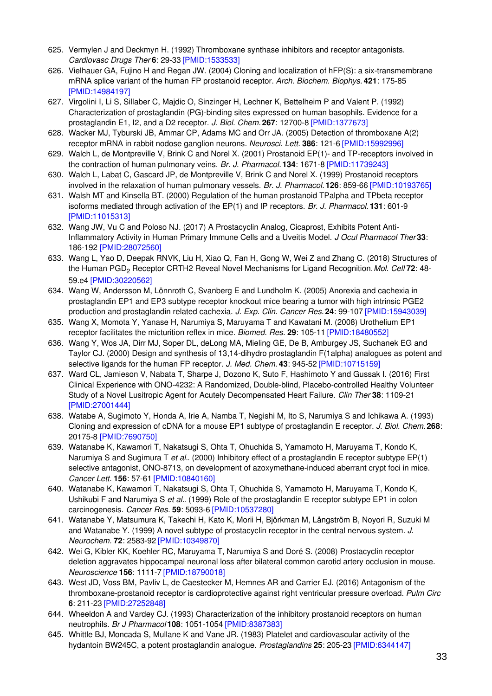- 625. Vermylen J and Deckmyn H. (1992) Thromboxane synthase inhibitors and receptor antagonists. *Cardiovasc Drugs Ther* **6**: 29-33 [\[PMID:1533533\]](http://www.ncbi.nlm.nih.gov/pubmed/1533533?dopt=AbstractPlus)
- 626. Vielhauer GA, Fujino H and Regan JW. (2004) Cloning and localization of hFP(S): a six-transmembrane mRNA splice variant of the human FP prostanoid receptor. *Arch. Biochem. Biophys.* **421**: 175-85 [\[PMID:14984197\]](http://www.ncbi.nlm.nih.gov/pubmed/14984197?dopt=AbstractPlus)
- 627. Virgolini I, Li S, Sillaber C, Majdic O, Sinzinger H, Lechner K, Bettelheim P and Valent P. (1992) Characterization of prostaglandin (PG)-binding sites expressed on human basophils. Evidence for a prostaglandin E1, I2, and a D2 receptor. *J. Biol. Chem.* **267**: 12700-8 [\[PMID:1377673\]](http://www.ncbi.nlm.nih.gov/pubmed/1377673?dopt=AbstractPlus)
- 628. Wacker MJ, Tyburski JB, Ammar CP, Adams MC and Orr JA. (2005) Detection of thromboxane A(2) receptor mRNA in rabbit nodose ganglion neurons. *Neurosci. Lett.* **386**: 121-6 [\[PMID:15992996\]](http://www.ncbi.nlm.nih.gov/pubmed/15992996?dopt=AbstractPlus)
- 629. Walch L, de Montpreville V, Brink C and Norel X. (2001) Prostanoid EP(1)- and TP-receptors involved in the contraction of human pulmonary veins. *Br. J. Pharmacol.* **134**: 1671-8 [\[PMID:11739243\]](http://www.ncbi.nlm.nih.gov/pubmed/11739243?dopt=AbstractPlus)
- 630. Walch L, Labat C, Gascard JP, de Montpreville V, Brink C and Norel X. (1999) Prostanoid receptors involved in the relaxation of human pulmonary vessels. *Br. J. Pharmacol.* **126**: 859-66 [\[PMID:10193765\]](http://www.ncbi.nlm.nih.gov/pubmed/10193765?dopt=AbstractPlus)
- 631. Walsh MT and Kinsella BT. (2000) Regulation of the human prostanoid TPalpha and TPbeta receptor isoforms mediated through activation of the EP(1) and IP receptors. *Br. J. Pharmacol.* **131**: 601-9 [\[PMID:11015313\]](http://www.ncbi.nlm.nih.gov/pubmed/11015313?dopt=AbstractPlus)
- 632. Wang JW, Vu C and Poloso NJ. (2017) A Prostacyclin Analog, Cicaprost, Exhibits Potent Anti-Inflammatory Activity in Human Primary Immune Cells and a Uveitis Model. *J Ocul Pharmacol Ther* **33**: 186-192 [\[PMID:28072560\]](http://www.ncbi.nlm.nih.gov/pubmed/28072560?dopt=AbstractPlus)
- 633. Wang L, Yao D, Deepak RNVK, Liu H, Xiao Q, Fan H, Gong W, Wei Z and Zhang C. (2018) Structures of the Human PGD<sup>2</sup> Receptor CRTH2 Reveal Novel Mechanisms for Ligand Recognition.*Mol. Cell* **72**: 48- 59.e4 [\[PMID:30220562\]](http://www.ncbi.nlm.nih.gov/pubmed/30220562?dopt=AbstractPlus)
- 634. Wang W, Andersson M, Lönnroth C, Svanberg E and Lundholm K. (2005) Anorexia and cachexia in prostaglandin EP1 and EP3 subtype receptor knockout mice bearing a tumor with high intrinsic PGE2 production and prostaglandin related cachexia. *J. Exp. Clin. Cancer Res.* **24**: 99-107 [\[PMID:15943039\]](http://www.ncbi.nlm.nih.gov/pubmed/15943039?dopt=AbstractPlus)
- 635. Wang X, Momota Y, Yanase H, Narumiya S, Maruyama T and Kawatani M. (2008) Urothelium EP1 receptor facilitates the micturition reflex in mice. *Biomed. Res.* **29**: 105-11 [\[PMID:18480552\]](http://www.ncbi.nlm.nih.gov/pubmed/18480552?dopt=AbstractPlus)
- 636. Wang Y, Wos JA, Dirr MJ, Soper DL, deLong MA, Mieling GE, De B, Amburgey JS, Suchanek EG and Taylor CJ. (2000) Design and synthesis of 13,14-dihydro prostaglandin F(1alpha) analogues as potent and selective ligands for the human FP receptor. *J. Med. Chem.* **43**: 945-52 [\[PMID:10715159\]](http://www.ncbi.nlm.nih.gov/pubmed/10715159?dopt=AbstractPlus)
- 637. Ward CL, Jamieson V, Nabata T, Sharpe J, Dozono K, Suto F, Hashimoto Y and Gussak I. (2016) First Clinical Experience with ONO-4232: A Randomized, Double-blind, Placebo-controlled Healthy Volunteer Study of a Novel Lusitropic Agent for Acutely Decompensated Heart Failure. *Clin Ther* **38**: 1109-21 [\[PMID:27001444\]](http://www.ncbi.nlm.nih.gov/pubmed/27001444?dopt=AbstractPlus)
- 638. Watabe A, Sugimoto Y, Honda A, Irie A, Namba T, Negishi M, Ito S, Narumiya S and Ichikawa A. (1993) Cloning and expression of cDNA for a mouse EP1 subtype of prostaglandin E receptor. *J. Biol. Chem.* **268**: 20175-8 [\[PMID:7690750\]](http://www.ncbi.nlm.nih.gov/pubmed/7690750?dopt=AbstractPlus)
- 639. Watanabe K, Kawamori T, Nakatsugi S, Ohta T, Ohuchida S, Yamamoto H, Maruyama T, Kondo K, Narumiya S and Sugimura T *et al.*. (2000) Inhibitory effect of a prostaglandin E receptor subtype EP(1) selective antagonist, ONO-8713, on development of azoxymethane-induced aberrant crypt foci in mice. *Cancer Lett.* **156**: 57-61 [\[PMID:10840160\]](http://www.ncbi.nlm.nih.gov/pubmed/10840160?dopt=AbstractPlus)
- 640. Watanabe K, Kawamori T, Nakatsugi S, Ohta T, Ohuchida S, Yamamoto H, Maruyama T, Kondo K, Ushikubi F and Narumiya S *et al.*. (1999) Role of the prostaglandin E receptor subtype EP1 in colon carcinogenesis. *Cancer Res.* **59**: 5093-6 [\[PMID:10537280\]](http://www.ncbi.nlm.nih.gov/pubmed/10537280?dopt=AbstractPlus)
- 641. Watanabe Y, Matsumura K, Takechi H, Kato K, Morii H, Björkman M, Långström B, Noyori R, Suzuki M and Watanabe Y. (1999) A novel subtype of prostacyclin receptor in the central nervous system. *J. Neurochem.* **72**: 2583-92 [\[PMID:10349870\]](http://www.ncbi.nlm.nih.gov/pubmed/10349870?dopt=AbstractPlus)
- 642. Wei G, Kibler KK, Koehler RC, Maruyama T, Narumiya S and Doré S. (2008) Prostacyclin receptor deletion aggravates hippocampal neuronal loss after bilateral common carotid artery occlusion in mouse. *Neuroscience* **156**: 1111-7 [\[PMID:18790018\]](http://www.ncbi.nlm.nih.gov/pubmed/18790018?dopt=AbstractPlus)
- 643. West JD, Voss BM, Pavliv L, de Caestecker M, Hemnes AR and Carrier EJ. (2016) Antagonism of the thromboxane-prostanoid receptor is cardioprotective against right ventricular pressure overload. *Pulm Circ* **6**: 211-23 [\[PMID:27252848\]](http://www.ncbi.nlm.nih.gov/pubmed/27252848?dopt=AbstractPlus)
- 644. Wheeldon A and Vardey CJ. (1993) Characterization of the inhibitory prostanoid receptors on human neutrophils. *Br J Pharmacol* **108**: 1051-1054 [\[PMID:8387383\]](http://www.ncbi.nlm.nih.gov/pubmed/8387383?dopt=AbstractPlus)
- 645. Whittle BJ, Moncada S, Mullane K and Vane JR. (1983) Platelet and cardiovascular activity of the hydantoin BW245C, a potent prostaglandin analogue. *Prostaglandins* **25**: 205-23 [\[PMID:6344147\]](http://www.ncbi.nlm.nih.gov/pubmed/6344147?dopt=AbstractPlus)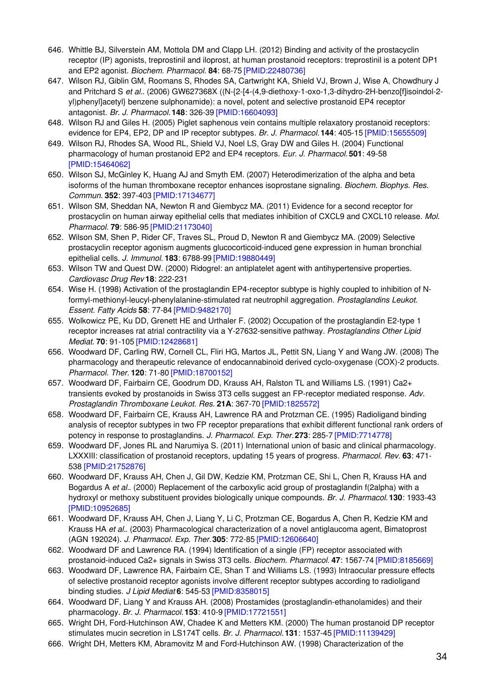- 646. Whittle BJ, Silverstein AM, Mottola DM and Clapp LH. (2012) Binding and activity of the prostacyclin receptor (IP) agonists, treprostinil and iloprost, at human prostanoid receptors: treprostinil is a potent DP1 and EP2 agonist. *Biochem. Pharmacol.* **84**: 68-75 [\[PMID:22480736\]](http://www.ncbi.nlm.nih.gov/pubmed/22480736?dopt=AbstractPlus)
- 647. Wilson RJ, Giblin GM, Roomans S, Rhodes SA, Cartwright KA, Shield VJ, Brown J, Wise A, Chowdhury J and Pritchard S *et al.*. (2006) GW627368X ((N-{2-[4-(4,9-diethoxy-1-oxo-1,3-dihydro-2H-benzo[f]isoindol-2 yl)phenyl]acetyl} benzene sulphonamide): a novel, potent and selective prostanoid EP4 receptor antagonist. *Br. J. Pharmacol.* **148**: 326-39 [\[PMID:16604093\]](http://www.ncbi.nlm.nih.gov/pubmed/16604093?dopt=AbstractPlus)
- 648. Wilson RJ and Giles H. (2005) Piglet saphenous vein contains multiple relaxatory prostanoid receptors: evidence for EP4, EP2, DP and IP receptor subtypes. *Br. J. Pharmacol.* **144**: 405-15 [\[PMID:15655509\]](http://www.ncbi.nlm.nih.gov/pubmed/15655509?dopt=AbstractPlus)
- 649. Wilson RJ, Rhodes SA, Wood RL, Shield VJ, Noel LS, Gray DW and Giles H. (2004) Functional pharmacology of human prostanoid EP2 and EP4 receptors. *Eur. J. Pharmacol.* **501**: 49-58 [\[PMID:15464062\]](http://www.ncbi.nlm.nih.gov/pubmed/15464062?dopt=AbstractPlus)
- 650. Wilson SJ, McGinley K, Huang AJ and Smyth EM. (2007) Heterodimerization of the alpha and beta isoforms of the human thromboxane receptor enhances isoprostane signaling. *Biochem. Biophys. Res. Commun.* **352**: 397-403 [\[PMID:17134677\]](http://www.ncbi.nlm.nih.gov/pubmed/17134677?dopt=AbstractPlus)
- 651. Wilson SM, Sheddan NA, Newton R and Giembycz MA. (2011) Evidence for a second receptor for prostacyclin on human airway epithelial cells that mediates inhibition of CXCL9 and CXCL10 release. *Mol. Pharmacol.* **79**: 586-95 [\[PMID:21173040\]](http://www.ncbi.nlm.nih.gov/pubmed/21173040?dopt=AbstractPlus)
- 652. Wilson SM, Shen P, Rider CF, Traves SL, Proud D, Newton R and Giembycz MA. (2009) Selective prostacyclin receptor agonism augments glucocorticoid-induced gene expression in human bronchial epithelial cells. *J. Immunol.* **183**: 6788-99 [\[PMID:19880449\]](http://www.ncbi.nlm.nih.gov/pubmed/19880449?dopt=AbstractPlus)
- 653. Wilson TW and Quest DW. (2000) Ridogrel: an antiplatelet agent with antihypertensive properties. *Cardiovasc Drug Rev* **18**: 222-231
- 654. Wise H. (1998) Activation of the prostaglandin EP4-receptor subtype is highly coupled to inhibition of Nformyl-methionyl-leucyl-phenylalanine-stimulated rat neutrophil aggregation. *Prostaglandins Leukot. Essent. Fatty Acids* **58**: 77-84 [\[PMID:9482170\]](http://www.ncbi.nlm.nih.gov/pubmed/9482170?dopt=AbstractPlus)
- 655. Wolkowicz PE, Ku DD, Grenett HE and Urthaler F. (2002) Occupation of the prostaglandin E2-type 1 receptor increases rat atrial contractility via a Y-27632-sensitive pathway. *Prostaglandins Other Lipid Mediat.* **70**: 91-105 [\[PMID:12428681\]](http://www.ncbi.nlm.nih.gov/pubmed/12428681?dopt=AbstractPlus)
- 656. Woodward DF, Carling RW, Cornell CL, Fliri HG, Martos JL, Pettit SN, Liang Y and Wang JW. (2008) The pharmacology and therapeutic relevance of endocannabinoid derived cyclo-oxygenase (COX)-2 products. *Pharmacol. Ther.* **120**: 71-80 [\[PMID:18700152\]](http://www.ncbi.nlm.nih.gov/pubmed/18700152?dopt=AbstractPlus)
- 657. Woodward DF, Fairbairn CE, Goodrum DD, Krauss AH, Ralston TL and Williams LS. (1991) Ca2+ transients evoked by prostanoids in Swiss 3T3 cells suggest an FP-receptor mediated response. *Adv. Prostaglandin Thromboxane Leukot. Res.* **21A**: 367-70 [\[PMID:1825572\]](http://www.ncbi.nlm.nih.gov/pubmed/1825572?dopt=AbstractPlus)
- 658. Woodward DF, Fairbairn CE, Krauss AH, Lawrence RA and Protzman CE. (1995) Radioligand binding analysis of receptor subtypes in two FP receptor preparations that exhibit different functional rank orders of potency in response to prostaglandins. *J. Pharmacol. Exp. Ther.***273**: 285-7 [\[PMID:7714778\]](http://www.ncbi.nlm.nih.gov/pubmed/7714778?dopt=AbstractPlus)
- 659. Woodward DF, Jones RL and Narumiya S. (2011) International union of basic and clinical pharmacology. LXXXIII: classification of prostanoid receptors, updating 15 years of progress. *Pharmacol. Rev.* **63**: 471- 538 [\[PMID:21752876\]](http://www.ncbi.nlm.nih.gov/pubmed/21752876?dopt=AbstractPlus)
- 660. Woodward DF, Krauss AH, Chen J, Gil DW, Kedzie KM, Protzman CE, Shi L, Chen R, Krauss HA and Bogardus A *et al.*. (2000) Replacement of the carboxylic acid group of prostaglandin f(2alpha) with a hydroxyl or methoxy substituent provides biologically unique compounds. *Br. J. Pharmacol.* **130**: 1933-43 [\[PMID:10952685\]](http://www.ncbi.nlm.nih.gov/pubmed/10952685?dopt=AbstractPlus)
- 661. Woodward DF, Krauss AH, Chen J, Liang Y, Li C, Protzman CE, Bogardus A, Chen R, Kedzie KM and Krauss HA *et al.*. (2003) Pharmacological characterization of a novel antiglaucoma agent, Bimatoprost (AGN 192024). *J. Pharmacol. Exp. Ther.***305**: 772-85 [\[PMID:12606640\]](http://www.ncbi.nlm.nih.gov/pubmed/12606640?dopt=AbstractPlus)
- 662. Woodward DF and Lawrence RA. (1994) Identification of a single (FP) receptor associated with prostanoid-induced Ca2+ signals in Swiss 3T3 cells. *Biochem. Pharmacol.* **47**: 1567-74 [\[PMID:8185669\]](http://www.ncbi.nlm.nih.gov/pubmed/8185669?dopt=AbstractPlus)
- 663. Woodward DF, Lawrence RA, Fairbairn CE, Shan T and Williams LS. (1993) Intraocular pressure effects of selective prostanoid receptor agonists involve different receptor subtypes according to radioligand binding studies. *J Lipid Mediat* **6**: 545-53 [\[PMID:8358015\]](http://www.ncbi.nlm.nih.gov/pubmed/8358015?dopt=AbstractPlus)
- 664. Woodward DF, Liang Y and Krauss AH. (2008) Prostamides (prostaglandin-ethanolamides) and their pharmacology. *Br. J. Pharmacol.* **153**: 410-9 [\[PMID:17721551\]](http://www.ncbi.nlm.nih.gov/pubmed/17721551?dopt=AbstractPlus)
- 665. Wright DH, Ford-Hutchinson AW, Chadee K and Metters KM. (2000) The human prostanoid DP receptor stimulates mucin secretion in LS174T cells. *Br. J. Pharmacol.* **131**: 1537-45 [\[PMID:11139429\]](http://www.ncbi.nlm.nih.gov/pubmed/11139429?dopt=AbstractPlus)
- 666. Wright DH, Metters KM, Abramovitz M and Ford-Hutchinson AW. (1998) Characterization of the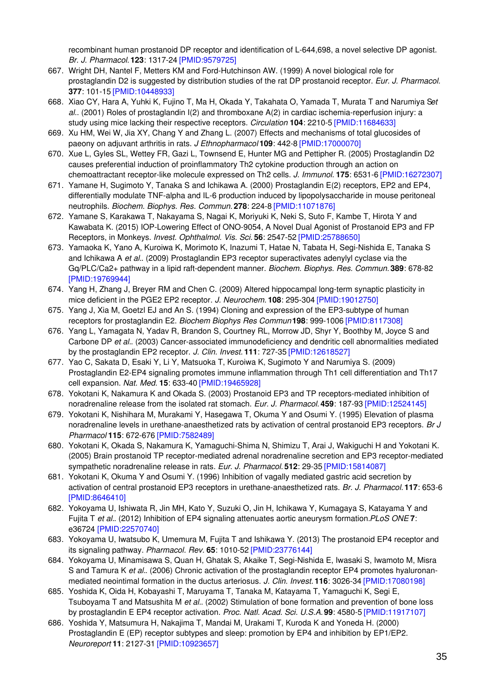recombinant human prostanoid DP receptor and identification of L-644,698, a novel selective DP agonist. *Br. J. Pharmacol.* **123**: 1317-24 [\[PMID:9579725\]](http://www.ncbi.nlm.nih.gov/pubmed/9579725?dopt=AbstractPlus)

- 667. Wright DH, Nantel F, Metters KM and Ford-Hutchinson AW. (1999) A novel biological role for prostaglandin D2 is suggested by distribution studies of the rat DP prostanoid receptor. *Eur. J. Pharmacol.* **377**: 101-15 [\[PMID:10448933\]](http://www.ncbi.nlm.nih.gov/pubmed/10448933?dopt=AbstractPlus)
- 668. Xiao CY, Hara A, Yuhki K, Fujino T, Ma H, Okada Y, Takahata O, Yamada T, Murata T and Narumiya S*et al.*. (2001) Roles of prostaglandin I(2) and thromboxane A(2) in cardiac ischemia-reperfusion injury: a study using mice lacking their respective receptors. *Circulation* **104**: 2210-5 [\[PMID:11684633\]](http://www.ncbi.nlm.nih.gov/pubmed/11684633?dopt=AbstractPlus)
- 669. Xu HM, Wei W, Jia XY, Chang Y and Zhang L. (2007) Effects and mechanisms of total glucosides of paeony on adjuvant arthritis in rats. *J Ethnopharmacol* **109**: 442-8 [\[PMID:17000070\]](http://www.ncbi.nlm.nih.gov/pubmed/17000070?dopt=AbstractPlus)
- 670. Xue L, Gyles SL, Wettey FR, Gazi L, Townsend E, Hunter MG and Pettipher R. (2005) Prostaglandin D2 causes preferential induction of proinflammatory Th2 cytokine production through an action on chemoattractant receptor-like molecule expressed on Th2 cells. *J. Immunol.* **175**: 6531-6 [\[PMID:16272307\]](http://www.ncbi.nlm.nih.gov/pubmed/16272307?dopt=AbstractPlus)
- 671. Yamane H, Sugimoto Y, Tanaka S and Ichikawa A. (2000) Prostaglandin E(2) receptors, EP2 and EP4, differentially modulate TNF-alpha and IL-6 production induced by lipopolysaccharide in mouse peritoneal neutrophils. *Biochem. Biophys. Res. Commun.* **278**: 224-8 [\[PMID:11071876\]](http://www.ncbi.nlm.nih.gov/pubmed/11071876?dopt=AbstractPlus)
- 672. Yamane S, Karakawa T, Nakayama S, Nagai K, Moriyuki K, Neki S, Suto F, Kambe T, Hirota Y and Kawabata K. (2015) IOP-Lowering Effect of ONO-9054, A Novel Dual Agonist of Prostanoid EP3 and FP Receptors, in Monkeys. *Invest. Ophthalmol. Vis. Sci.* **56**: 2547-52 [\[PMID:25788650\]](http://www.ncbi.nlm.nih.gov/pubmed/25788650?dopt=AbstractPlus)
- 673. Yamaoka K, Yano A, Kuroiwa K, Morimoto K, Inazumi T, Hatae N, Tabata H, Segi-Nishida E, Tanaka S and Ichikawa A *et al.*. (2009) Prostaglandin EP3 receptor superactivates adenylyl cyclase via the Gq/PLC/Ca2+ pathway in a lipid raft-dependent manner. *Biochem. Biophys. Res. Commun.* **389**: 678-82 [\[PMID:19769944\]](http://www.ncbi.nlm.nih.gov/pubmed/19769944?dopt=AbstractPlus)
- 674. Yang H, Zhang J, Breyer RM and Chen C. (2009) Altered hippocampal long-term synaptic plasticity in mice deficient in the PGE2 EP2 receptor. *J. Neurochem.* **108**: 295-304 [\[PMID:19012750\]](http://www.ncbi.nlm.nih.gov/pubmed/19012750?dopt=AbstractPlus)
- 675. Yang J, Xia M, Goetzl EJ and An S. (1994) Cloning and expression of the EP3-subtype of human receptors for prostaglandin E2. *Biochem Biophys Res Commun* **198**: 999-1006 [\[PMID:8117308\]](http://www.ncbi.nlm.nih.gov/pubmed/8117308?dopt=AbstractPlus)
- 676. Yang L, Yamagata N, Yadav R, Brandon S, Courtney RL, Morrow JD, Shyr Y, Boothby M, Joyce S and Carbone DP *et al.*. (2003) Cancer-associated immunodeficiency and dendritic cell abnormalities mediated by the prostaglandin EP2 receptor. *J. Clin. Invest.* **111**: 727-35 [\[PMID:12618527\]](http://www.ncbi.nlm.nih.gov/pubmed/12618527?dopt=AbstractPlus)
- 677. Yao C, Sakata D, Esaki Y, Li Y, Matsuoka T, Kuroiwa K, Sugimoto Y and Narumiya S. (2009) Prostaglandin E2-EP4 signaling promotes immune inflammation through Th1 cell differentiation and Th17 cell expansion. *Nat. Med.* **15**: 633-40 [\[PMID:19465928\]](http://www.ncbi.nlm.nih.gov/pubmed/19465928?dopt=AbstractPlus)
- 678. Yokotani K, Nakamura K and Okada S. (2003) Prostanoid EP3 and TP receptors-mediated inhibition of noradrenaline release from the isolated rat stomach. *Eur. J. Pharmacol.* **459**: 187-93 [\[PMID:12524145\]](http://www.ncbi.nlm.nih.gov/pubmed/12524145?dopt=AbstractPlus)
- 679. Yokotani K, Nishihara M, Murakami Y, Hasegawa T, Okuma Y and Osumi Y. (1995) Elevation of plasma noradrenaline levels in urethane-anaesthetized rats by activation of central prostanoid EP3 receptors. *Br J Pharmacol* **115**: 672-676 [\[PMID:7582489\]](http://www.ncbi.nlm.nih.gov/pubmed/7582489?dopt=AbstractPlus)
- 680. Yokotani K, Okada S, Nakamura K, Yamaguchi-Shima N, Shimizu T, Arai J, Wakiguchi H and Yokotani K. (2005) Brain prostanoid TP receptor-mediated adrenal noradrenaline secretion and EP3 receptor-mediated sympathetic noradrenaline release in rats. *Eur. J. Pharmacol.* **512**: 29-35 [\[PMID:15814087\]](http://www.ncbi.nlm.nih.gov/pubmed/15814087?dopt=AbstractPlus)
- 681. Yokotani K, Okuma Y and Osumi Y. (1996) Inhibition of vagally mediated gastric acid secretion by activation of central prostanoid EP3 receptors in urethane-anaesthetized rats. *Br. J. Pharmacol.* **117**: 653-6 [\[PMID:8646410\]](http://www.ncbi.nlm.nih.gov/pubmed/8646410?dopt=AbstractPlus)
- 682. Yokoyama U, Ishiwata R, Jin MH, Kato Y, Suzuki O, Jin H, Ichikawa Y, Kumagaya S, Katayama Y and Fujita T *et al.*. (2012) Inhibition of EP4 signaling attenuates aortic aneurysm formation.*PLoS ONE* **7**: e36724 [\[PMID:22570740\]](http://www.ncbi.nlm.nih.gov/pubmed/22570740?dopt=AbstractPlus)
- 683. Yokoyama U, Iwatsubo K, Umemura M, Fujita T and Ishikawa Y. (2013) The prostanoid EP4 receptor and its signaling pathway. *Pharmacol. Rev.* **65**: 1010-52 [\[PMID:23776144\]](http://www.ncbi.nlm.nih.gov/pubmed/23776144?dopt=AbstractPlus)
- 684. Yokoyama U, Minamisawa S, Quan H, Ghatak S, Akaike T, Segi-Nishida E, Iwasaki S, Iwamoto M, Misra S and Tamura K *et al.*. (2006) Chronic activation of the prostaglandin receptor EP4 promotes hyaluronanmediated neointimal formation in the ductus arteriosus. *J. Clin. Invest.* **116**: 3026-34 [\[PMID:17080198\]](http://www.ncbi.nlm.nih.gov/pubmed/17080198?dopt=AbstractPlus)
- 685. Yoshida K, Oida H, Kobayashi T, Maruyama T, Tanaka M, Katayama T, Yamaguchi K, Segi E, Tsuboyama T and Matsushita M *et al.*. (2002) Stimulation of bone formation and prevention of bone loss by prostaglandin E EP4 receptor activation. *Proc. Natl. Acad. Sci. U.S.A.* **99**: 4580-5 [\[PMID:11917107\]](http://www.ncbi.nlm.nih.gov/pubmed/11917107?dopt=AbstractPlus)
- 686. Yoshida Y, Matsumura H, Nakajima T, Mandai M, Urakami T, Kuroda K and Yoneda H. (2000) Prostaglandin E (EP) receptor subtypes and sleep: promotion by EP4 and inhibition by EP1/EP2. *Neuroreport* **11**: 2127-31 [\[PMID:10923657\]](http://www.ncbi.nlm.nih.gov/pubmed/10923657?dopt=AbstractPlus)